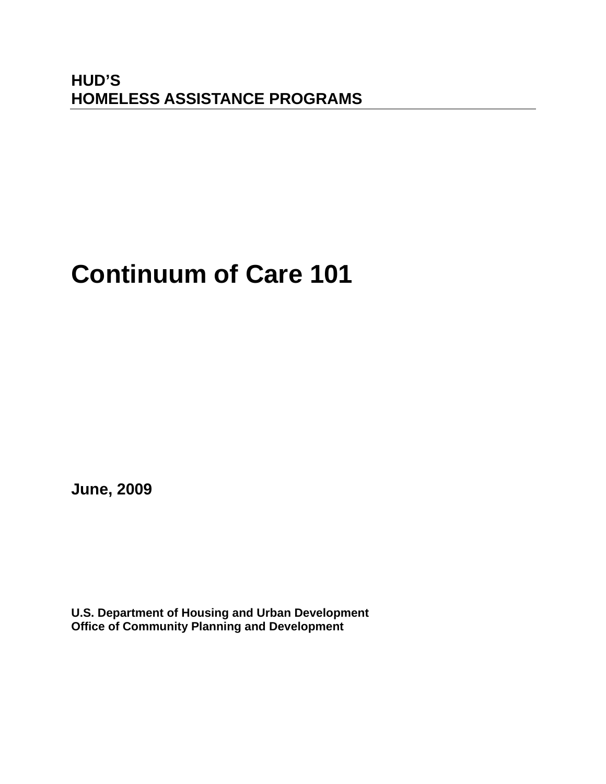# **HUD'S HOMELESS ASSISTANCE PROGRAMS**

# **Continuum of Care 101**

**June, 2009** 

**U.S. Department of Housing and Urban Development Office of Community Planning and Development**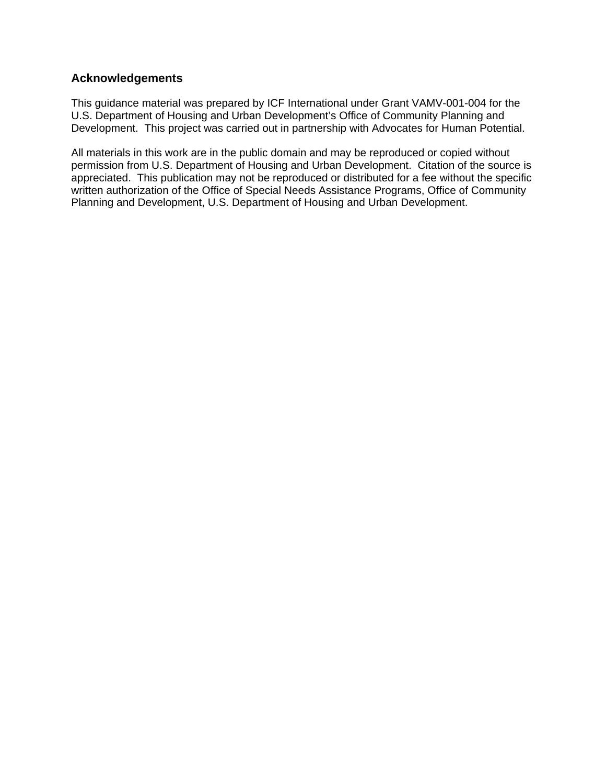#### **Acknowledgements**

This guidance material was prepared by ICF International under Grant VAMV-001-004 for the U.S. Department of Housing and Urban Development's Office of Community Planning and Development. This project was carried out in partnership with Advocates for Human Potential.

All materials in this work are in the public domain and may be reproduced or copied without permission from U.S. Department of Housing and Urban Development. Citation of the source is appreciated. This publication may not be reproduced or distributed for a fee without the specific written authorization of the Office of Special Needs Assistance Programs, Office of Community Planning and Development, U.S. Department of Housing and Urban Development.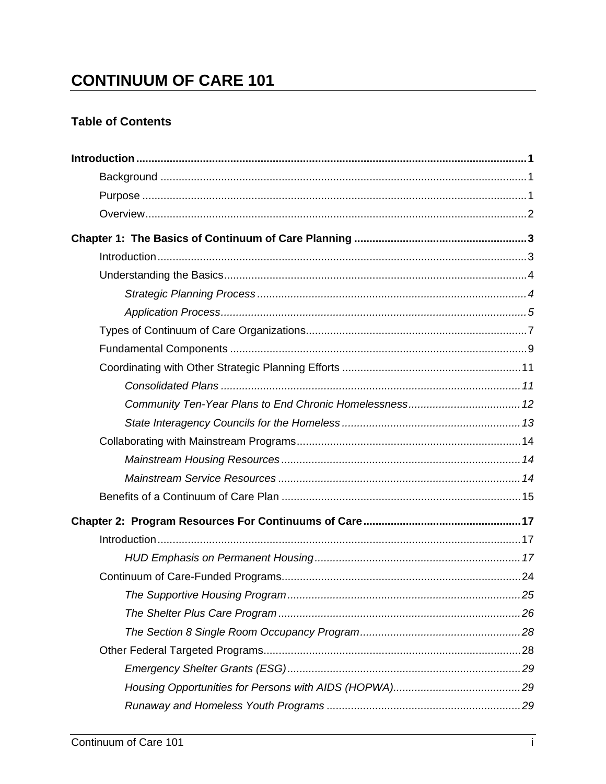# **CONTINUUM OF CARE 101**

### **Table of Contents**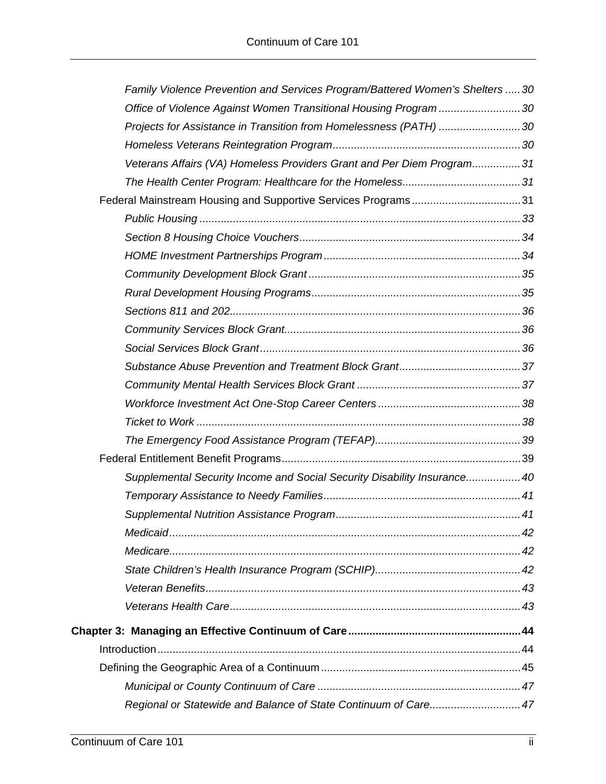| Family Violence Prevention and Services Program/Battered Women's Shelters 30 |  |
|------------------------------------------------------------------------------|--|
| Office of Violence Against Women Transitional Housing Program 30             |  |
| Projects for Assistance in Transition from Homelessness (PATH) 30            |  |
|                                                                              |  |
| Veterans Affairs (VA) Homeless Providers Grant and Per Diem Program31        |  |
|                                                                              |  |
| Federal Mainstream Housing and Supportive Services Programs31                |  |
|                                                                              |  |
|                                                                              |  |
|                                                                              |  |
|                                                                              |  |
|                                                                              |  |
|                                                                              |  |
|                                                                              |  |
|                                                                              |  |
|                                                                              |  |
|                                                                              |  |
|                                                                              |  |
|                                                                              |  |
|                                                                              |  |
|                                                                              |  |
| Supplemental Security Income and Social Security Disability Insurance40      |  |
|                                                                              |  |
|                                                                              |  |
|                                                                              |  |
|                                                                              |  |
|                                                                              |  |
|                                                                              |  |
|                                                                              |  |
|                                                                              |  |
|                                                                              |  |
|                                                                              |  |
|                                                                              |  |
| Regional or Statewide and Balance of State Continuum of Care 47              |  |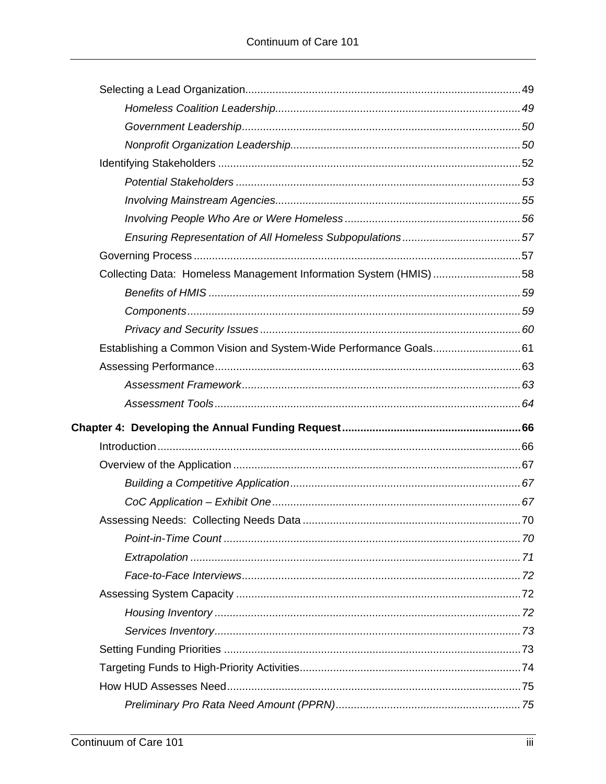| Collecting Data: Homeless Management Information System (HMIS)58 |  |
|------------------------------------------------------------------|--|
|                                                                  |  |
|                                                                  |  |
|                                                                  |  |
|                                                                  |  |
|                                                                  |  |
|                                                                  |  |
|                                                                  |  |
|                                                                  |  |
|                                                                  |  |
|                                                                  |  |
|                                                                  |  |
|                                                                  |  |
|                                                                  |  |
|                                                                  |  |
|                                                                  |  |
|                                                                  |  |
|                                                                  |  |
|                                                                  |  |
|                                                                  |  |
|                                                                  |  |
|                                                                  |  |
|                                                                  |  |
|                                                                  |  |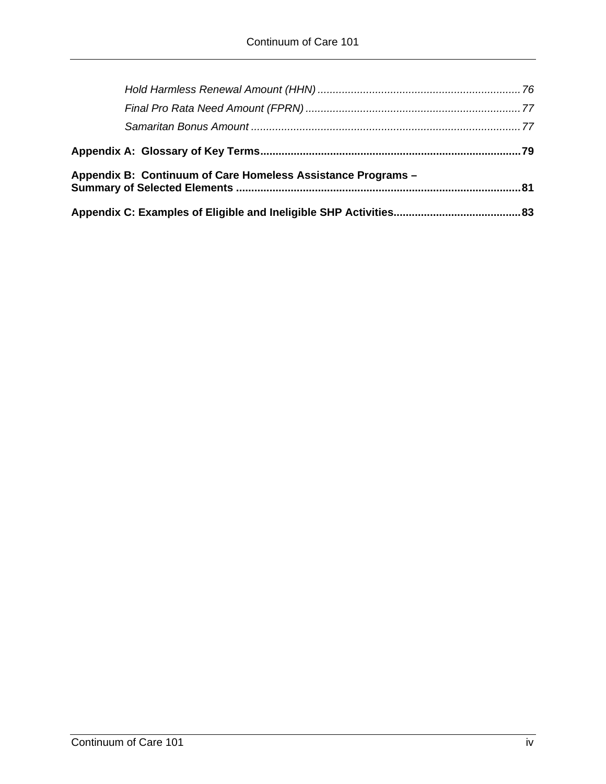| Appendix B: Continuum of Care Homeless Assistance Programs - |  |
|--------------------------------------------------------------|--|
|                                                              |  |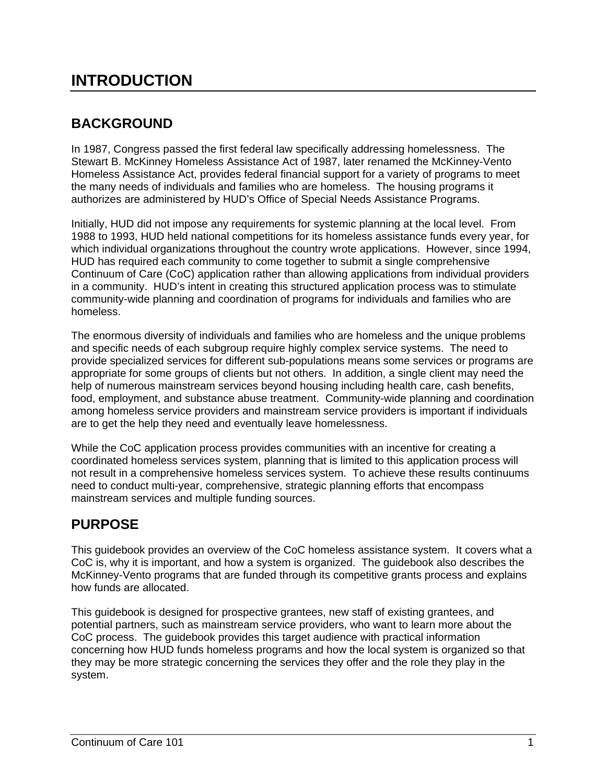# **INTRODUCTION**

# **BACKGROUND**

In 1987, Congress passed the first federal law specifically addressing homelessness. The Stewart B. McKinney Homeless Assistance Act of 1987, later renamed the McKinney-Vento Homeless Assistance Act, provides federal financial support for a variety of programs to meet the many needs of individuals and families who are homeless. The housing programs it authorizes are administered by HUD's Office of Special Needs Assistance Programs.

Initially, HUD did not impose any requirements for systemic planning at the local level. From 1988 to 1993, HUD held national competitions for its homeless assistance funds every year, for which individual organizations throughout the country wrote applications. However, since 1994, HUD has required each community to come together to submit a single comprehensive Continuum of Care (CoC) application rather than allowing applications from individual providers in a community. HUD's intent in creating this structured application process was to stimulate community-wide planning and coordination of programs for individuals and families who are homeless.

The enormous diversity of individuals and families who are homeless and the unique problems and specific needs of each subgroup require highly complex service systems. The need to provide specialized services for different sub-populations means some services or programs are appropriate for some groups of clients but not others. In addition, a single client may need the help of numerous mainstream services beyond housing including health care, cash benefits, food, employment, and substance abuse treatment. Community-wide planning and coordination among homeless service providers and mainstream service providers is important if individuals are to get the help they need and eventually leave homelessness.

While the CoC application process provides communities with an incentive for creating a coordinated homeless services system, planning that is limited to this application process will not result in a comprehensive homeless services system. To achieve these results continuums need to conduct multi-year, comprehensive, strategic planning efforts that encompass mainstream services and multiple funding sources.

# **PURPOSE**

This guidebook provides an overview of the CoC homeless assistance system. It covers what a CoC is, why it is important, and how a system is organized. The guidebook also describes the McKinney-Vento programs that are funded through its competitive grants process and explains how funds are allocated.

This guidebook is designed for prospective grantees, new staff of existing grantees, and potential partners, such as mainstream service providers, who want to learn more about the CoC process. The guidebook provides this target audience with practical information concerning how HUD funds homeless programs and how the local system is organized so that they may be more strategic concerning the services they offer and the role they play in the system.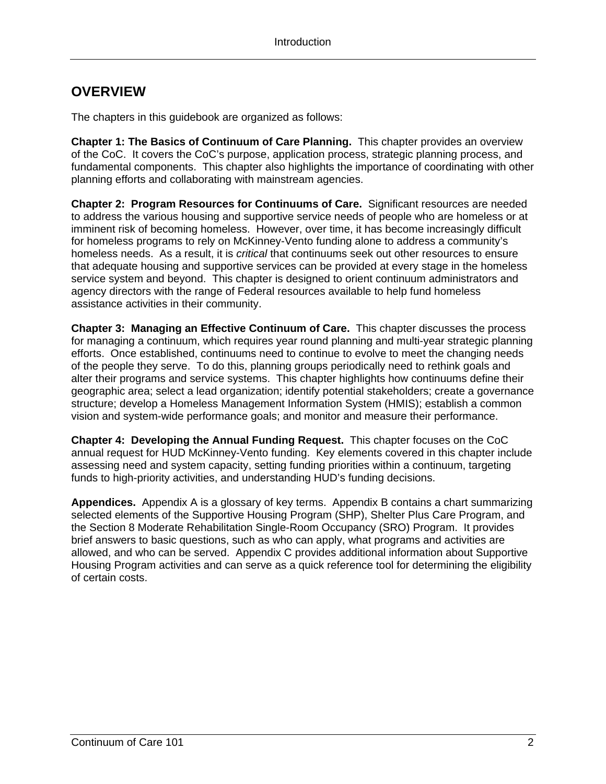## **OVERVIEW**

The chapters in this guidebook are organized as follows:

**Chapter 1: The Basics of Continuum of Care Planning.** This chapter provides an overview of the CoC. It covers the CoC's purpose, application process, strategic planning process, and fundamental components. This chapter also highlights the importance of coordinating with other planning efforts and collaborating with mainstream agencies.

**Chapter 2: Program Resources for Continuums of Care.** Significant resources are needed to address the various housing and supportive service needs of people who are homeless or at imminent risk of becoming homeless. However, over time, it has become increasingly difficult for homeless programs to rely on McKinney-Vento funding alone to address a community's homeless needs. As a result, it is *critical* that continuums seek out other resources to ensure that adequate housing and supportive services can be provided at every stage in the homeless service system and beyond. This chapter is designed to orient continuum administrators and agency directors with the range of Federal resources available to help fund homeless assistance activities in their community.

**Chapter 3: Managing an Effective Continuum of Care.** This chapter discusses the process for managing a continuum, which requires year round planning and multi-year strategic planning efforts. Once established, continuums need to continue to evolve to meet the changing needs of the people they serve. To do this, planning groups periodically need to rethink goals and alter their programs and service systems. This chapter highlights how continuums define their geographic area; select a lead organization; identify potential stakeholders; create a governance structure; develop a Homeless Management Information System (HMIS); establish a common vision and system-wide performance goals; and monitor and measure their performance.

**Chapter 4: Developing the Annual Funding Request.** This chapter focuses on the CoC annual request for HUD McKinney-Vento funding. Key elements covered in this chapter include assessing need and system capacity, setting funding priorities within a continuum, targeting funds to high-priority activities, and understanding HUD's funding decisions.

**Appendices.** Appendix A is a glossary of key terms. Appendix B contains a chart summarizing selected elements of the Supportive Housing Program (SHP), Shelter Plus Care Program, and the Section 8 Moderate Rehabilitation Single-Room Occupancy (SRO) Program. It provides brief answers to basic questions, such as who can apply, what programs and activities are allowed, and who can be served. Appendix C provides additional information about Supportive Housing Program activities and can serve as a quick reference tool for determining the eligibility of certain costs.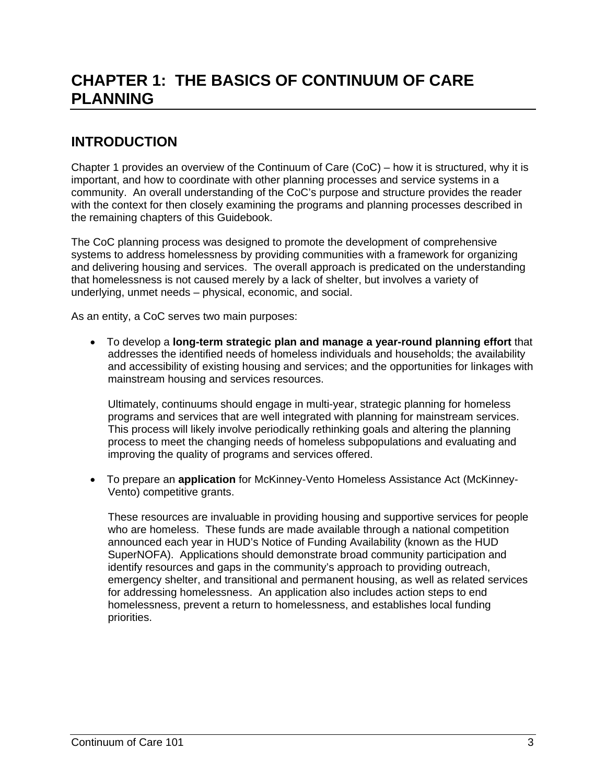# **CHAPTER 1: THE BASICS OF CONTINUUM OF CARE PLANNING**

# **INTRODUCTION**

Chapter 1 provides an overview of the Continuum of Care (CoC) – how it is structured, why it is important, and how to coordinate with other planning processes and service systems in a community. An overall understanding of the CoC's purpose and structure provides the reader with the context for then closely examining the programs and planning processes described in the remaining chapters of this Guidebook.

The CoC planning process was designed to promote the development of comprehensive systems to address homelessness by providing communities with a framework for organizing and delivering housing and services. The overall approach is predicated on the understanding that homelessness is not caused merely by a lack of shelter, but involves a variety of underlying, unmet needs – physical, economic, and social.

As an entity, a CoC serves two main purposes:

 To develop a **long-term strategic plan and manage a year-round planning effort** that addresses the identified needs of homeless individuals and households; the availability and accessibility of existing housing and services; and the opportunities for linkages with mainstream housing and services resources.

Ultimately, continuums should engage in multi-year, strategic planning for homeless programs and services that are well integrated with planning for mainstream services. This process will likely involve periodically rethinking goals and altering the planning process to meet the changing needs of homeless subpopulations and evaluating and improving the quality of programs and services offered.

 To prepare an **application** for McKinney-Vento Homeless Assistance Act (McKinney-Vento) competitive grants.

These resources are invaluable in providing housing and supportive services for people who are homeless. These funds are made available through a national competition announced each year in HUD's Notice of Funding Availability (known as the HUD SuperNOFA). Applications should demonstrate broad community participation and identify resources and gaps in the community's approach to providing outreach, emergency shelter, and transitional and permanent housing, as well as related services for addressing homelessness. An application also includes action steps to end homelessness, prevent a return to homelessness, and establishes local funding priorities.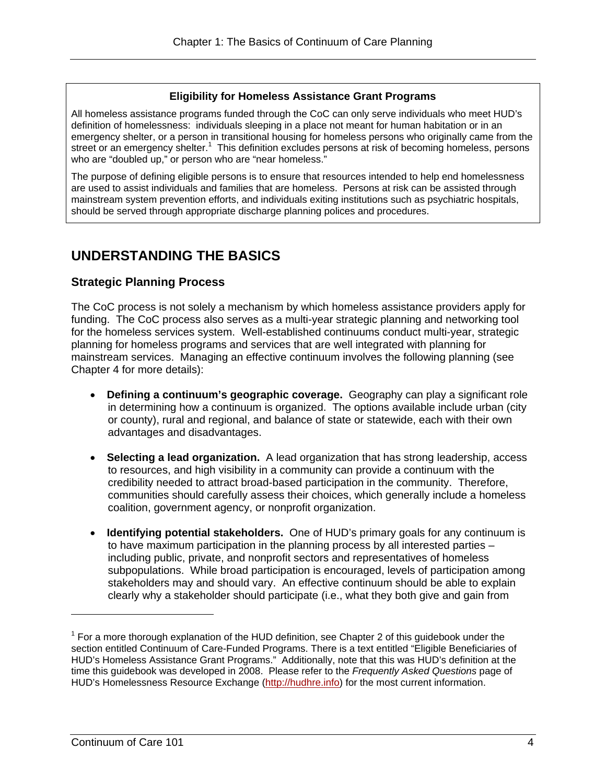#### **Eligibility for Homeless Assistance Grant Programs**

All homeless assistance programs funded through the CoC can only serve individuals who meet HUD's definition of homelessness: individuals sleeping in a place not meant for human habitation or in an emergency shelter, or a person in transitional housing for homeless persons who originally came from the street or an emergency shelter.<sup>1</sup> This definition excludes persons at risk of becoming homeless, persons who are "doubled up," or person who are "near homeless."

The purpose of defining eligible persons is to ensure that resources intended to help end homelessness are used to assist individuals and families that are homeless. Persons at risk can be assisted through mainstream system prevention efforts, and individuals exiting institutions such as psychiatric hospitals, should be served through appropriate discharge planning polices and procedures.

### **UNDERSTANDING THE BASICS**

#### **Strategic Planning Process**

The CoC process is not solely a mechanism by which homeless assistance providers apply for funding. The CoC process also serves as a multi-year strategic planning and networking tool for the homeless services system. Well-established continuums conduct multi-year, strategic planning for homeless programs and services that are well integrated with planning for mainstream services. Managing an effective continuum involves the following planning (see Chapter 4 for more details):

- **Defining a continuum's geographic coverage.** Geography can play a significant role in determining how a continuum is organized. The options available include urban (city or county), rural and regional, and balance of state or statewide, each with their own advantages and disadvantages.
- **Selecting a lead organization.** A lead organization that has strong leadership, access to resources, and high visibility in a community can provide a continuum with the credibility needed to attract broad-based participation in the community. Therefore, communities should carefully assess their choices, which generally include a homeless coalition, government agency, or nonprofit organization.
- **Identifying potential stakeholders.** One of HUD's primary goals for any continuum is to have maximum participation in the planning process by all interested parties – including public, private, and nonprofit sectors and representatives of homeless subpopulations. While broad participation is encouraged, levels of participation among stakeholders may and should vary. An effective continuum should be able to explain clearly why a stakeholder should participate (i.e., what they both give and gain from

 $\overline{a}$ 

 $1$  For a more thorough explanation of the HUD definition, see Chapter 2 of this guidebook under the section entitled Continuum of Care-Funded Programs. There is a text entitled "Eligible Beneficiaries of HUD's Homeless Assistance Grant Programs." Additionally, note that this was HUD's definition at the time this guidebook was developed in 2008. Please refer to the *Frequently Asked Questions* page of HUD's Homelessness Resource Exchange (http://hudhre.info) for the most current information.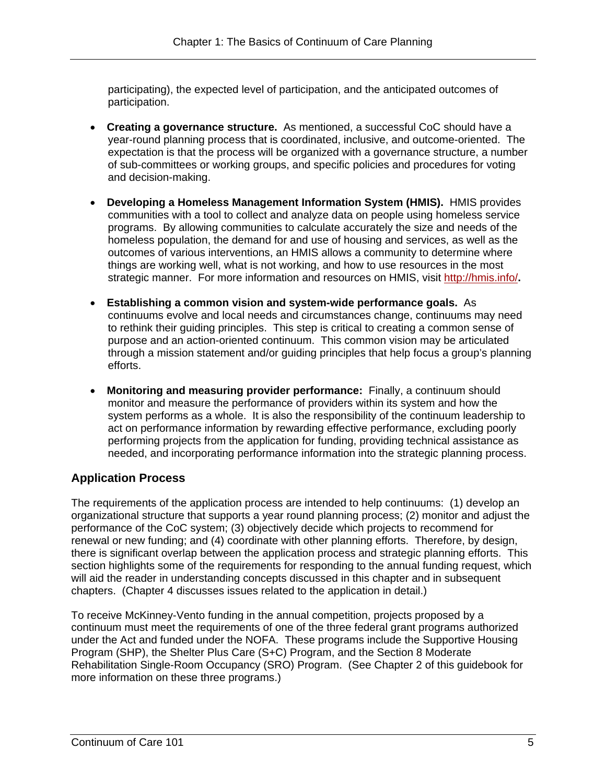participation. participating), the expected level of participation, and the anticipated outcomes of

- **Creating a governance structure.** As mentioned, a successful CoC should have a year-round planning process that is coordinated, inclusive, and outcome-oriented. The expectation is that the process will be organized with a governance structure, a number of sub-committees or working groups, and specific policies and procedures for voting and decision-making.
- **Developing a Homeless Management Information System (HMIS).** HMIS provides communities with a tool to collect and analyze data on people using homeless service programs. By allowing communities to calculate accurately the size and needs of the homeless population, the demand for and use of housing and services, as well as the outcomes of various interventions, an HMIS allows a community to determine where things are working well, what is not working, and how to use resources in the most strategic manner. For more information and resources on HMIS, visit http://hmis.info/**.**
- **Establishing a common vision and system-wide performance goals.** As continuums evolve and local needs and circumstances change, continuums may need to rethink their guiding principles. This step is critical to creating a common sense of purpose and an action-oriented continuum. This common vision may be articulated through a mission statement and/or guiding principles that help focus a group's planning efforts.
- **Monitoring and measuring provider performance:** Finally, a continuum should monitor and measure the performance of providers within its system and how the system performs as a whole. It is also the responsibility of the continuum leadership to act on performance information by rewarding effective performance, excluding poorly performing projects from the application for funding, providing technical assistance as needed, and incorporating performance information into the strategic planning process.

### **Application Process**

The requirements of the application process are intended to help continuums: (1) develop an organizational structure that supports a year round planning process; (2) monitor and adjust the performance of the CoC system; (3) objectively decide which projects to recommend for renewal or new funding; and (4) coordinate with other planning efforts. Therefore, by design, there is significant overlap between the application process and strategic planning efforts. This section highlights some of the requirements for responding to the annual funding request, which will aid the reader in understanding concepts discussed in this chapter and in subsequent chapters. (Chapter 4 discusses issues related to the application in detail.)

To receive McKinney-Vento funding in the annual competition, projects proposed by a continuum must meet the requirements of one of the three federal grant programs authorized under the Act and funded under the NOFA. These programs include the Supportive Housing Program (SHP), the Shelter Plus Care (S+C) Program, and the Section 8 Moderate Rehabilitation Single-Room Occupancy (SRO) Program. (See Chapter 2 of this guidebook for more information on these three programs.)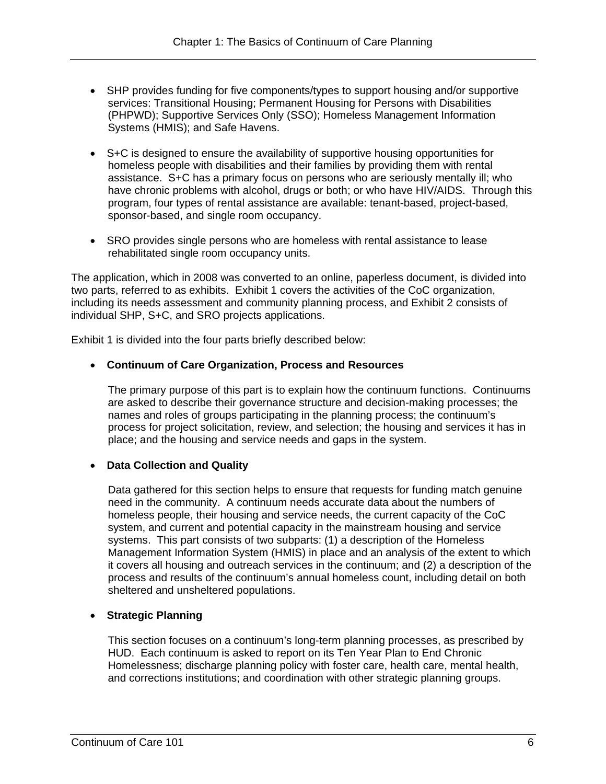- SHP provides funding for five components/types to support housing and/or supportive services: Transitional Housing; Permanent Housing for Persons with Disabilities (PHPWD); Supportive Services Only (SSO); Homeless Management Information Systems (HMIS); and Safe Havens.
- S+C is designed to ensure the availability of supportive housing opportunities for homeless people with disabilities and their families by providing them with rental assistance. S+C has a primary focus on persons who are seriously mentally ill; who have chronic problems with alcohol, drugs or both; or who have HIV/AIDS. Through this program, four types of rental assistance are available: tenant-based, project-based, sponsor-based, and single room occupancy.
- SRO provides single persons who are homeless with rental assistance to lease rehabilitated single room occupancy units.

The application, which in 2008 was converted to an online, paperless document, is divided into two parts, referred to as exhibits. Exhibit 1 covers the activities of the CoC organization, including its needs assessment and community planning process, and Exhibit 2 consists of individual SHP, S+C, and SRO projects applications.

Exhibit 1 is divided into the four parts briefly described below:

#### **Continuum of Care Organization, Process and Resources**

The primary purpose of this part is to explain how the continuum functions. Continuums are asked to describe their governance structure and decision-making processes; the names and roles of groups participating in the planning process; the continuum's process for project solicitation, review, and selection; the housing and services it has in place; and the housing and service needs and gaps in the system.

#### **Data Collection and Quality**

Data gathered for this section helps to ensure that requests for funding match genuine need in the community. A continuum needs accurate data about the numbers of homeless people, their housing and service needs, the current capacity of the CoC system, and current and potential capacity in the mainstream housing and service systems. This part consists of two subparts: (1) a description of the Homeless Management Information System (HMIS) in place and an analysis of the extent to which it covers all housing and outreach services in the continuum; and (2) a description of the process and results of the continuum's annual homeless count, including detail on both sheltered and unsheltered populations.

#### **Strategic Planning**

This section focuses on a continuum's long-term planning processes, as prescribed by HUD. Each continuum is asked to report on its Ten Year Plan to End Chronic Homelessness; discharge planning policy with foster care, health care, mental health, and corrections institutions; and coordination with other strategic planning groups.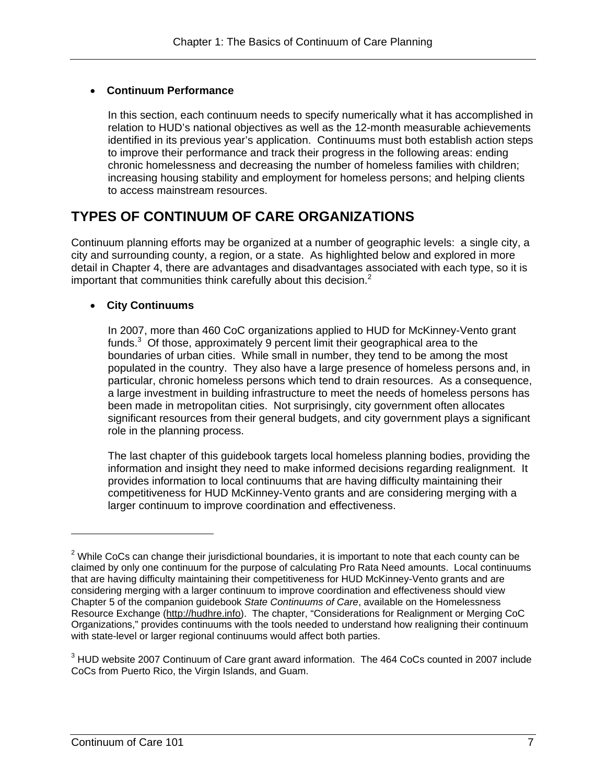#### **Continuum Performance**

In this section, each continuum needs to specify numerically what it has accomplished in relation to HUD's national objectives as well as the 12-month measurable achievements identified in its previous year's application. Continuums must both establish action steps to improve their performance and track their progress in the following areas: ending chronic homelessness and decreasing the number of homeless families with children; increasing housing stability and employment for homeless persons; and helping clients to access mainstream resources.

# **TYPES OF CONTINUUM OF CARE ORGANIZATIONS**

important that communities think carefully about this decision. $2$ Continuum planning efforts may be organized at a number of geographic levels: a single city, a city and surrounding county, a region, or a state. As highlighted below and explored in more detail in Chapter 4, there are advantages and disadvantages associated with each type, so it is

#### **City Continuums**

In 2007, more than 460 CoC organizations applied to HUD for McKinney-Vento grant funds. $3$  Of those, approximately 9 percent limit their geographical area to the boundaries of urban cities. While small in number, they tend to be among the most populated in the country. They also have a large presence of homeless persons and, in particular, chronic homeless persons which tend to drain resources. As a consequence, a large investment in building infrastructure to meet the needs of homeless persons has been made in metropolitan cities. Not surprisingly, city government often allocates significant resources from their general budgets, and city government plays a significant role in the planning process.

The last chapter of this guidebook targets local homeless planning bodies, providing the information and insight they need to make informed decisions regarding realignment. It provides information to local continuums that are having difficulty maintaining their competitiveness for HUD McKinney-Vento grants and are considering merging with a larger continuum to improve coordination and effectiveness.

-

 $2$  While CoCs can change their jurisdictional boundaries, it is important to note that each county can be claimed by only one continuum for the purpose of calculating Pro Rata Need amounts. Local continuums that are having difficulty maintaining their competitiveness for HUD McKinney-Vento grants and are considering merging with a larger continuum to improve coordination and effectiveness should view Chapter 5 of the companion guidebook *State Continuums of Care*, available on the Homelessness Resource Exchange (http://hudhre.info). The chapter, "Considerations for Realignment or Merging CoC Organizations," provides continuums with the tools needed to understand how realigning their continuum with state-level or larger regional continuums would affect both parties.

 $3$  HUD website 2007 Continuum of Care grant award information. The 464 CoCs counted in 2007 include CoCs from Puerto Rico, the Virgin Islands, and Guam.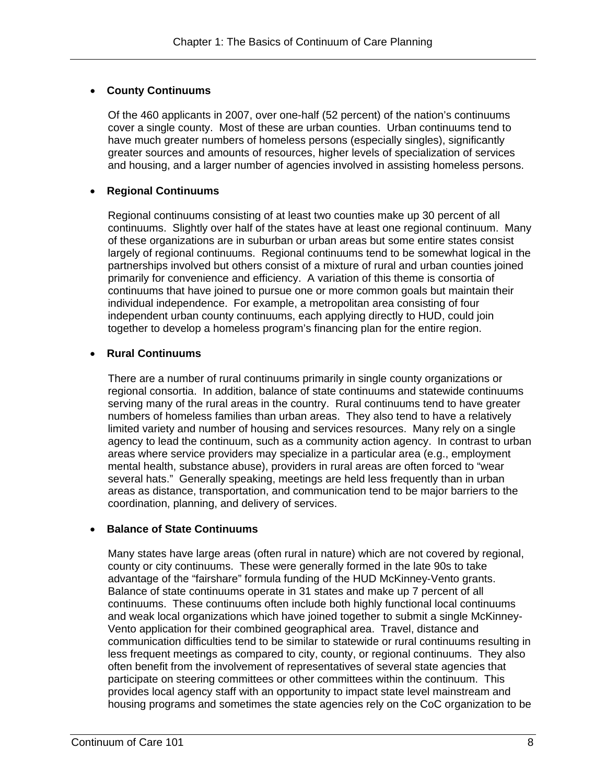#### **County Continuums**

Of the 460 applicants in 2007, over one-half (52 percent) of the nation's continuums cover a single county. Most of these are urban counties. Urban continuums tend to have much greater numbers of homeless persons (especially singles), significantly greater sources and amounts of resources, higher levels of specialization of services and housing, and a larger number of agencies involved in assisting homeless persons.

#### **Regional Continuums**

Regional continuums consisting of at least two counties make up 30 percent of all continuums. Slightly over half of the states have at least one regional continuum. Many of these organizations are in suburban or urban areas but some entire states consist largely of regional continuums. Regional continuums tend to be somewhat logical in the partnerships involved but others consist of a mixture of rural and urban counties joined primarily for convenience and efficiency. A variation of this theme is consortia of continuums that have joined to pursue one or more common goals but maintain their individual independence. For example, a metropolitan area consisting of four independent urban county continuums, each applying directly to HUD, could join together to develop a homeless program's financing plan for the entire region.

#### **Rural Continuums**

There are a number of rural continuums primarily in single county organizations or regional consortia. In addition, balance of state continuums and statewide continuums serving many of the rural areas in the country. Rural continuums tend to have greater numbers of homeless families than urban areas. They also tend to have a relatively limited variety and number of housing and services resources. Many rely on a single agency to lead the continuum, such as a community action agency. In contrast to urban areas where service providers may specialize in a particular area (e.g., employment mental health, substance abuse), providers in rural areas are often forced to "wear several hats." Generally speaking, meetings are held less frequently than in urban areas as distance, transportation, and communication tend to be major barriers to the coordination, planning, and delivery of services.

#### **Balance of State Continuums**

Many states have large areas (often rural in nature) which are not covered by regional, county or city continuums. These were generally formed in the late 90s to take advantage of the "fairshare" formula funding of the HUD McKinney-Vento grants. Balance of state continuums operate in 31 states and make up 7 percent of all continuums. These continuums often include both highly functional local continuums and weak local organizations which have joined together to submit a single McKinney-Vento application for their combined geographical area. Travel, distance and communication difficulties tend to be similar to statewide or rural continuums resulting in less frequent meetings as compared to city, county, or regional continuums. They also often benefit from the involvement of representatives of several state agencies that participate on steering committees or other committees within the continuum. This provides local agency staff with an opportunity to impact state level mainstream and housing programs and sometimes the state agencies rely on the CoC organization to be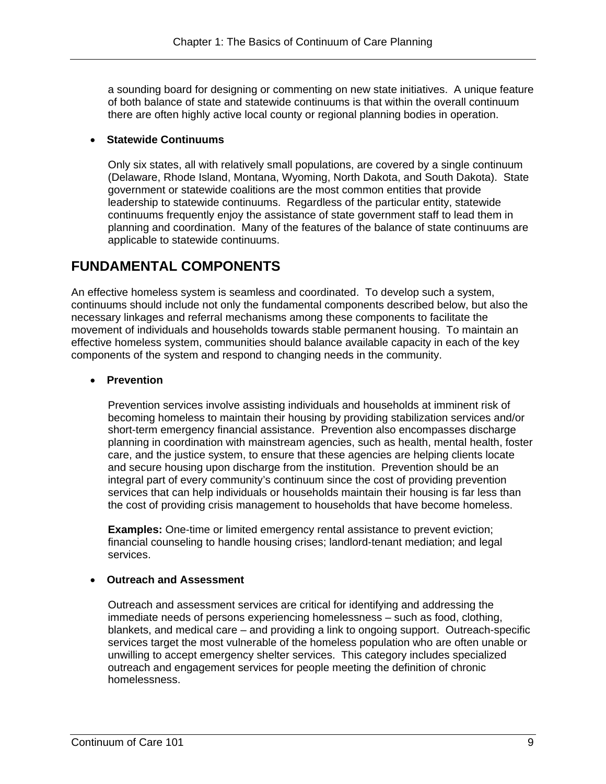a sounding board for designing or commenting on new state initiatives. A unique feature of both balance of state and statewide continuums is that within the overall continuum there are often highly active local county or regional planning bodies in operation.

#### **Statewide Continuums**

Only six states, all with relatively small populations, are covered by a single continuum (Delaware, Rhode Island, Montana, Wyoming, North Dakota, and South Dakota). State government or statewide coalitions are the most common entities that provide leadership to statewide continuums. Regardless of the particular entity, statewide continuums frequently enjoy the assistance of state government staff to lead them in planning and coordination. Many of the features of the balance of state continuums are applicable to statewide continuums.

# **FUNDAMENTAL COMPONENTS**

An effective homeless system is seamless and coordinated. To develop such a system, continuums should include not only the fundamental components described below, but also the necessary linkages and referral mechanisms among these components to facilitate the movement of individuals and households towards stable permanent housing. To maintain an effective homeless system, communities should balance available capacity in each of the key components of the system and respond to changing needs in the community.

#### **Prevention**

Prevention services involve assisting individuals and households at imminent risk of becoming homeless to maintain their housing by providing stabilization services and/or short-term emergency financial assistance. Prevention also encompasses discharge planning in coordination with mainstream agencies, such as health, mental health, foster care, and the justice system, to ensure that these agencies are helping clients locate and secure housing upon discharge from the institution. Prevention should be an integral part of every community's continuum since the cost of providing prevention services that can help individuals or households maintain their housing is far less than the cost of providing crisis management to households that have become homeless.

**Examples:** One-time or limited emergency rental assistance to prevent eviction; financial counseling to handle housing crises; landlord-tenant mediation; and legal services.

#### **Outreach and Assessment**

Outreach and assessment services are critical for identifying and addressing the immediate needs of persons experiencing homelessness – such as food, clothing, blankets, and medical care – and providing a link to ongoing support. Outreach-specific services target the most vulnerable of the homeless population who are often unable or unwilling to accept emergency shelter services. This category includes specialized outreach and engagement services for people meeting the definition of chronic homelessness.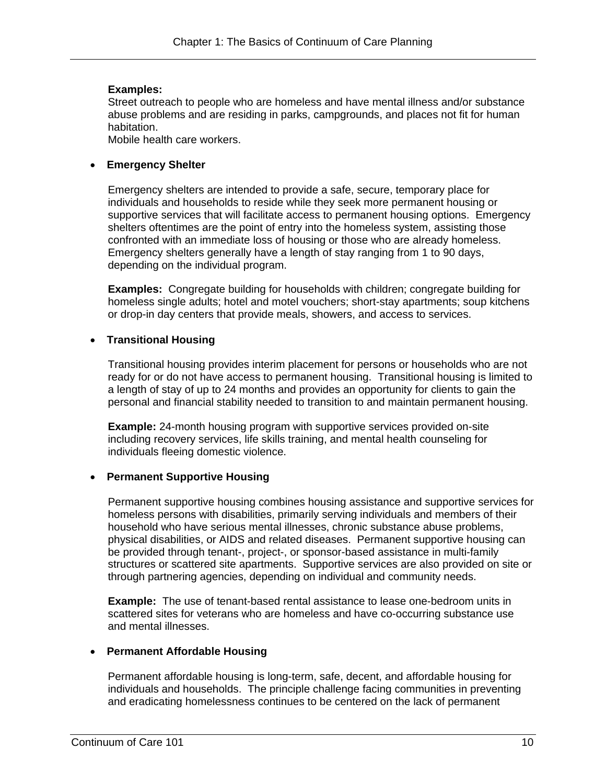#### **Examples:**

Street outreach to people who are homeless and have mental illness and/or substance abuse problems and are residing in parks, campgrounds, and places not fit for human habitation.

Mobile health care workers.

#### **Emergency Shelter**

Emergency shelters are intended to provide a safe, secure, temporary place for individuals and households to reside while they seek more permanent housing or supportive services that will facilitate access to permanent housing options. Emergency shelters oftentimes are the point of entry into the homeless system, assisting those confronted with an immediate loss of housing or those who are already homeless. Emergency shelters generally have a length of stay ranging from 1 to 90 days, depending on the individual program.

**Examples:** Congregate building for households with children; congregate building for homeless single adults; hotel and motel vouchers; short-stay apartments; soup kitchens or drop-in day centers that provide meals, showers, and access to services.

#### **Transitional Housing**

Transitional housing provides interim placement for persons or households who are not ready for or do not have access to permanent housing. Transitional housing is limited to a length of stay of up to 24 months and provides an opportunity for clients to gain the personal and financial stability needed to transition to and maintain permanent housing.

**Example:** 24-month housing program with supportive services provided on-site including recovery services, life skills training, and mental health counseling for individuals fleeing domestic violence.

#### **Permanent Supportive Housing**

Permanent supportive housing combines housing assistance and supportive services for homeless persons with disabilities, primarily serving individuals and members of their household who have serious mental illnesses, chronic substance abuse problems, physical disabilities, or AIDS and related diseases. Permanent supportive housing can be provided through tenant-, project-, or sponsor-based assistance in multi-family structures or scattered site apartments. Supportive services are also provided on site or through partnering agencies, depending on individual and community needs.

**Example:** The use of tenant-based rental assistance to lease one-bedroom units in scattered sites for veterans who are homeless and have co-occurring substance use and mental illnesses.

#### **Permanent Affordable Housing**

Permanent affordable housing is long-term, safe, decent, and affordable housing for individuals and households. The principle challenge facing communities in preventing and eradicating homelessness continues to be centered on the lack of permanent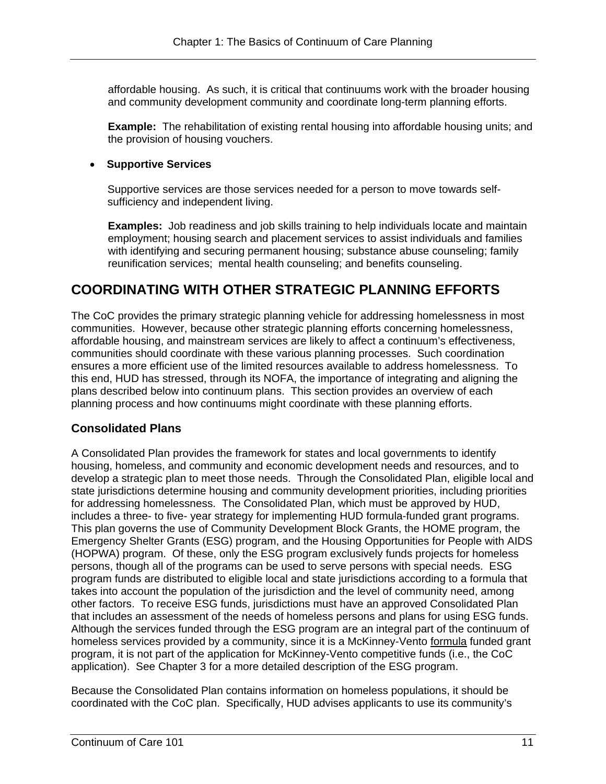affordable housing. As such, it is critical that continuums work with the broader housing and community development community and coordinate long-term planning efforts.

**Example:** The rehabilitation of existing rental housing into affordable housing units; and the provision of housing vouchers.

#### **Supportive Services**

Supportive services are those services needed for a person to move towards selfsufficiency and independent living.

**Examples:** Job readiness and job skills training to help individuals locate and maintain employment; housing search and placement services to assist individuals and families with identifying and securing permanent housing; substance abuse counseling; family reunification services; mental health counseling; and benefits counseling.

# **COORDINATING WITH OTHER STRATEGIC PLANNING EFFORTS**

The CoC provides the primary strategic planning vehicle for addressing homelessness in most communities. However, because other strategic planning efforts concerning homelessness, affordable housing, and mainstream services are likely to affect a continuum's effectiveness, communities should coordinate with these various planning processes. Such coordination ensures a more efficient use of the limited resources available to address homelessness. To this end, HUD has stressed, through its NOFA, the importance of integrating and aligning the plans described below into continuum plans. This section provides an overview of each planning process and how continuums might coordinate with these planning efforts.

### **Consolidated Plans**

A Consolidated Plan provides the framework for states and local governments to identify housing, homeless, and community and economic development needs and resources, and to develop a strategic plan to meet those needs. Through the Consolidated Plan, eligible local and state jurisdictions determine housing and community development priorities, including priorities for addressing homelessness. The Consolidated Plan, which must be approved by HUD, includes a three- to five- year strategy for implementing HUD formula-funded grant programs. This plan governs the use of Community Development Block Grants, the HOME program, the Emergency Shelter Grants (ESG) program, and the Housing Opportunities for People with AIDS (HOPWA) program. Of these, only the ESG program exclusively funds projects for homeless persons, though all of the programs can be used to serve persons with special needs. ESG program funds are distributed to eligible local and state jurisdictions according to a formula that takes into account the population of the jurisdiction and the level of community need, among other factors. To receive ESG funds, jurisdictions must have an approved Consolidated Plan that includes an assessment of the needs of homeless persons and plans for using ESG funds. Although the services funded through the ESG program are an integral part of the continuum of homeless services provided by a community, since it is a McKinney-Vento formula funded grant program, it is not part of the application for McKinney-Vento competitive funds (i.e., the CoC application). See Chapter 3 for a more detailed description of the ESG program.

Because the Consolidated Plan contains information on homeless populations, it should be coordinated with the CoC plan. Specifically, HUD advises applicants to use its community's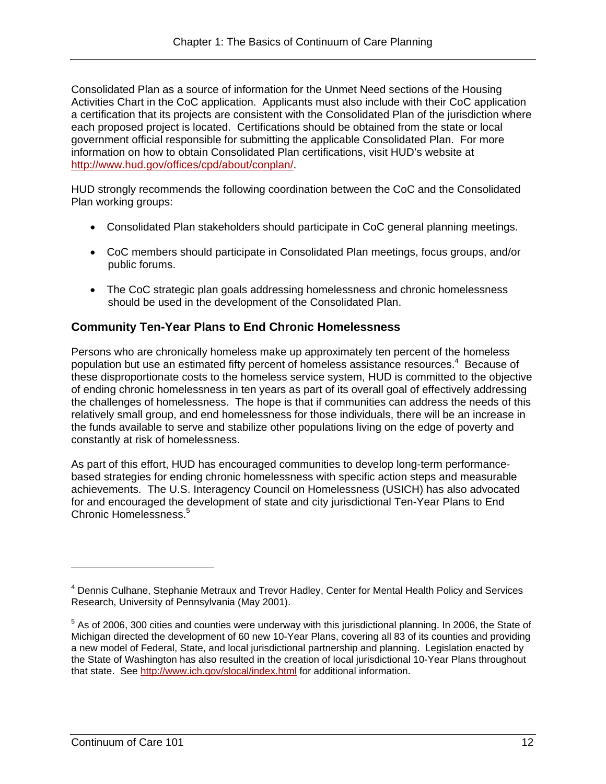http://www.hud.gov/offices/cpd/about/conplan/. Consolidated Plan as a source of information for the Unmet Need sections of the Housing Activities Chart in the CoC application. Applicants must also include with their CoC application a certification that its projects are consistent with the Consolidated Plan of the jurisdiction where each proposed project is located. Certifications should be obtained from the state or local government official responsible for submitting the applicable Consolidated Plan. For more information on how to obtain Consolidated Plan certifications, visit HUD's website at

HUD strongly recommends the following coordination between the CoC and the Consolidated Plan working groups:

- Consolidated Plan stakeholders should participate in CoC general planning meetings.
- CoC members should participate in Consolidated Plan meetings, focus groups, and/or public forums.
- The CoC strategic plan goals addressing homelessness and chronic homelessness should be used in the development of the Consolidated Plan.

### **Community Ten-Year Plans to End Chronic Homelessness**

Persons who are chronically homeless make up approximately ten percent of the homeless population but use an estimated fifty percent of homeless assistance resources.4 Because of these disproportionate costs to the homeless service system, HUD is committed to the objective of ending chronic homelessness in ten years as part of its overall goal of effectively addressing the challenges of homelessness. The hope is that if communities can address the needs of this relatively small group, and end homelessness for those individuals, there will be an increase in the funds available to serve and stabilize other populations living on the edge of poverty and constantly at risk of homelessness.

As part of this effort, HUD has encouraged communities to develop long-term performancebased strategies for ending chronic homelessness with specific action steps and measurable achievements. The U.S. Interagency Council on Homelessness (USICH) has also advocated for and encouraged the development of state and city jurisdictional Ten-Year Plans to End Chronic Homelessness.<sup>5</sup>

<sup>&</sup>lt;sup>4</sup> Dennis Culhane, Stephanie Metraux and Trevor Hadley, Center for Mental Health Policy and Services Research, University of Pennsylvania (May 2001).

 $<sup>5</sup>$  As of 2006, 300 cities and counties were underway with this jurisdictional planning. In 2006, the State of</sup> Michigan directed the development of 60 new 10-Year Plans, covering all 83 of its counties and providing a new model of Federal, State, and local jurisdictional partnership and planning. Legislation enacted by the State of Washington has also resulted in the creation of local jurisdictional 10-Year Plans throughout that state. See http://www.ich.gov/slocal/index.html for additional information.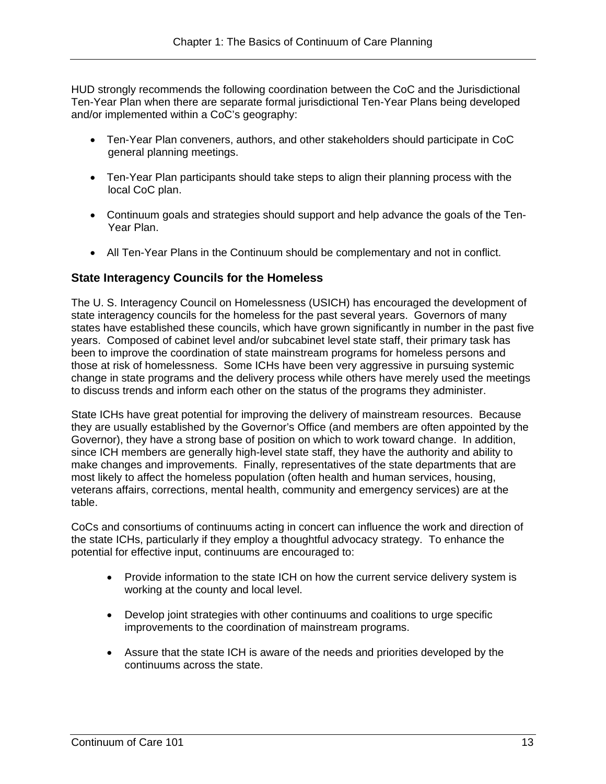HUD strongly recommends the following coordination between the CoC and the Jurisdictional Ten-Year Plan when there are separate formal jurisdictional Ten-Year Plans being developed and/or implemented within a CoC's geography:

- Ten-Year Plan conveners, authors, and other stakeholders should participate in CoC general planning meetings.
- Ten-Year Plan participants should take steps to align their planning process with the local CoC plan.
- Continuum goals and strategies should support and help advance the goals of the Ten-Year Plan.
- All Ten-Year Plans in the Continuum should be complementary and not in conflict.

#### **State Interagency Councils for the Homeless**

The U. S. Interagency Council on Homelessness (USICH) has encouraged the development of state interagency councils for the homeless for the past several years. Governors of many states have established these councils, which have grown significantly in number in the past five years. Composed of cabinet level and/or subcabinet level state staff, their primary task has been to improve the coordination of state mainstream programs for homeless persons and those at risk of homelessness. Some ICHs have been very aggressive in pursuing systemic change in state programs and the delivery process while others have merely used the meetings to discuss trends and inform each other on the status of the programs they administer.

State ICHs have great potential for improving the delivery of mainstream resources. Because they are usually established by the Governor's Office (and members are often appointed by the Governor), they have a strong base of position on which to work toward change. In addition, since ICH members are generally high-level state staff, they have the authority and ability to make changes and improvements. Finally, representatives of the state departments that are most likely to affect the homeless population (often health and human services, housing, veterans affairs, corrections, mental health, community and emergency services) are at the table.

CoCs and consortiums of continuums acting in concert can influence the work and direction of the state ICHs, particularly if they employ a thoughtful advocacy strategy. To enhance the potential for effective input, continuums are encouraged to:

- Provide information to the state ICH on how the current service delivery system is working at the county and local level.
- Develop joint strategies with other continuums and coalitions to urge specific improvements to the coordination of mainstream programs.
- Assure that the state ICH is aware of the needs and priorities developed by the continuums across the state.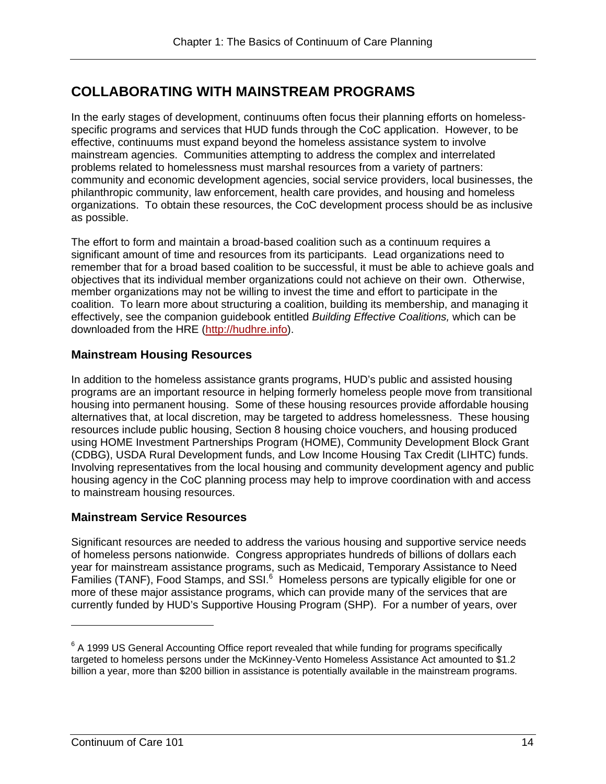# **COLLABORATING WITH MAINSTREAM PROGRAMS**

problems related to homelessness must marshal resources from a variety of partners: In the early stages of development, continuums often focus their planning efforts on homelessspecific programs and services that HUD funds through the CoC application. However, to be effective, continuums must expand beyond the homeless assistance system to involve mainstream agencies. Communities attempting to address the complex and interrelated community and economic development agencies, social service providers, local businesses, the philanthropic community, law enforcement, health care provides, and housing and homeless organizations. To obtain these resources, the CoC development process should be as inclusive as possible.

The effort to form and maintain a broad-based coalition such as a continuum requires a significant amount of time and resources from its participants. Lead organizations need to remember that for a broad based coalition to be successful, it must be able to achieve goals and objectives that its individual member organizations could not achieve on their own. Otherwise, member organizations may not be willing to invest the time and effort to participate in the coalition. To learn more about structuring a coalition, building its membership, and managing it effectively, see the companion guidebook entitled *Building Effective Coalitions,* which can be downloaded from the HRE (http://hudhre.info).

### **Mainstream Housing Resources**

In addition to the homeless assistance grants programs, HUD's public and assisted housing programs are an important resource in helping formerly homeless people move from transitional housing into permanent housing. Some of these housing resources provide affordable housing alternatives that, at local discretion, may be targeted to address homelessness. These housing resources include public housing, Section 8 housing choice vouchers, and housing produced using HOME Investment Partnerships Program (HOME), Community Development Block Grant (CDBG), USDA Rural Development funds, and Low Income Housing Tax Credit (LIHTC) funds. Involving representatives from the local housing and community development agency and public housing agency in the CoC planning process may help to improve coordination with and access to mainstream housing resources.

#### **Mainstream Service Resources**

Significant resources are needed to address the various housing and supportive service needs of homeless persons nationwide. Congress appropriates hundreds of billions of dollars each year for mainstream assistance programs, such as Medicaid, Temporary Assistance to Need Families (TANF), Food Stamps, and SSI.<sup>6</sup> Homeless persons are typically eligible for one or more of these major assistance programs, which can provide many of the services that are currently funded by HUD's Supportive Housing Program (SHP). For a number of years, over

 $\overline{a}$ 

 $6$  A 1999 US General Accounting Office report revealed that while funding for programs specifically targeted to homeless persons under the McKinney-Vento Homeless Assistance Act amounted to \$1.2 billion a year, more than \$200 billion in assistance is potentially available in the mainstream programs.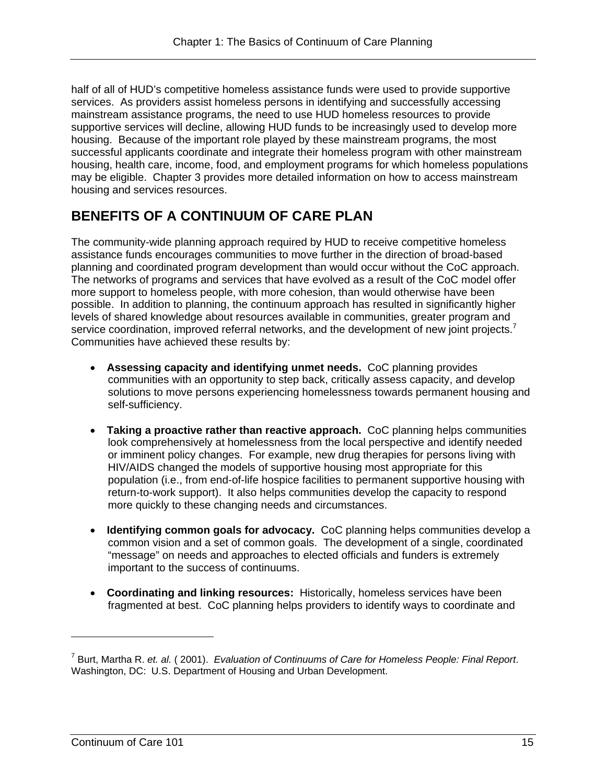half of all of HUD's competitive homeless assistance funds were used to provide supportive services. As providers assist homeless persons in identifying and successfully accessing mainstream assistance programs, the need to use HUD homeless resources to provide supportive services will decline, allowing HUD funds to be increasingly used to develop more housing. Because of the important role played by these mainstream programs, the most successful applicants coordinate and integrate their homeless program with other mainstream housing, health care, income, food, and employment programs for which homeless populations may be eligible. Chapter 3 provides more detailed information on how to access mainstream housing and services resources.

# **BENEFITS OF A CONTINUUM OF CARE PLAN**

service coordination, improved referral networks, and the development of new joint projects.<sup>7</sup> The community-wide planning approach required by HUD to receive competitive homeless assistance funds encourages communities to move further in the direction of broad-based planning and coordinated program development than would occur without the CoC approach. The networks of programs and services that have evolved as a result of the CoC model offer more support to homeless people, with more cohesion, than would otherwise have been possible. In addition to planning, the continuum approach has resulted in significantly higher levels of shared knowledge about resources available in communities, greater program and Communities have achieved these results by:

- **Assessing capacity and identifying unmet needs.** CoC planning provides communities with an opportunity to step back, critically assess capacity, and develop solutions to move persons experiencing homelessness towards permanent housing and self-sufficiency.
- **Taking a proactive rather than reactive approach.** CoC planning helps communities look comprehensively at homelessness from the local perspective and identify needed or imminent policy changes. For example, new drug therapies for persons living with HIV/AIDS changed the models of supportive housing most appropriate for this population (i.e., from end-of-life hospice facilities to permanent supportive housing with return-to-work support). It also helps communities develop the capacity to respond more quickly to these changing needs and circumstances.
- **Identifying common goals for advocacy.** CoC planning helps communities develop a common vision and a set of common goals. The development of a single, coordinated "message" on needs and approaches to elected officials and funders is extremely important to the success of continuums.
- **Coordinating and linking resources:** Historically, homeless services have been fragmented at best. CoC planning helps providers to identify ways to coordinate and

<sup>7</sup> Burt, Martha R. *et. al.* ( 2001). *Evaluation of Continuums of Care for Homeless People: Final Report*. Washington, DC: U.S. Department of Housing and Urban Development.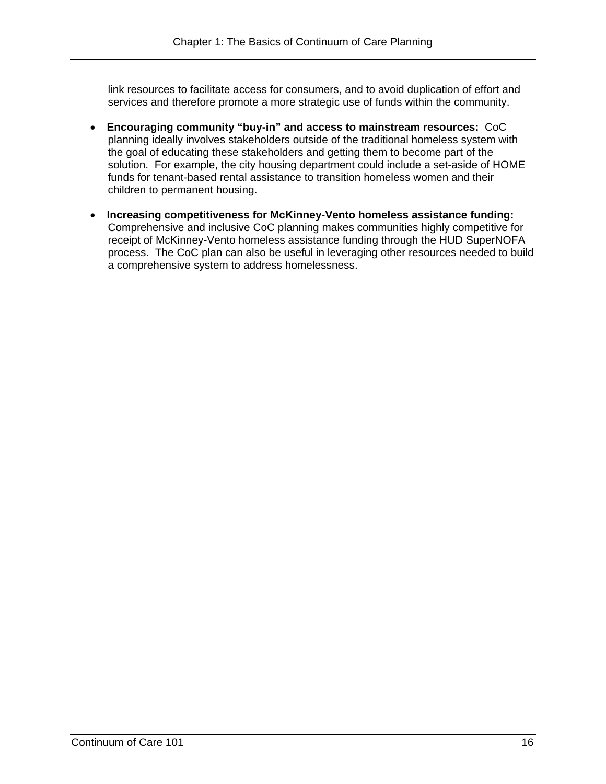link resources to facilitate access for consumers, and to avoid duplication of effort and services and therefore promote a more strategic use of funds within the community.

- **Encouraging community "buy-in" and access to mainstream resources:** CoC planning ideally involves stakeholders outside of the traditional homeless system with the goal of educating these stakeholders and getting them to become part of the solution. For example, the city housing department could include a set-aside of HOME funds for tenant-based rental assistance to transition homeless women and their children to permanent housing.
- **Increasing competitiveness for McKinney-Vento homeless assistance funding:**  Comprehensive and inclusive CoC planning makes communities highly competitive for receipt of McKinney-Vento homeless assistance funding through the HUD SuperNOFA process. The CoC plan can also be useful in leveraging other resources needed to build a comprehensive system to address homelessness.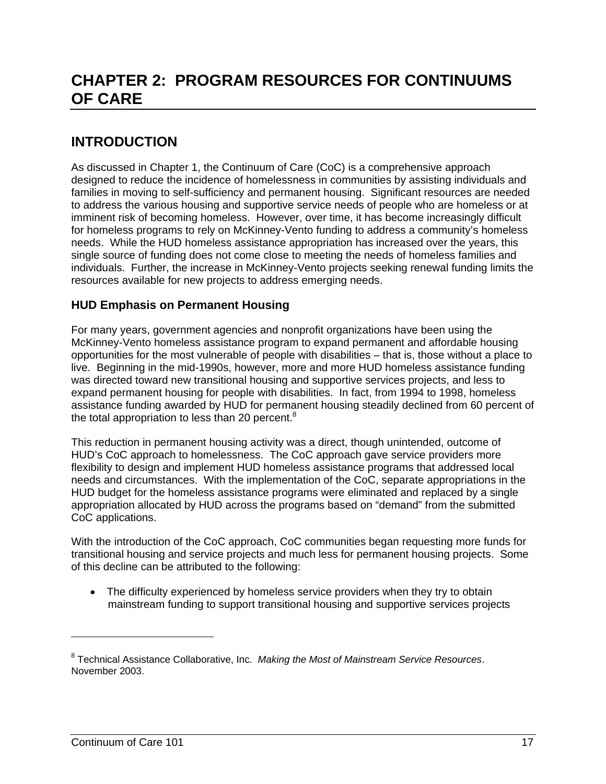# **CHAPTER 2: PROGRAM RESOURCES FOR CONTINUUMS OF CARE**

# **INTRODUCTION**

As discussed in Chapter 1, the Continuum of Care (CoC) is a comprehensive approach designed to reduce the incidence of homelessness in communities by assisting individuals and families in moving to self-sufficiency and permanent housing. Significant resources are needed to address the various housing and supportive service needs of people who are homeless or at imminent risk of becoming homeless. However, over time, it has become increasingly difficult for homeless programs to rely on McKinney-Vento funding to address a community's homeless needs. While the HUD homeless assistance appropriation has increased over the years, this single source of funding does not come close to meeting the needs of homeless families and individuals. Further, the increase in McKinney-Vento projects seeking renewal funding limits the resources available for new projects to address emerging needs.

### **HUD Emphasis on Permanent Housing**

For many years, government agencies and nonprofit organizations have been using the McKinney-Vento homeless assistance program to expand permanent and affordable housing opportunities for the most vulnerable of people with disabilities – that is, those without a place to live. Beginning in the mid-1990s, however, more and more HUD homeless assistance funding was directed toward new transitional housing and supportive services projects, and less to expand permanent housing for people with disabilities. In fact, from 1994 to 1998, homeless assistance funding awarded by HUD for permanent housing steadily declined from 60 percent of the total appropriation to less than 20 percent. $8$ 

This reduction in permanent housing activity was a direct, though unintended, outcome of HUD's CoC approach to homelessness. The CoC approach gave service providers more flexibility to design and implement HUD homeless assistance programs that addressed local needs and circumstances. With the implementation of the CoC, separate appropriations in the HUD budget for the homeless assistance programs were eliminated and replaced by a single appropriation allocated by HUD across the programs based on "demand" from the submitted CoC applications.

With the introduction of the CoC approach, CoC communities began requesting more funds for transitional housing and service projects and much less for permanent housing projects. Some of this decline can be attributed to the following:

• The difficulty experienced by homeless service providers when they try to obtain mainstream funding to support transitional housing and supportive services projects

 $\overline{a}$ 

<sup>8</sup> Technical Assistance Collaborative, Inc. *Making the Most of Mainstream Service Resources*. November 2003.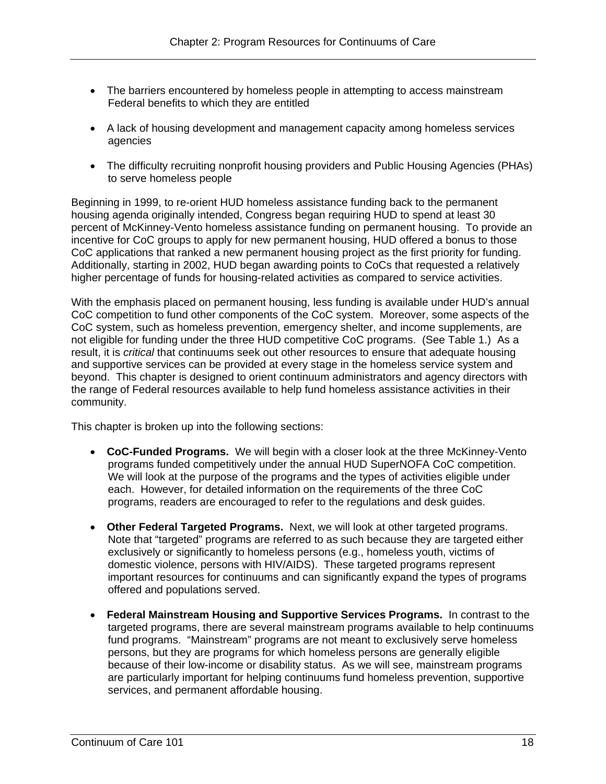- The barriers encountered by homeless people in attempting to access mainstream Federal benefits to which they are entitled
- A lack of housing development and management capacity among homeless services agencies
- The difficulty recruiting nonprofit housing providers and Public Housing Agencies (PHAs) to serve homeless people

Beginning in 1999, to re-orient HUD homeless assistance funding back to the permanent housing agenda originally intended, Congress began requiring HUD to spend at least 30 percent of McKinney-Vento homeless assistance funding on permanent housing. To provide an incentive for CoC groups to apply for new permanent housing, HUD offered a bonus to those CoC applications that ranked a new permanent housing project as the first priority for funding. Additionally, starting in 2002, HUD began awarding points to CoCs that requested a relatively higher percentage of funds for housing-related activities as compared to service activities.

With the emphasis placed on permanent housing, less funding is available under HUD's annual CoC competition to fund other components of the CoC system. Moreover, some aspects of the CoC system, such as homeless prevention, emergency shelter, and income supplements, are not eligible for funding under the three HUD competitive CoC programs. (See Table 1.) As a result, it is *critical* that continuums seek out other resources to ensure that adequate housing and supportive services can be provided at every stage in the homeless service system and beyond. This chapter is designed to orient continuum administrators and agency directors with the range of Federal resources available to help fund homeless assistance activities in their community.

This chapter is broken up into the following sections:

- **CoC-Funded Programs.** We will begin with a closer look at the three McKinney-Vento programs funded competitively under the annual HUD SuperNOFA CoC competition. We will look at the purpose of the programs and the types of activities eligible under each. However, for detailed information on the requirements of the three CoC programs, readers are encouraged to refer to the regulations and desk guides.
- **Other Federal Targeted Programs.** Next, we will look at other targeted programs. Note that "targeted" programs are referred to as such because they are targeted either exclusively or significantly to homeless persons (e.g., homeless youth, victims of domestic violence, persons with HIV/AIDS). These targeted programs represent important resources for continuums and can significantly expand the types of programs offered and populations served.
- **Federal Mainstream Housing and Supportive Services Programs.** In contrast to the targeted programs, there are several mainstream programs available to help continuums fund programs. "Mainstream" programs are not meant to exclusively serve homeless persons, but they are programs for which homeless persons are generally eligible because of their low-income or disability status. As we will see, mainstream programs are particularly important for helping continuums fund homeless prevention, supportive services, and permanent affordable housing.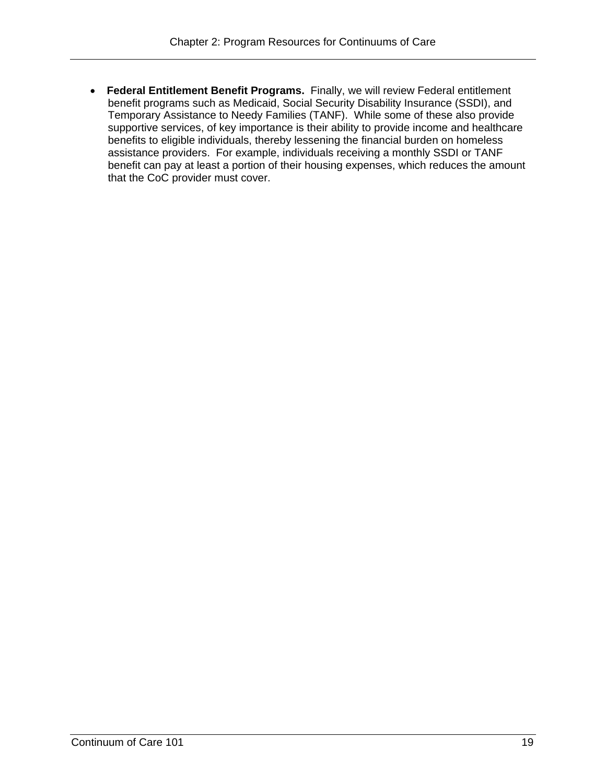**Federal Entitlement Benefit Programs.** Finally, we will review Federal entitlement benefit programs such as Medicaid, Social Security Disability Insurance (SSDI), and Temporary Assistance to Needy Families (TANF). While some of these also provide supportive services, of key importance is their ability to provide income and healthcare benefits to eligible individuals, thereby lessening the financial burden on homeless assistance providers. For example, individuals receiving a monthly SSDI or TANF benefit can pay at least a portion of their housing expenses, which reduces the amount that the CoC provider must cover.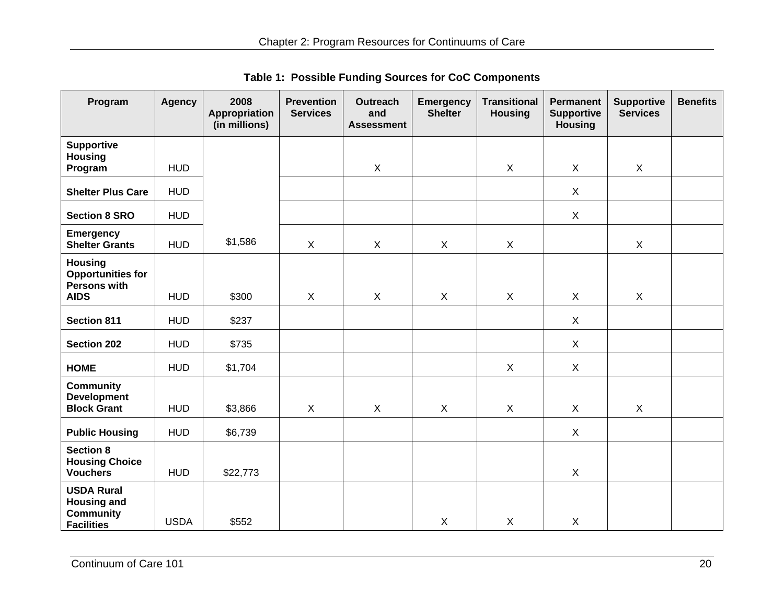| Program                                                                          | <b>Agency</b> | 2008<br>Appropriation<br>(in millions) | <b>Prevention</b><br><b>Services</b> | <b>Outreach</b><br>and<br><b>Assessment</b> | <b>Emergency</b><br><b>Shelter</b> | <b>Transitional</b><br><b>Housing</b> | <b>Permanent</b><br><b>Supportive</b><br><b>Housing</b> | <b>Supportive</b><br><b>Services</b> | <b>Benefits</b> |
|----------------------------------------------------------------------------------|---------------|----------------------------------------|--------------------------------------|---------------------------------------------|------------------------------------|---------------------------------------|---------------------------------------------------------|--------------------------------------|-----------------|
| <b>Supportive</b><br><b>Housing</b><br>Program                                   | <b>HUD</b>    |                                        |                                      | $\mathsf{X}$                                |                                    | $\boldsymbol{\mathsf{X}}$             | $\mathsf{X}$                                            | $\mathsf{X}$                         |                 |
| <b>Shelter Plus Care</b>                                                         | <b>HUD</b>    |                                        |                                      |                                             |                                    |                                       | $\mathsf{X}$                                            |                                      |                 |
| <b>Section 8 SRO</b>                                                             | <b>HUD</b>    |                                        |                                      |                                             |                                    |                                       | $\mathsf{X}$                                            |                                      |                 |
| <b>Emergency</b><br><b>Shelter Grants</b>                                        | <b>HUD</b>    | \$1,586                                | $\mathsf{X}$                         | $\sf X$                                     | X                                  | $\boldsymbol{\mathsf{X}}$             |                                                         | $\mathsf{X}$                         |                 |
| <b>Housing</b><br><b>Opportunities for</b><br>Persons with<br><b>AIDS</b>        | <b>HUD</b>    | \$300                                  | X                                    | $\sf X$                                     | $\mathsf{X}$                       | $\sf X$                               | X                                                       | X                                    |                 |
| <b>Section 811</b>                                                               | <b>HUD</b>    | \$237                                  |                                      |                                             |                                    |                                       | X                                                       |                                      |                 |
| <b>Section 202</b>                                                               | <b>HUD</b>    | \$735                                  |                                      |                                             |                                    |                                       | X                                                       |                                      |                 |
| <b>HOME</b>                                                                      | <b>HUD</b>    | \$1,704                                |                                      |                                             |                                    | $\mathsf{X}$                          | X                                                       |                                      |                 |
| <b>Community</b><br><b>Development</b><br><b>Block Grant</b>                     | <b>HUD</b>    | \$3,866                                | X                                    | $\sf X$                                     | X                                  | $\sf X$                               | X                                                       | X                                    |                 |
| <b>Public Housing</b>                                                            | <b>HUD</b>    | \$6,739                                |                                      |                                             |                                    |                                       | X                                                       |                                      |                 |
| <b>Section 8</b><br><b>Housing Choice</b><br><b>Vouchers</b>                     | <b>HUD</b>    | \$22,773                               |                                      |                                             |                                    |                                       | X                                                       |                                      |                 |
| <b>USDA Rural</b><br><b>Housing and</b><br><b>Community</b><br><b>Facilities</b> | <b>USDA</b>   | \$552                                  |                                      |                                             | X                                  | $\mathsf{X}$                          | X                                                       |                                      |                 |

**Table 1: Possible Funding Sources for CoC Components**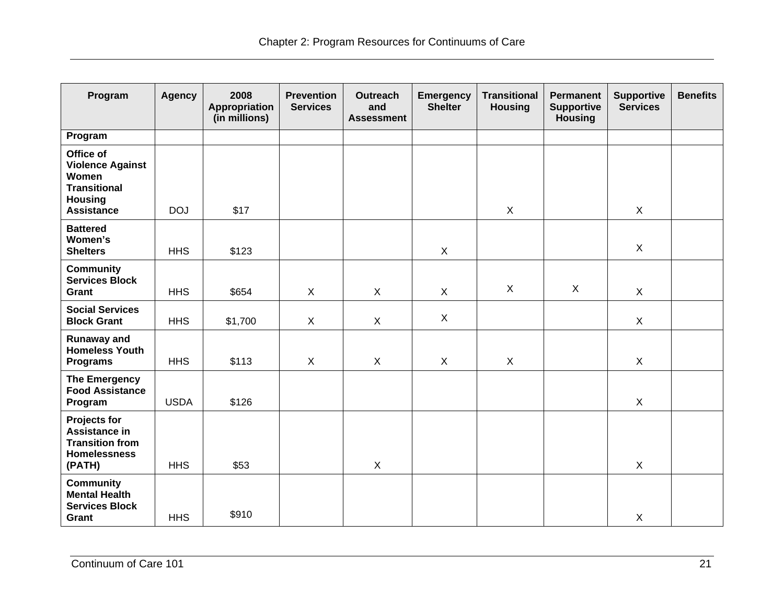| Program                                                                                                            | <b>Agency</b> | 2008<br>Appropriation<br>(in millions) | <b>Prevention</b><br><b>Services</b> | <b>Outreach</b><br>and<br><b>Assessment</b> | <b>Emergency</b><br><b>Shelter</b> | <b>Transitional</b><br><b>Housing</b> | <b>Permanent</b><br><b>Supportive</b><br><b>Housing</b> | <b>Supportive</b><br><b>Services</b> | <b>Benefits</b> |
|--------------------------------------------------------------------------------------------------------------------|---------------|----------------------------------------|--------------------------------------|---------------------------------------------|------------------------------------|---------------------------------------|---------------------------------------------------------|--------------------------------------|-----------------|
| Program                                                                                                            |               |                                        |                                      |                                             |                                    |                                       |                                                         |                                      |                 |
| Office of<br><b>Violence Against</b><br><b>Women</b><br><b>Transitional</b><br><b>Housing</b><br><b>Assistance</b> | <b>DOJ</b>    | \$17                                   |                                      |                                             |                                    | $\mathsf{X}$                          |                                                         | X                                    |                 |
| <b>Battered</b><br>Women's<br><b>Shelters</b>                                                                      | <b>HHS</b>    | \$123                                  |                                      |                                             | $\mathsf{X}$                       |                                       |                                                         | $\mathsf{X}$                         |                 |
| <b>Community</b><br><b>Services Block</b><br>Grant                                                                 | <b>HHS</b>    | \$654                                  | X                                    | X                                           | $\mathsf{X}$                       | X                                     | X                                                       | $\mathsf{X}$                         |                 |
| <b>Social Services</b><br><b>Block Grant</b>                                                                       | <b>HHS</b>    | \$1,700                                | X                                    | $\mathsf{X}$                                | $\mathsf{X}$                       |                                       |                                                         | $\mathsf{X}$                         |                 |
| <b>Runaway and</b><br><b>Homeless Youth</b><br><b>Programs</b>                                                     | <b>HHS</b>    | \$113                                  | $\pmb{\times}$                       | $\mathsf{X}$                                | $\mathsf{X}$                       | $\mathsf{X}$                          |                                                         | X                                    |                 |
| <b>The Emergency</b><br><b>Food Assistance</b><br>Program                                                          | <b>USDA</b>   | \$126                                  |                                      |                                             |                                    |                                       |                                                         | $\mathsf{X}$                         |                 |
| <b>Projects for</b><br>Assistance in<br><b>Transition from</b><br><b>Homelessness</b><br>(PATH)                    | <b>HHS</b>    | \$53                                   |                                      | $\mathsf{X}$                                |                                    |                                       |                                                         | $\mathsf{X}$                         |                 |
| <b>Community</b><br><b>Mental Health</b><br><b>Services Block</b><br>Grant                                         | <b>HHS</b>    | \$910                                  |                                      |                                             |                                    |                                       |                                                         | $\mathsf X$                          |                 |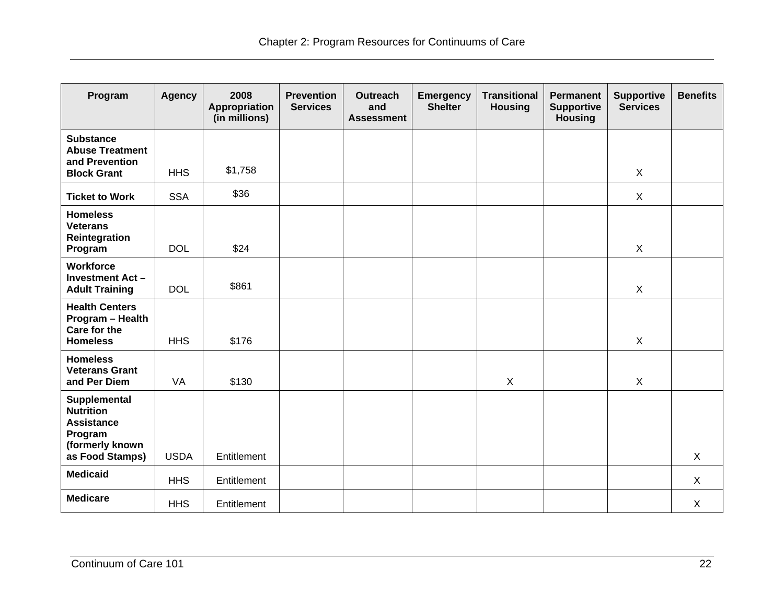| Program                                                                                    | <b>Agency</b> | 2008<br>Appropriation<br>(in millions) | <b>Prevention</b><br><b>Services</b> | <b>Outreach</b><br>and<br><b>Assessment</b> | <b>Emergency</b><br><b>Shelter</b> | <b>Transitional</b><br><b>Housing</b> | <b>Permanent</b><br><b>Supportive</b><br><b>Housing</b> | <b>Supportive</b><br><b>Services</b> | <b>Benefits</b> |
|--------------------------------------------------------------------------------------------|---------------|----------------------------------------|--------------------------------------|---------------------------------------------|------------------------------------|---------------------------------------|---------------------------------------------------------|--------------------------------------|-----------------|
| <b>Substance</b><br><b>Abuse Treatment</b><br>and Prevention                               |               |                                        |                                      |                                             |                                    |                                       |                                                         |                                      |                 |
| <b>Block Grant</b>                                                                         | <b>HHS</b>    | \$1,758                                |                                      |                                             |                                    |                                       |                                                         | $\mathsf{X}$                         |                 |
| <b>Ticket to Work</b>                                                                      | <b>SSA</b>    | \$36                                   |                                      |                                             |                                    |                                       |                                                         | $\mathsf{X}$                         |                 |
| <b>Homeless</b><br><b>Veterans</b><br>Reintegration<br>Program                             | <b>DOL</b>    | \$24                                   |                                      |                                             |                                    |                                       |                                                         | $\sf X$                              |                 |
| <b>Workforce</b><br><b>Investment Act -</b><br><b>Adult Training</b>                       | <b>DOL</b>    | \$861                                  |                                      |                                             |                                    |                                       |                                                         | $\mathsf{X}$                         |                 |
| <b>Health Centers</b><br>Program - Health<br>Care for the<br><b>Homeless</b>               | <b>HHS</b>    | \$176                                  |                                      |                                             |                                    |                                       |                                                         | $\pmb{\times}$                       |                 |
| <b>Homeless</b><br><b>Veterans Grant</b><br>and Per Diem                                   | VA            | \$130                                  |                                      |                                             |                                    | $\mathsf{X}$                          |                                                         | $\pmb{\times}$                       |                 |
| <b>Supplemental</b><br><b>Nutrition</b><br><b>Assistance</b><br>Program<br>(formerly known |               |                                        |                                      |                                             |                                    |                                       |                                                         |                                      |                 |
| as Food Stamps)                                                                            | <b>USDA</b>   | Entitlement                            |                                      |                                             |                                    |                                       |                                                         |                                      | $\mathsf{X}$    |
| <b>Medicaid</b>                                                                            | <b>HHS</b>    | Entitlement                            |                                      |                                             |                                    |                                       |                                                         |                                      | $\mathsf{X}$    |
| <b>Medicare</b>                                                                            | <b>HHS</b>    | Entitlement                            |                                      |                                             |                                    |                                       |                                                         |                                      | $\mathsf{X}$    |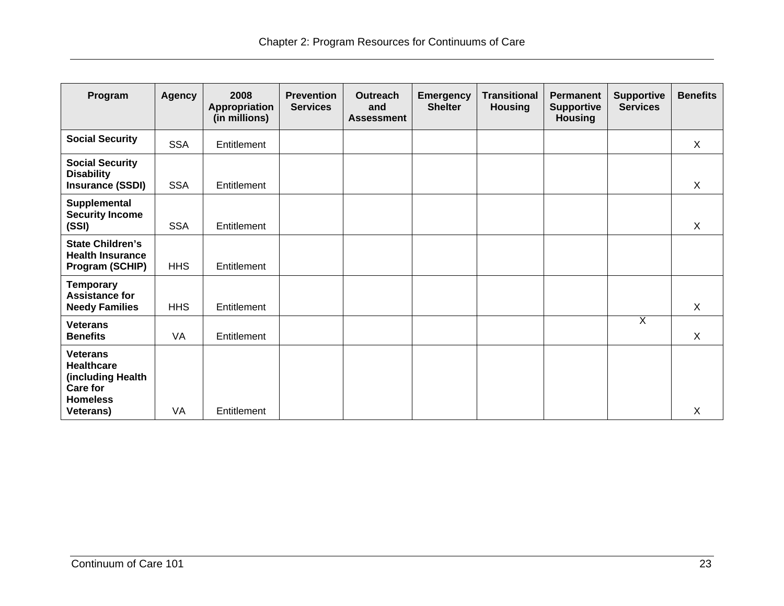| Program                                                                                                             | <b>Agency</b> | 2008<br>Appropriation<br>(in millions) | <b>Prevention</b><br><b>Services</b> | <b>Outreach</b><br>and<br><b>Assessment</b> | <b>Emergency</b><br><b>Shelter</b> | <b>Transitional</b><br><b>Housing</b> | <b>Permanent</b><br><b>Supportive</b><br><b>Housing</b> | <b>Supportive</b><br><b>Services</b> | <b>Benefits</b> |
|---------------------------------------------------------------------------------------------------------------------|---------------|----------------------------------------|--------------------------------------|---------------------------------------------|------------------------------------|---------------------------------------|---------------------------------------------------------|--------------------------------------|-----------------|
| <b>Social Security</b>                                                                                              | <b>SSA</b>    | Entitlement                            |                                      |                                             |                                    |                                       |                                                         |                                      | $\mathsf{X}$    |
| <b>Social Security</b><br><b>Disability</b><br><b>Insurance (SSDI)</b>                                              | <b>SSA</b>    | Entitlement                            |                                      |                                             |                                    |                                       |                                                         |                                      | $\sf X$         |
| Supplemental<br><b>Security Income</b><br>(SSI)                                                                     | <b>SSA</b>    | Entitlement                            |                                      |                                             |                                    |                                       |                                                         |                                      | $\sf X$         |
| <b>State Children's</b><br><b>Health Insurance</b><br>Program (SCHIP)                                               | <b>HHS</b>    | Entitlement                            |                                      |                                             |                                    |                                       |                                                         |                                      |                 |
| <b>Temporary</b><br><b>Assistance for</b><br><b>Needy Families</b>                                                  | <b>HHS</b>    | Entitlement                            |                                      |                                             |                                    |                                       |                                                         |                                      | $\mathsf{X}$    |
| <b>Veterans</b><br><b>Benefits</b>                                                                                  | VA            | Entitlement                            |                                      |                                             |                                    |                                       |                                                         | χ                                    | X               |
| <b>Veterans</b><br><b>Healthcare</b><br>(including Health<br><b>Care for</b><br><b>Homeless</b><br><b>Veterans)</b> | VA            | Entitlement                            |                                      |                                             |                                    |                                       |                                                         |                                      | X               |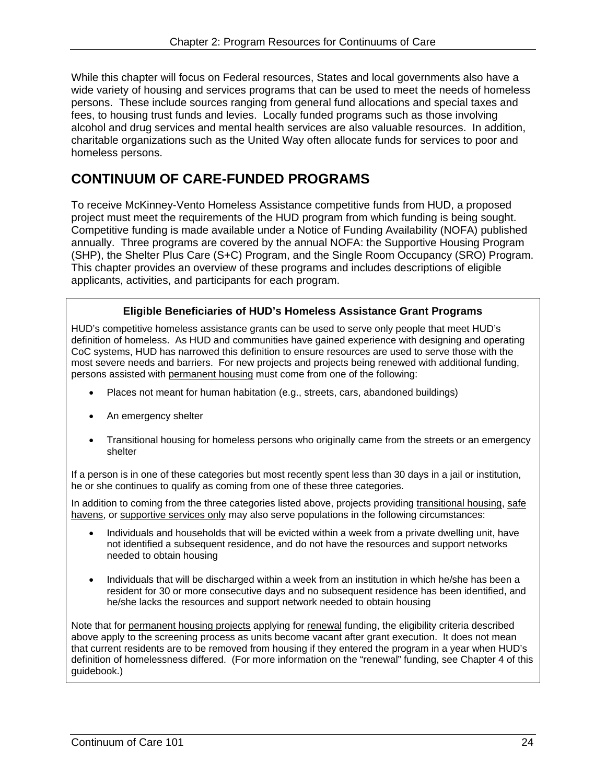While this chapter will focus on Federal resources, States and local governments also have a wide variety of housing and services programs that can be used to meet the needs of homeless persons. These include sources ranging from general fund allocations and special taxes and fees, to housing trust funds and levies. Locally funded programs such as those involving alcohol and drug services and mental health services are also valuable resources. In addition, charitable organizations such as the United Way often allocate funds for services to poor and homeless persons.

# **CONTINUUM OF CARE-FUNDED PROGRAMS**

To receive McKinney-Vento Homeless Assistance competitive funds from HUD, a proposed project must meet the requirements of the HUD program from which funding is being sought. Competitive funding is made available under a Notice of Funding Availability (NOFA) published annually. Three programs are covered by the annual NOFA: the Supportive Housing Program (SHP), the Shelter Plus Care (S+C) Program, and the Single Room Occupancy (SRO) Program. This chapter provides an overview of these programs and includes descriptions of eligible applicants, activities, and participants for each program.

### **Eligible Beneficiaries of HUD's Homeless Assistance Grant Programs**

HUD's competitive homeless assistance grants can be used to serve only people that meet HUD's definition of homeless. As HUD and communities have gained experience with designing and operating CoC systems, HUD has narrowed this definition to ensure resources are used to serve those with the most severe needs and barriers. For new projects and projects being renewed with additional funding, persons assisted with permanent housing must come from one of the following:

- Places not meant for human habitation (e.g., streets, cars, abandoned buildings)
- An emergency shelter
- Transitional housing for homeless persons who originally came from the streets or an emergency shelter

If a person is in one of these categories but most recently spent less than 30 days in a jail or institution, he or she continues to qualify as coming from one of these three categories.

In addition to coming from the three categories listed above, projects providing transitional housing, safe havens, or supportive services only may also serve populations in the following circumstances:

- Individuals and households that will be evicted within a week from a private dwelling unit, have not identified a subsequent residence, and do not have the resources and support networks needed to obtain housing
- Individuals that will be discharged within a week from an institution in which he/she has been a resident for 30 or more consecutive days and no subsequent residence has been identified, and he/she lacks the resources and support network needed to obtain housing

Note that for permanent housing projects applying for renewal funding, the eligibility criteria described above apply to the screening process as units become vacant after grant execution. It does not mean that current residents are to be removed from housing if they entered the program in a year when HUD's definition of homelessness differed. (For more information on the "renewal" funding, see Chapter 4 of this guidebook.)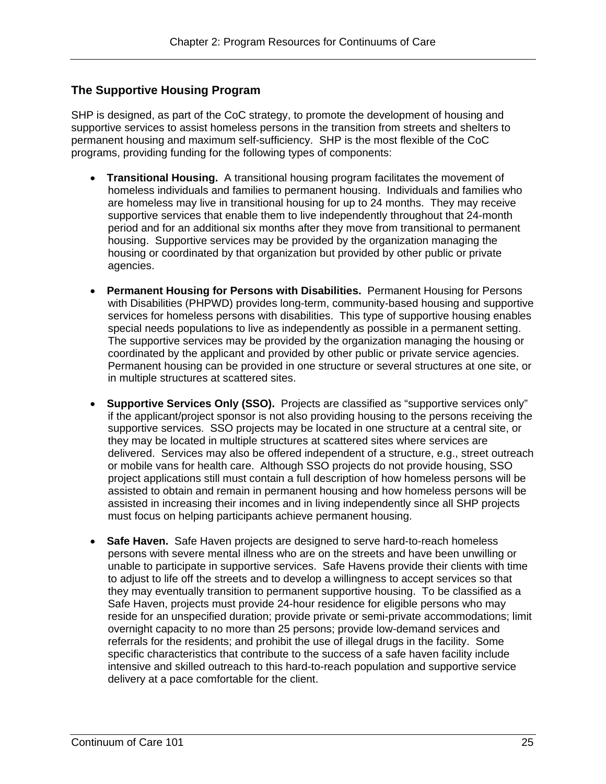#### **The Supportive Housing Program**

SHP is designed, as part of the CoC strategy, to promote the development of housing and supportive services to assist homeless persons in the transition from streets and shelters to permanent housing and maximum self-sufficiency. SHP is the most flexible of the CoC programs, providing funding for the following types of components:

- **Transitional Housing.** A transitional housing program facilitates the movement of homeless individuals and families to permanent housing. Individuals and families who are homeless may live in transitional housing for up to 24 months. They may receive supportive services that enable them to live independently throughout that 24-month period and for an additional six months after they move from transitional to permanent housing. Supportive services may be provided by the organization managing the housing or coordinated by that organization but provided by other public or private agencies.
- special needs populations to live as independently as possible in a permanent setting. **Permanent Housing for Persons with Disabilities.** Permanent Housing for Persons with Disabilities (PHPWD) provides long-term, community-based housing and supportive services for homeless persons with disabilities. This type of supportive housing enables The supportive services may be provided by the organization managing the housing or coordinated by the applicant and provided by other public or private service agencies. Permanent housing can be provided in one structure or several structures at one site, or in multiple structures at scattered sites.
- **Supportive Services Only (SSO).** Projects are classified as "supportive services only" if the applicant/project sponsor is not also providing housing to the persons receiving the supportive services. SSO projects may be located in one structure at a central site, or they may be located in multiple structures at scattered sites where services are delivered. Services may also be offered independent of a structure, e.g., street outreach or mobile vans for health care. Although SSO projects do not provide housing, SSO project applications still must contain a full description of how homeless persons will be assisted to obtain and remain in permanent housing and how homeless persons will be assisted in increasing their incomes and in living independently since all SHP projects must focus on helping participants achieve permanent housing.
- **Safe Haven.** Safe Haven projects are designed to serve hard-to-reach homeless persons with severe mental illness who are on the streets and have been unwilling or unable to participate in supportive services. Safe Havens provide their clients with time to adjust to life off the streets and to develop a willingness to accept services so that they may eventually transition to permanent supportive housing. To be classified as a Safe Haven, projects must provide 24-hour residence for eligible persons who may reside for an unspecified duration; provide private or semi-private accommodations; limit overnight capacity to no more than 25 persons; provide low-demand services and referrals for the residents; and prohibit the use of illegal drugs in the facility. Some specific characteristics that contribute to the success of a safe haven facility include intensive and skilled outreach to this hard-to-reach population and supportive service delivery at a pace comfortable for the client.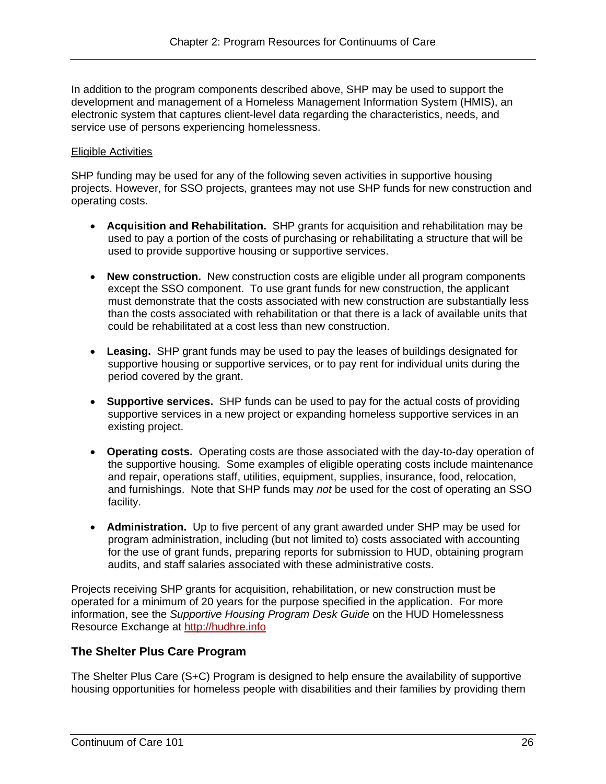In addition to the program components described above, SHP may be used to support the development and management of a Homeless Management Information System (HMIS), an electronic system that captures client-level data regarding the characteristics, needs, and service use of persons experiencing homelessness.

#### Eligible Activities

SHP funding may be used for any of the following seven activities in supportive housing projects. However, for SSO projects, grantees may not use SHP funds for new construction and operating costs.

- **Acquisition and Rehabilitation.** SHP grants for acquisition and rehabilitation may be used to pay a portion of the costs of purchasing or rehabilitating a structure that will be used to provide supportive housing or supportive services.
- **New construction.** New construction costs are eligible under all program components except the SSO component. To use grant funds for new construction, the applicant must demonstrate that the costs associated with new construction are substantially less than the costs associated with rehabilitation or that there is a lack of available units that could be rehabilitated at a cost less than new construction.
- **Leasing.** SHP grant funds may be used to pay the leases of buildings designated for supportive housing or supportive services, or to pay rent for individual units during the period covered by the grant.
- **Supportive services.** SHP funds can be used to pay for the actual costs of providing supportive services in a new project or expanding homeless supportive services in an existing project.
- **Operating costs.** Operating costs are those associated with the day-to-day operation of the supportive housing. Some examples of eligible operating costs include maintenance and repair, operations staff, utilities, equipment, supplies, insurance, food, relocation, and furnishings. Note that SHP funds may *not* be used for the cost of operating an SSO facility.
- **Administration.** Up to five percent of any grant awarded under SHP may be used for program administration, including (but not limited to) costs associated with accounting for the use of grant funds, preparing reports for submission to HUD, obtaining program audits, and staff salaries associated with these administrative costs.

Resource Exchange at http://hudhre.info Projects receiving SHP grants for acquisition, rehabilitation, or new construction must be operated for a minimum of 20 years for the purpose specified in the application. For more information, see the *Supportive Housing Program Desk Guide* on the HUD Homelessness

#### **The Shelter Plus Care Program**

The Shelter Plus Care (S+C) Program is designed to help ensure the availability of supportive housing opportunities for homeless people with disabilities and their families by providing them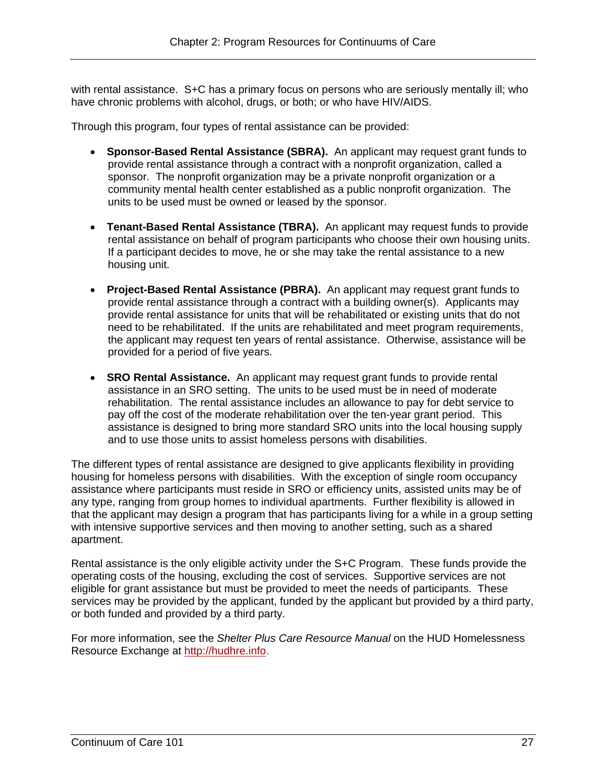with rental assistance. S+C has a primary focus on persons who are seriously mentally ill; who have chronic problems with alcohol, drugs, or both; or who have HIV/AIDS.

Through this program, four types of rental assistance can be provided:

- **Sponsor-Based Rental Assistance (SBRA).** An applicant may request grant funds to provide rental assistance through a contract with a nonprofit organization, called a sponsor. The nonprofit organization may be a private nonprofit organization or a community mental health center established as a public nonprofit organization. The units to be used must be owned or leased by the sponsor.
- **Tenant-Based Rental Assistance (TBRA).** An applicant may request funds to provide rental assistance on behalf of program participants who choose their own housing units. If a participant decides to move, he or she may take the rental assistance to a new housing unit.
- **Project-Based Rental Assistance (PBRA).** An applicant may request grant funds to provide rental assistance through a contract with a building owner(s). Applicants may provide rental assistance for units that will be rehabilitated or existing units that do not need to be rehabilitated. If the units are rehabilitated and meet program requirements, the applicant may request ten years of rental assistance. Otherwise, assistance will be provided for a period of five years.
- **SRO Rental Assistance.** An applicant may request grant funds to provide rental assistance in an SRO setting. The units to be used must be in need of moderate rehabilitation. The rental assistance includes an allowance to pay for debt service to pay off the cost of the moderate rehabilitation over the ten-year grant period. This assistance is designed to bring more standard SRO units into the local housing supply and to use those units to assist homeless persons with disabilities.

The different types of rental assistance are designed to give applicants flexibility in providing housing for homeless persons with disabilities. With the exception of single room occupancy assistance where participants must reside in SRO or efficiency units, assisted units may be of any type, ranging from group homes to individual apartments. Further flexibility is allowed in that the applicant may design a program that has participants living for a while in a group setting with intensive supportive services and then moving to another setting, such as a shared apartment.

Rental assistance is the only eligible activity under the S+C Program. These funds provide the operating costs of the housing, excluding the cost of services. Supportive services are not eligible for grant assistance but must be provided to meet the needs of participants. These services may be provided by the applicant, funded by the applicant but provided by a third party, or both funded and provided by a third party.

Resource Exchange at http://hudhre.info. For more information, see the *Shelter Plus Care Resource Manual* on the HUD Homelessness Resource Exchange at <u>http://hudhre.info</u>.<br>Continuum of Care 101 27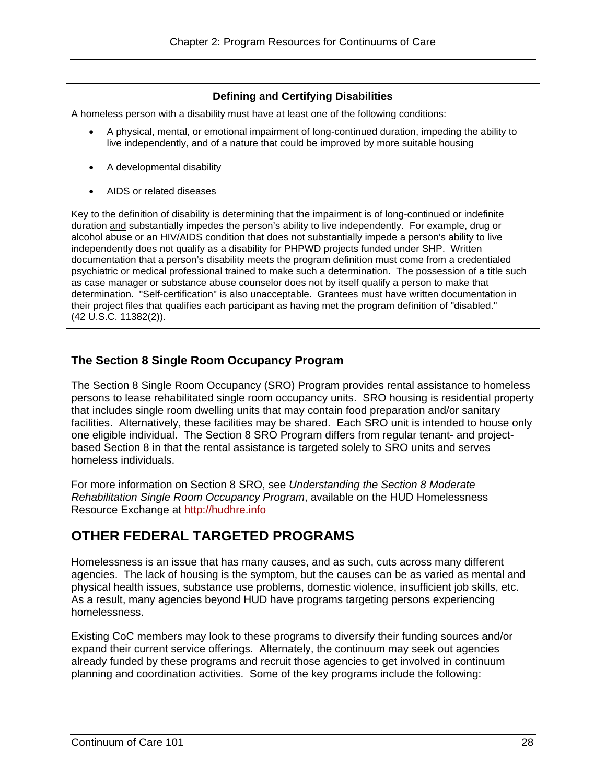#### **Defining and Certifying Disabilities**

A homeless person with a disability must have at least one of the following conditions:

- A physical, mental, or emotional impairment of long-continued duration, impeding the ability to live independently, and of a nature that could be improved by more suitable housing
- A developmental disability
- AIDS or related diseases

Key to the definition of disability is determining that the impairment is of long-continued or indefinite duration and substantially impedes the person's ability to live independently. For example, drug or alcohol abuse or an HIV/AIDS condition that does not substantially impede a person's ability to live independently does not qualify as a disability for PHPWD projects funded under SHP. Written documentation that a person's disability meets the program definition must come from a credentialed psychiatric or medical professional trained to make such a determination. The possession of a title such as case manager or substance abuse counselor does not by itself qualify a person to make that determination. "Self-certification" is also unacceptable. Grantees must have written documentation in their project files that qualifies each participant as having met the program definition of "disabled." (42 U.S.C. 11382(2)).

### **The Section 8 Single Room Occupancy Program**

The Section 8 Single Room Occupancy (SRO) Program provides rental assistance to homeless persons to lease rehabilitated single room occupancy units. SRO housing is residential property that includes single room dwelling units that may contain food preparation and/or sanitary facilities. Alternatively, these facilities may be shared. Each SRO unit is intended to house only one eligible individual. The Section 8 SRO Program differs from regular tenant- and projectbased Section 8 in that the rental assistance is targeted solely to SRO units and serves homeless individuals.

Resource Exchange at http://hudhre.info For more information on Section 8 SRO, see *Understanding the Section 8 Moderate Rehabilitation Single Room Occupancy Program*, available on the HUD Homelessness

## **OTHER FEDERAL TARGETED PROGRAMS**

Homelessness is an issue that has many causes, and as such, cuts across many different agencies. The lack of housing is the symptom, but the causes can be as varied as mental and physical health issues, substance use problems, domestic violence, insufficient job skills, etc. As a result, many agencies beyond HUD have programs targeting persons experiencing homelessness.

Existing CoC members may look to these programs to diversify their funding sources and/or expand their current service offerings. Alternately, the continuum may seek out agencies already funded by these programs and recruit those agencies to get involved in continuum planning and coordination activities. Some of the key programs include the following: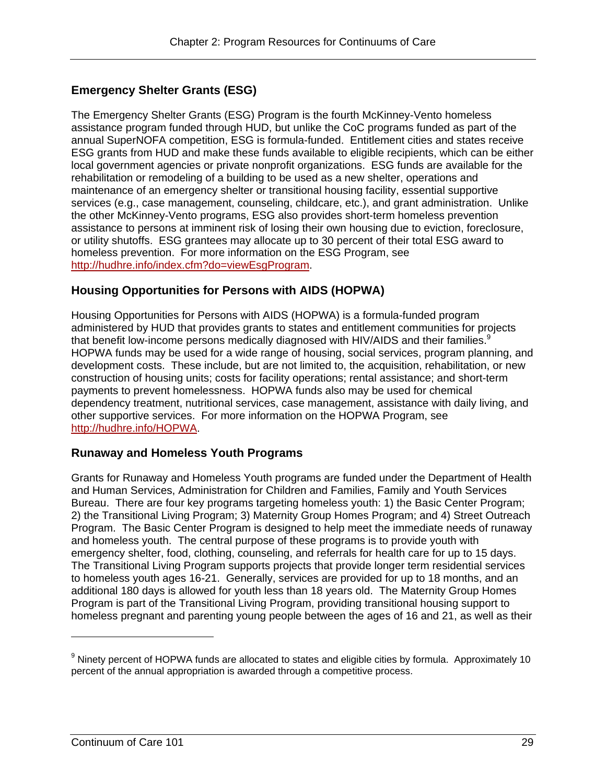### **Emergency Shelter Grants (ESG)**

The Emergency Shelter Grants (ESG) Program is the fourth McKinney-Vento homeless assistance program funded through HUD, but unlike the CoC programs funded as part of the annual SuperNOFA competition, ESG is formula-funded. Entitlement cities and states receive ESG grants from HUD and make these funds available to eligible recipients, which can be either local government agencies or private nonprofit organizations. ESG funds are available for the rehabilitation or remodeling of a building to be used as a new shelter, operations and maintenance of an emergency shelter or transitional housing facility, essential supportive services (e.g., case management, counseling, childcare, etc.), and grant administration. Unlike the other McKinney-Vento programs, ESG also provides short-term homeless prevention assistance to persons at imminent risk of losing their own housing due to eviction, foreclosure, or utility shutoffs. ESG grantees may allocate up to 30 percent of their total ESG award to homeless prevention. For more information on the ESG Program, see http://hudhre.info/index.cfm?do=viewEsgProgram.

### **Housing Opportunities for Persons with AIDS (HOPWA)**

Housing Opportunities for Persons with AIDS (HOPWA) is a formula-funded program administered by HUD that provides grants to states and entitlement communities for projects that benefit low-income persons medically diagnosed with HIV/AIDS and their families.<sup>9</sup> HOPWA funds may be used for a wide range of housing, social services, program planning, and development costs. These include, but are not limited to, the acquisition, rehabilitation, or new construction of housing units; costs for facility operations; rental assistance; and short-term payments to prevent homelessness. HOPWA funds also may be used for chemical dependency treatment, nutritional services, case management, assistance with daily living, and other supportive services. For more information on the HOPWA Program, see http://hudhre.info/HOPWA.

### **Runaway and Homeless Youth Programs**

Grants for Runaway and Homeless Youth programs are funded under the Department of Health and Human Services, Administration for Children and Families, Family and Youth Services Bureau. There are four key programs targeting homeless youth: 1) the Basic Center Program; 2) the Transitional Living Program; 3) Maternity Group Homes Program; and 4) Street Outreach Program. The Basic Center Program is designed to help meet the immediate needs of runaway and homeless youth. The central purpose of these programs is to provide youth with emergency shelter, food, clothing, counseling, and referrals for health care for up to 15 days. The Transitional Living Program supports projects that provide longer term residential services to homeless youth ages 16-21. Generally, services are provided for up to 18 months, and an additional 180 days is allowed for youth less than 18 years old. The Maternity Group Homes Program is part of the Transitional Living Program, providing transitional housing support to homeless pregnant and parenting young people between the ages of 16 and 21, as well as their

 $^9$  Ninety percent of HOPWA funds are allocated to states and eligible cities by formula. Approximately 10 percent of the annual appropriation is awarded through a competitive process.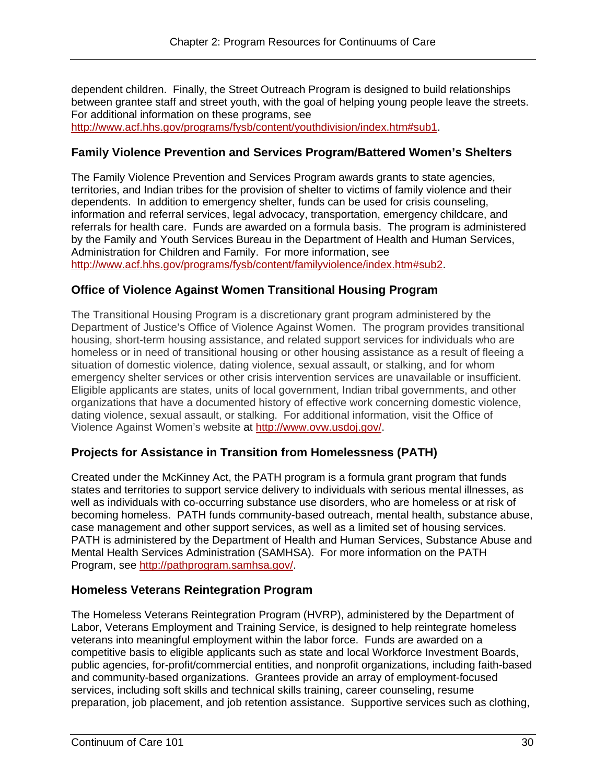dependent children. Finally, the Street Outreach Program is designed to build relationships between grantee staff and street youth, with the goal of helping young people leave the streets. For additional information on these programs, see http://www.acf.hhs.gov/programs/fysb/content/youthdivision/index.htm#sub1.

#### **Family Violence Prevention and Services Program/Battered Women's Shelters**

The Family Violence Prevention and Services Program awards grants to state agencies, territories, and Indian tribes for the provision of shelter to victims of family violence and their dependents. In addition to emergency shelter, funds can be used for crisis counseling, information and referral services, legal advocacy, transportation, emergency childcare, and referrals for health care. Funds are awarded on a formula basis. The program is administered by the Family and Youth Services Bureau in the Department of Health and Human Services, Administration for Children and Family. For more information, see http://www.acf.hhs.gov/programs/fysb/content/familyviolence/index.htm#sub2.

### **Office of Violence Against Women Transitional Housing Program**

The Transitional Housing Program is a discretionary grant program administered by the Department of Justice's Office of Violence Against Women. The program provides transitional housing, short-term housing assistance, and related support services for individuals who are homeless or in need of transitional housing or other housing assistance as a result of fleeing a situation of domestic violence, dating violence, sexual assault, or stalking, and for whom emergency shelter services or other crisis intervention services are unavailable or insufficient. Eligible applicants are states, units of local government, Indian tribal governments, and other organizations that have a documented history of effective work concerning domestic violence, dating violence, sexual assault, or stalking. For additional information, visit the Office of Violence Against Women's website at http://www.ovw.usdoj.gov/.

### **Projects for Assistance in Transition from Homelessness (PATH)**

Created under the McKinney Act, the PATH program is a formula grant program that funds states and territories to support service delivery to individuals with serious mental illnesses, as well as individuals with co-occurring substance use disorders, who are homeless or at risk of becoming homeless. PATH funds community-based outreach, mental health, substance abuse, case management and other support services, as well as a limited set of housing services. PATH is administered by the Department of Health and Human Services, Substance Abuse and Mental Health Services Administration (SAMHSA). For more information on the PATH Program, see http://pathprogram.samhsa.gov/.

#### **Homeless Veterans Reintegration Program**

The Homeless Veterans Reintegration Program (HVRP), administered by the Department of Labor, Veterans Employment and Training Service, is designed to help reintegrate homeless veterans into meaningful employment within the labor force. Funds are awarded on a competitive basis to eligible applicants such as state and local Workforce Investment Boards, public agencies, for-profit/commercial entities, and nonprofit organizations, including faith-based and community-based organizations. Grantees provide an array of employment-focused services, including soft skills and technical skills training, career counseling, resume preparation, job placement, and job retention assistance. Supportive services such as clothing,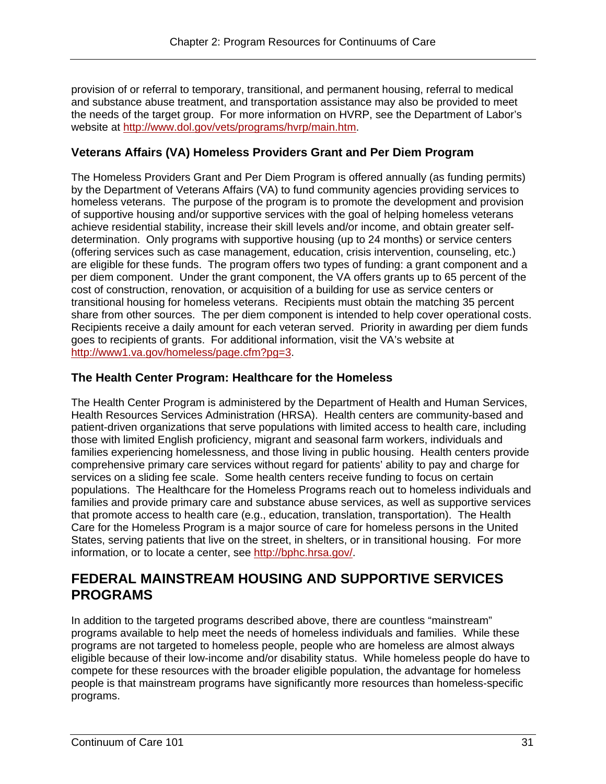provision of or referral to temporary, transitional, and permanent housing, referral to medical and substance abuse treatment, and transportation assistance may also be provided to meet the needs of the target group. For more information on HVRP, see the Department of Labor's website at http://www.dol.gov/vets/programs/hvrp/main.htm.

# **Veterans Affairs (VA) Homeless Providers Grant and Per Diem Program**

The Homeless Providers Grant and Per Diem Program is offered annually (as funding permits) by the Department of Veterans Affairs (VA) to fund community agencies providing services to homeless veterans. The purpose of the program is to promote the development and provision of supportive housing and/or supportive services with the goal of helping homeless veterans achieve residential stability, increase their skill levels and/or income, and obtain greater selfdetermination. Only programs with supportive housing (up to 24 months) or service centers (offering services such as case management, education, crisis intervention, counseling, etc.) are eligible for these funds. The program offers two types of funding: a grant component and a per diem component. Under the grant component, the VA offers grants up to 65 percent of the cost of construction, renovation, or acquisition of a building for use as service centers or transitional housing for homeless veterans. Recipients must obtain the matching 35 percent share from other sources. The per diem component is intended to help cover operational costs. Recipients receive a daily amount for each veteran served. Priority in awarding per diem funds goes to recipients of grants. For additional information, visit the VA's website at http://www1.va.gov/homeless/page.cfm?pg=3.

### **The Health Center Program: Healthcare for the Homeless**

The Health Center Program is administered by the Department of Health and Human Services, Health Resources Services Administration (HRSA). Health centers are community-based and patient-driven organizations that serve populations with limited access to health care, including those with limited English proficiency, migrant and seasonal farm workers, individuals and families experiencing homelessness, and those living in public housing. Health centers provide comprehensive primary care services without regard for patients' ability to pay and charge for services on a sliding fee scale. Some health centers receive funding to focus on certain populations. The Healthcare for the Homeless Programs reach out to homeless individuals and families and provide primary care and substance abuse services, as well as supportive services that promote access to health care (e.g., education, translation, transportation). The Health Care for the Homeless Program is a major source of care for homeless persons in the United States, serving patients that live on the street, in shelters, or in transitional housing. For more information, or to locate a center, see http://bphc.hrsa.gov/.

# **FEDERAL MAINSTREAM HOUSING AND SUPPORTIVE SERVICES PROGRAMS**

In addition to the targeted programs described above, there are countless "mainstream" programs available to help meet the needs of homeless individuals and families. While these programs are not targeted to homeless people, people who are homeless are almost always eligible because of their low-income and/or disability status. While homeless people do have to compete for these resources with the broader eligible population, the advantage for homeless people is that mainstream programs have significantly more resources than homeless-specific programs.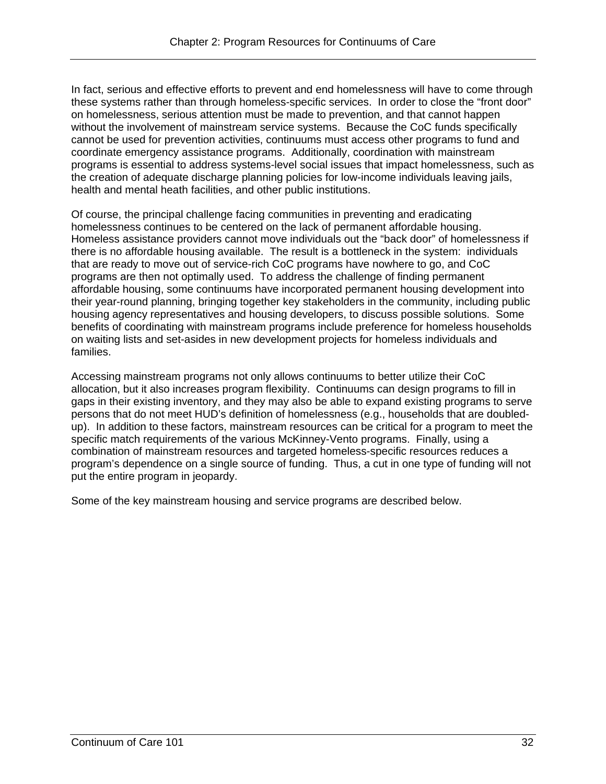In fact, serious and effective efforts to prevent and end homelessness will have to come through these systems rather than through homeless-specific services. In order to close the "front door" on homelessness, serious attention must be made to prevention, and that cannot happen without the involvement of mainstream service systems. Because the CoC funds specifically cannot be used for prevention activities, continuums must access other programs to fund and coordinate emergency assistance programs. Additionally, coordination with mainstream programs is essential to address systems-level social issues that impact homelessness, such as the creation of adequate discharge planning policies for low-income individuals leaving jails, health and mental heath facilities, and other public institutions.

homelessness continues to be centered on the lack of permanent affordable housing. Of course, the principal challenge facing communities in preventing and eradicating Homeless assistance providers cannot move individuals out the "back door" of homelessness if there is no affordable housing available. The result is a bottleneck in the system: individuals that are ready to move out of service-rich CoC programs have nowhere to go, and CoC programs are then not optimally used. To address the challenge of finding permanent affordable housing, some continuums have incorporated permanent housing development into their year-round planning, bringing together key stakeholders in the community, including public housing agency representatives and housing developers, to discuss possible solutions. Some benefits of coordinating with mainstream programs include preference for homeless households on waiting lists and set-asides in new development projects for homeless individuals and families.

Accessing mainstream programs not only allows continuums to better utilize their CoC allocation, but it also increases program flexibility. Continuums can design programs to fill in gaps in their existing inventory, and they may also be able to expand existing programs to serve persons that do not meet HUD's definition of homelessness (e.g., households that are doubledup). In addition to these factors, mainstream resources can be critical for a program to meet the specific match requirements of the various McKinney-Vento programs. Finally, using a combination of mainstream resources and targeted homeless-specific resources reduces a program's dependence on a single source of funding. Thus, a cut in one type of funding will not put the entire program in jeopardy.

Some of the key mainstream housing and service programs are described below.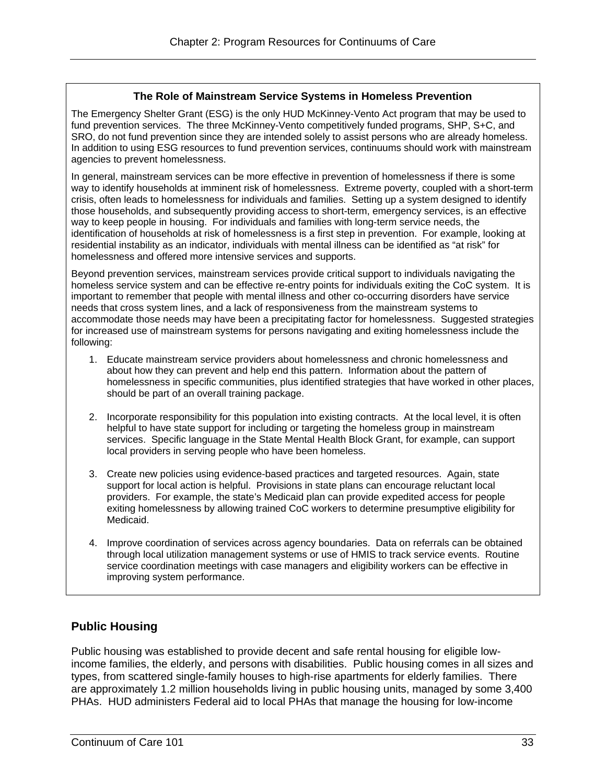#### **The Role of Mainstream Service Systems in Homeless Prevention**

The Emergency Shelter Grant (ESG) is the only HUD McKinney-Vento Act program that may be used to fund prevention services. The three McKinney-Vento competitively funded programs, SHP, S+C, and SRO, do not fund prevention since they are intended solely to assist persons who are already homeless. In addition to using ESG resources to fund prevention services, continuums should work with mainstream agencies to prevent homelessness.

In general, mainstream services can be more effective in prevention of homelessness if there is some way to identify households at imminent risk of homelessness. Extreme poverty, coupled with a short-term crisis, often leads to homelessness for individuals and families. Setting up a system designed to identify those households, and subsequently providing access to short-term, emergency services, is an effective way to keep people in housing. For individuals and families with long-term service needs, the identification of households at risk of homelessness is a first step in prevention. For example, looking at residential instability as an indicator, individuals with mental illness can be identified as "at risk" for homelessness and offered more intensive services and supports.

Beyond prevention services, mainstream services provide critical support to individuals navigating the homeless service system and can be effective re-entry points for individuals exiting the CoC system. It is important to remember that people with mental illness and other co-occurring disorders have service needs that cross system lines, and a lack of responsiveness from the mainstream systems to accommodate those needs may have been a precipitating factor for homelessness. Suggested strategies for increased use of mainstream systems for persons navigating and exiting homelessness include the following:

- 1. Educate mainstream service providers about homelessness and chronic homelessness and about how they can prevent and help end this pattern. Information about the pattern of homelessness in specific communities, plus identified strategies that have worked in other places, should be part of an overall training package.
- 2. Incorporate responsibility for this population into existing contracts. At the local level, it is often helpful to have state support for including or targeting the homeless group in mainstream services. Specific language in the State Mental Health Block Grant, for example, can support local providers in serving people who have been homeless.
- 3. Create new policies using evidence-based practices and targeted resources. Again, state support for local action is helpful. Provisions in state plans can encourage reluctant local providers. For example, the state's Medicaid plan can provide expedited access for people exiting homelessness by allowing trained CoC workers to determine presumptive eligibility for Medicaid.
- 4. Improve coordination of services across agency boundaries. Data on referrals can be obtained through local utilization management systems or use of HMIS to track service events. Routine service coordination meetings with case managers and eligibility workers can be effective in improving system performance.

# **Public Housing**

Public housing was established to provide decent and safe rental housing for eligible lowincome families, the elderly, and persons with disabilities. Public housing comes in all sizes and types, from scattered single-family houses to high-rise apartments for elderly families. There are approximately 1.2 million households living in public housing units, managed by some 3,400 PHAs. HUD administers Federal aid to local PHAs that manage the housing for low-income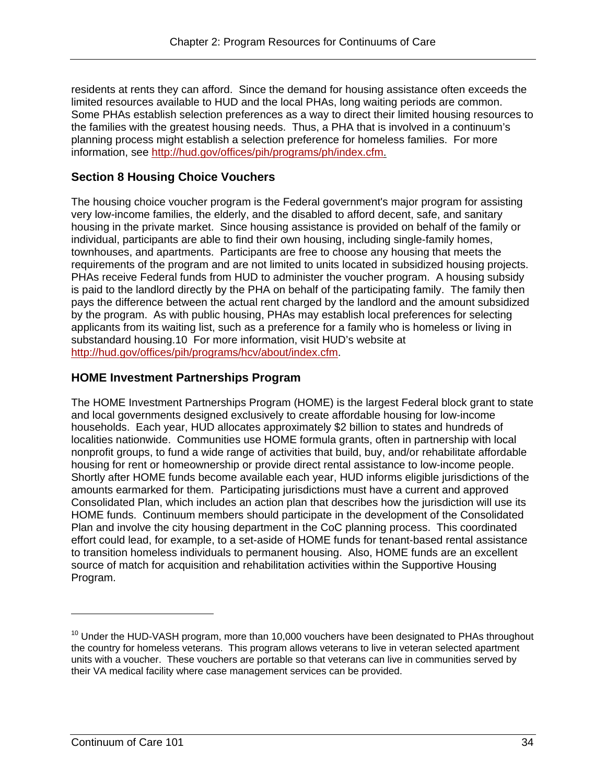residents at rents they can afford. Since the demand for housing assistance often exceeds the limited resources available to HUD and the local PHAs, long waiting periods are common. Some PHAs establish selection preferences as a way to direct their limited housing resources to the families with the greatest housing needs. Thus, a PHA that is involved in a continuum's planning process might establish a selection preference for homeless families. For more information, see http://hud.gov/offices/pih/programs/ph/index.cfm.

# **Section 8 Housing Choice Vouchers**

The housing choice voucher program is the Federal government's major program for assisting very low-income families, the elderly, and the disabled to afford decent, safe, and sanitary housing in the private market. Since housing assistance is provided on behalf of the family or individual, participants are able to find their own housing, including single-family homes, townhouses, and apartments. Participants are free to choose any housing that meets the requirements of the program and are not limited to units located in subsidized housing projects. PHAs receive Federal funds from HUD to administer the voucher program. A housing subsidy is paid to the landlord directly by the PHA on behalf of the participating family. The family then pays the difference between the actual rent charged by the landlord and the amount subsidized by the program. As with public housing, PHAs may establish local preferences for selecting applicants from its waiting list, such as a preference for a family who is homeless or living in substandard housing.10 For more information, visit HUD's website at http://hud.gov/offices/pih/programs/hcv/about/index.cfm.

### **HOME Investment Partnerships Program**

The HOME Investment Partnerships Program (HOME) is the largest Federal block grant to state and local governments designed exclusively to create affordable housing for low-income households. Each year, HUD allocates approximately \$2 billion to states and hundreds of localities nationwide. Communities use HOME formula grants, often in partnership with local nonprofit groups, to fund a wide range of activities that build, buy, and/or rehabilitate affordable housing for rent or homeownership or provide direct rental assistance to low-income people. Shortly after HOME funds become available each year, HUD informs eligible jurisdictions of the amounts earmarked for them. Participating jurisdictions must have a current and approved Consolidated Plan, which includes an action plan that describes how the jurisdiction will use its HOME funds. Continuum members should participate in the development of the Consolidated Plan and involve the city housing department in the CoC planning process. This coordinated effort could lead, for example, to a set-aside of HOME funds for tenant-based rental assistance to transition homeless individuals to permanent housing. Also, HOME funds are an excellent source of match for acquisition and rehabilitation activities within the Supportive Housing Program.

 $10$  Under the HUD-VASH program, more than 10,000 vouchers have been designated to PHAs throughout the country for homeless veterans. This program allows veterans to live in veteran selected apartment units with a voucher. These vouchers are portable so that veterans can live in communities served by their VA medical facility where case management services can be provided.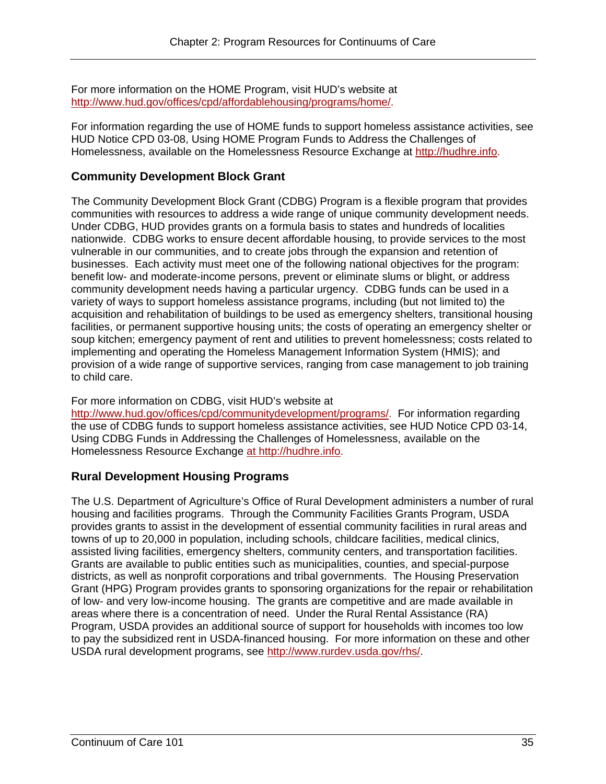For more information on the HOME Program, visit HUD's website at http://www.hud.gov/offices/cpd/affordablehousing/programs/home/.

For information regarding the use of HOME funds to support homeless assistance activities, see HUD Notice CPD 03-08, Using HOME Program Funds to Address the Challenges of Homelessness, available on the Homelessness Resource Exchange at http://hudhre.info.

### **Community Development Block Grant**

The Community Development Block Grant (CDBG) Program is a flexible program that provides communities with resources to address a wide range of unique community development needs. Under CDBG, HUD provides grants on a formula basis to states and hundreds of localities nationwide. CDBG works to ensure decent affordable housing, to provide services to the most vulnerable in our communities, and to create jobs through the expansion and retention of businesses. Each activity must meet one of the following national objectives for the program: benefit low- and moderate-income persons, prevent or eliminate slums or blight, or address community development needs having a particular urgency. CDBG funds can be used in a variety of ways to support homeless assistance programs, including (but not limited to) the acquisition and rehabilitation of buildings to be used as emergency shelters, transitional housing facilities, or permanent supportive housing units; the costs of operating an emergency shelter or soup kitchen; emergency payment of rent and utilities to prevent homelessness; costs related to implementing and operating the Homeless Management Information System (HMIS); and provision of a wide range of supportive services, ranging from case management to job training to child care.

#### For more information on CDBG, visit HUD's website at

http://www.hud.gov/offices/cpd/communitydevelopment/programs/. For information regarding the use of CDBG funds to support homeless assistance activities, see HUD Notice CPD 03-14, Using CDBG Funds in Addressing the Challenges of Homelessness, available on the Homelessness Resource Exchange at http://hudhre.info.

# **Rural Development Housing Programs**

The U.S. Department of Agriculture's Office of Rural Development administers a number of rural housing and facilities programs. Through the Community Facilities Grants Program, USDA provides grants to assist in the development of essential community facilities in rural areas and towns of up to 20,000 in population, including schools, childcare facilities, medical clinics, assisted living facilities, emergency shelters, community centers, and transportation facilities. Grants are available to public entities such as municipalities, counties, and special-purpose districts, as well as nonprofit corporations and tribal governments. The Housing Preservation Grant (HPG) Program provides grants to sponsoring organizations for the repair or rehabilitation of low- and very low-income housing. The grants are competitive and are made available in areas where there is a concentration of need. Under the Rural Rental Assistance (RA) Program, USDA provides an additional source of support for households with incomes too low to pay the subsidized rent in USDA-financed housing. For more information on these and other USDA rural development programs, see http://www.rurdev.usda.gov/rhs/.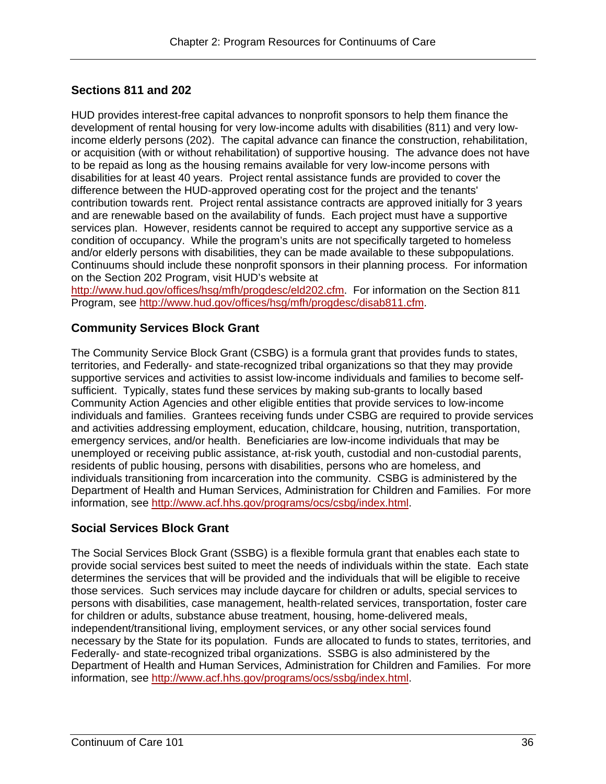### **Sections 811 and 202**

HUD provides interest-free capital advances to nonprofit sponsors to help them finance the development of rental housing for very low-income adults with disabilities (811) and very lowincome elderly persons (202). The capital advance can finance the construction, rehabilitation, or acquisition (with or without rehabilitation) of supportive housing. The advance does not have to be repaid as long as the housing remains available for very low-income persons with disabilities for at least 40 years. Project rental assistance funds are provided to cover the difference between the HUD-approved operating cost for the project and the tenants' contribution towards rent. Project rental assistance contracts are approved initially for 3 years and are renewable based on the availability of funds. Each project must have a supportive services plan. However, residents cannot be required to accept any supportive service as a condition of occupancy. While the program's units are not specifically targeted to homeless and/or elderly persons with disabilities, they can be made available to these subpopulations. Continuums should include these nonprofit sponsors in their planning process. For information on the Section 202 Program, visit HUD's website at

 http://www.hud.gov/offices/hsg/mfh/progdesc/eld202.cfm. For information on the Section 811 Program, see http://www.hud.gov/offices/hsg/mfh/progdesc/disab811.cfm.

#### **Community Services Block Grant**

The Community Service Block Grant (CSBG) is a formula grant that provides funds to states, territories, and Federally- and state-recognized tribal organizations so that they may provide supportive services and activities to assist low-income individuals and families to become selfsufficient. Typically, states fund these services by making sub-grants to locally based Community Action Agencies and other eligible entities that provide services to low-income individuals and families. Grantees receiving funds under CSBG are required to provide services and activities addressing employment, education, childcare, housing, nutrition, transportation, emergency services, and/or health. Beneficiaries are low-income individuals that may be unemployed or receiving public assistance, at-risk youth, custodial and non-custodial parents, residents of public housing, persons with disabilities, persons who are homeless, and individuals transitioning from incarceration into the community. CSBG is administered by the Department of Health and Human Services, Administration for Children and Families. For more information, see http://www.acf.hhs.gov/programs/ocs/csbg/index.html.

#### **Social Services Block Grant**

The Social Services Block Grant (SSBG) is a flexible formula grant that enables each state to provide social services best suited to meet the needs of individuals within the state. Each state determines the services that will be provided and the individuals that will be eligible to receive those services. Such services may include daycare for children or adults, special services to persons with disabilities, case management, health-related services, transportation, foster care for children or adults, substance abuse treatment, housing, home-delivered meals, independent/transitional living, employment services, or any other social services found necessary by the State for its population. Funds are allocated to funds to states, territories, and Federally- and state-recognized tribal organizations. SSBG is also administered by the Department of Health and Human Services, Administration for Children and Families. For more information, see http://www.acf.hhs.gov/programs/ocs/ssbg/index.html.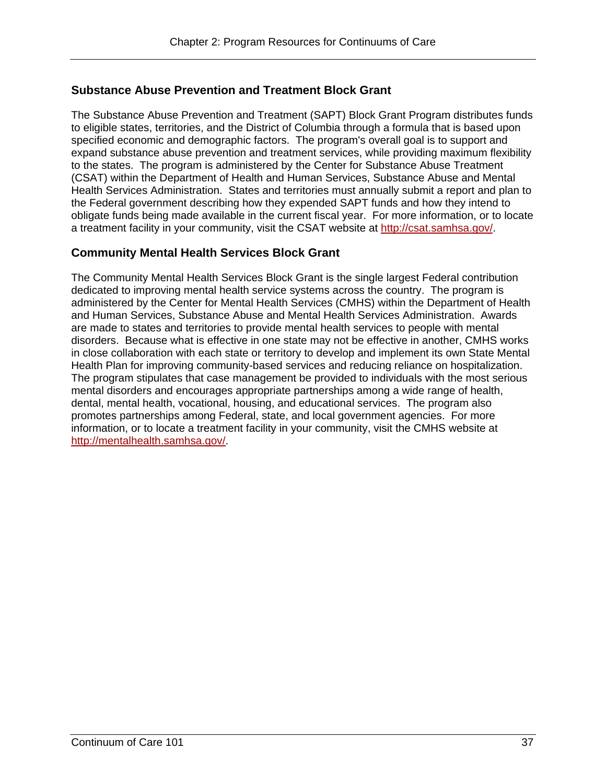### **Substance Abuse Prevention and Treatment Block Grant**

The Substance Abuse Prevention and Treatment (SAPT) Block Grant Program distributes funds to eligible states, territories, and the District of Columbia through a formula that is based upon specified economic and demographic factors. The program's overall goal is to support and expand substance abuse prevention and treatment services, while providing maximum flexibility to the states. The program is administered by the Center for Substance Abuse Treatment (CSAT) within the Department of Health and Human Services, Substance Abuse and Mental Health Services Administration. States and territories must annually submit a report and plan to the Federal government describing how they expended SAPT funds and how they intend to obligate funds being made available in the current fiscal year. For more information, or to locate a treatment facility in your community, visit the CSAT website at http://csat.samhsa.gov/.

#### **Community Mental Health Services Block Grant**

The Community Mental Health Services Block Grant is the single largest Federal contribution dedicated to improving mental health service systems across the country. The program is administered by the Center for Mental Health Services (CMHS) within the Department of Health and Human Services, Substance Abuse and Mental Health Services Administration. Awards are made to states and territories to provide mental health services to people with mental disorders. Because what is effective in one state may not be effective in another, CMHS works in close collaboration with each state or territory to develop and implement its own State Mental Health Plan for improving community-based services and reducing reliance on hospitalization. The program stipulates that case management be provided to individuals with the most serious mental disorders and encourages appropriate partnerships among a wide range of health, dental, mental health, vocational, housing, and educational services. The program also promotes partnerships among Federal, state, and local government agencies. For more information, or to locate a treatment facility in your community, visit the CMHS website at http://mentalhealth.samhsa.gov/.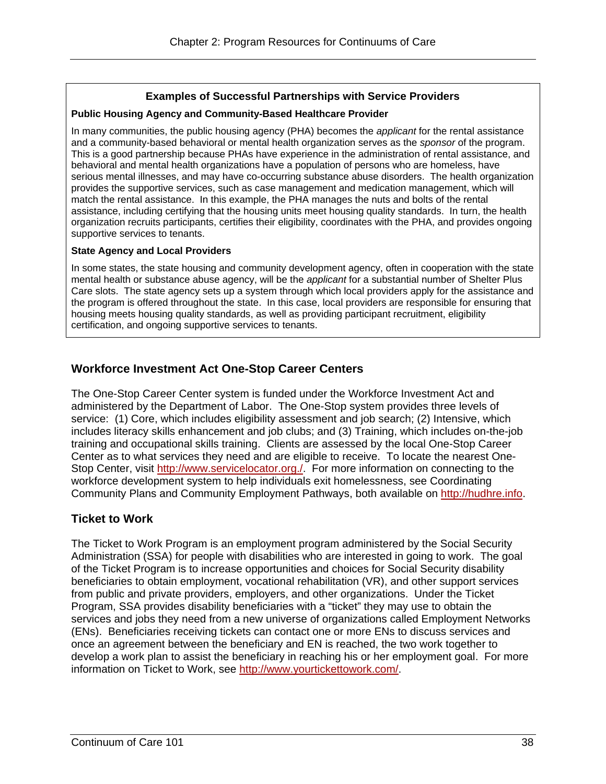#### **Examples of Successful Partnerships with Service Providers**

#### **Public Housing Agency and Community-Based Healthcare Provider**

 supportive services to tenants. In many communities, the public housing agency (PHA) becomes the *applicant* for the rental assistance and a community-based behavioral or mental health organization serves as the *sponsor* of the program. This is a good partnership because PHAs have experience in the administration of rental assistance, and behavioral and mental health organizations have a population of persons who are homeless, have serious mental illnesses, and may have co-occurring substance abuse disorders. The health organization provides the supportive services, such as case management and medication management, which will match the rental assistance. In this example, the PHA manages the nuts and bolts of the rental assistance, including certifying that the housing units meet housing quality standards. In turn, the health organization recruits participants, certifies their eligibility, coordinates with the PHA, and provides ongoing

#### **State Agency and Local Providers**

In some states, the state housing and community development agency, often in cooperation with the state mental health or substance abuse agency, will be the *applicant* for a substantial number of Shelter Plus Care slots. The state agency sets up a system through which local providers apply for the assistance and the program is offered throughout the state. In this case, local providers are responsible for ensuring that housing meets housing quality standards, as well as providing participant recruitment, eligibility certification, and ongoing supportive services to tenants.

### **Workforce Investment Act One-Stop Career Centers**

The One-Stop Career Center system is funded under the Workforce Investment Act and administered by the Department of Labor. The One-Stop system provides three levels of service: (1) Core, which includes eligibility assessment and job search; (2) Intensive, which includes literacy skills enhancement and job clubs; and (3) Training, which includes on-the-job training and occupational skills training. Clients are assessed by the local One-Stop Career Center as to what services they need and are eligible to receive. To locate the nearest One-Stop Center, visit http://www.servicelocator.org./. For more information on connecting to the workforce development system to help individuals exit homelessness, see Coordinating Community Plans and Community Employment Pathways, both available on http://hudhre.info.

# **Ticket to Work**

The Ticket to Work Program is an employment program administered by the Social Security Administration (SSA) for people with disabilities who are interested in going to work. The goal of the Ticket Program is to increase opportunities and choices for Social Security disability beneficiaries to obtain employment, vocational rehabilitation (VR), and other support services from public and private providers, employers, and other organizations. Under the Ticket Program, SSA provides disability beneficiaries with a "ticket" they may use to obtain the services and jobs they need from a new universe of organizations called Employment Networks (ENs). Beneficiaries receiving tickets can contact one or more ENs to discuss services and once an agreement between the beneficiary and EN is reached, the two work together to develop a work plan to assist the beneficiary in reaching his or her employment goal. For more information on Ticket to Work, see http://www.yourtickettowork.com/.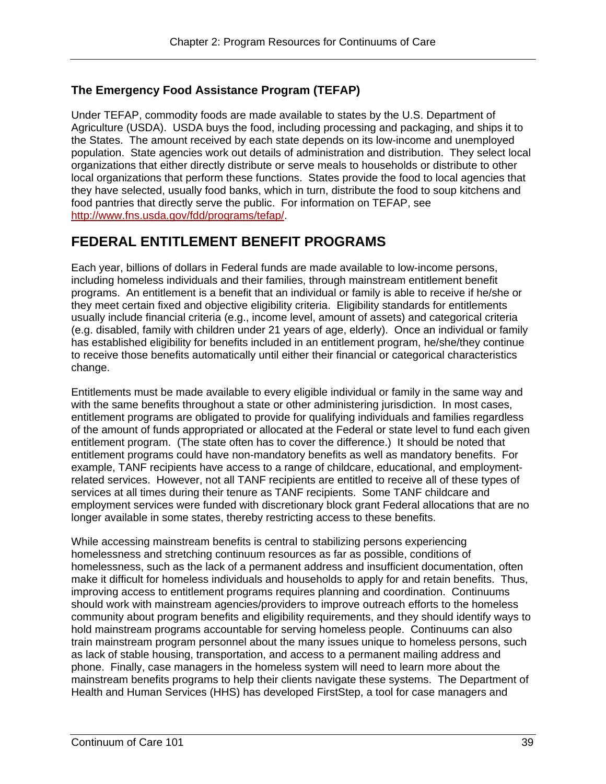# **The Emergency Food Assistance Program (TEFAP)**

Under TEFAP, commodity foods are made available to states by the U.S. Department of Agriculture (USDA). USDA buys the food, including processing and packaging, and ships it to the States. The amount received by each state depends on its low-income and unemployed population. State agencies work out details of administration and distribution. They select local organizations that either directly distribute or serve meals to households or distribute to other local organizations that perform these functions. States provide the food to local agencies that they have selected, usually food banks, which in turn, distribute the food to soup kitchens and food pantries that directly serve the public. For information on TEFAP, see http://www.fns.usda.gov/fdd/programs/tefap/.

# **FEDERAL ENTITLEMENT BENEFIT PROGRAMS**

Each year, billions of dollars in Federal funds are made available to low-income persons, including homeless individuals and their families, through mainstream entitlement benefit programs. An entitlement is a benefit that an individual or family is able to receive if he/she or they meet certain fixed and objective eligibility criteria. Eligibility standards for entitlements usually include financial criteria (e.g., income level, amount of assets) and categorical criteria (e.g. disabled, family with children under 21 years of age, elderly). Once an individual or family has established eligibility for benefits included in an entitlement program, he/she/they continue to receive those benefits automatically until either their financial or categorical characteristics change.

Entitlements must be made available to every eligible individual or family in the same way and with the same benefits throughout a state or other administering jurisdiction. In most cases, entitlement programs are obligated to provide for qualifying individuals and families regardless of the amount of funds appropriated or allocated at the Federal or state level to fund each given entitlement program. (The state often has to cover the difference.) It should be noted that entitlement programs could have non-mandatory benefits as well as mandatory benefits. For example, TANF recipients have access to a range of childcare, educational, and employmentrelated services. However, not all TANF recipients are entitled to receive all of these types of services at all times during their tenure as TANF recipients. Some TANF childcare and employment services were funded with discretionary block grant Federal allocations that are no longer available in some states, thereby restricting access to these benefits.

While accessing mainstream benefits is central to stabilizing persons experiencing homelessness and stretching continuum resources as far as possible, conditions of homelessness, such as the lack of a permanent address and insufficient documentation, often make it difficult for homeless individuals and households to apply for and retain benefits. Thus, improving access to entitlement programs requires planning and coordination. Continuums should work with mainstream agencies/providers to improve outreach efforts to the homeless community about program benefits and eligibility requirements, and they should identify ways to hold mainstream programs accountable for serving homeless people. Continuums can also train mainstream program personnel about the many issues unique to homeless persons, such as lack of stable housing, transportation, and access to a permanent mailing address and phone. Finally, case managers in the homeless system will need to learn more about the mainstream benefits programs to help their clients navigate these systems. The Department of Health and Human Services (HHS) has developed FirstStep, a tool for case managers and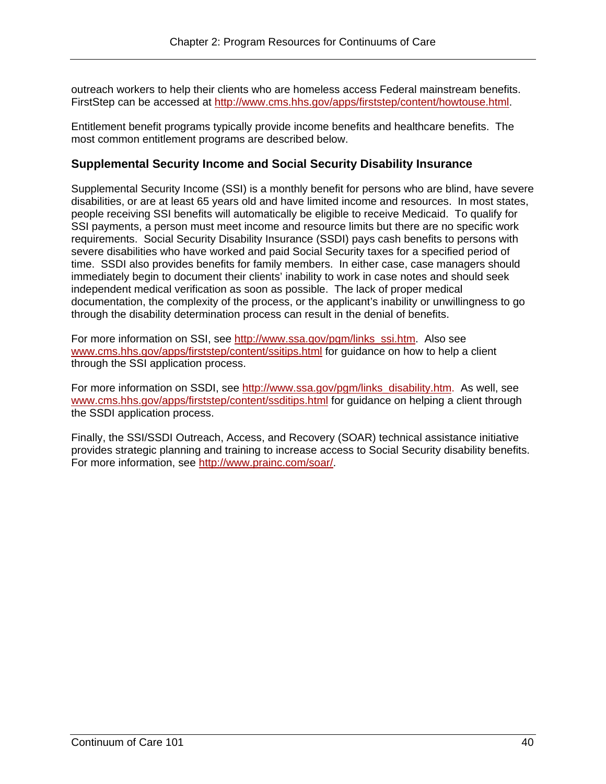outreach workers to help their clients who are homeless access Federal mainstream benefits. FirstStep can be accessed at http://www.cms.hhs.gov/apps/firststep/content/howtouse.html.

Entitlement benefit programs typically provide income benefits and healthcare benefits. The most common entitlement programs are described below.

#### **Supplemental Security Income and Social Security Disability Insurance**

Supplemental Security Income (SSI) is a monthly benefit for persons who are blind, have severe disabilities, or are at least 65 years old and have limited income and resources. In most states, people receiving SSI benefits will automatically be eligible to receive Medicaid. To qualify for SSI payments, a person must meet income and resource limits but there are no specific work requirements. Social Security Disability Insurance (SSDI) pays cash benefits to persons with severe disabilities who have worked and paid Social Security taxes for a specified period of time. SSDI also provides benefits for family members. In either case, case managers should immediately begin to document their clients' inability to work in case notes and should seek independent medical verification as soon as possible. The lack of proper medical documentation, the complexity of the process, or the applicant's inability or unwillingness to go through the disability determination process can result in the denial of benefits.

For more information on SSI, see http://www.ssa.gov/pgm/links\_ssi.htm. Also see www.cms.hhs.gov/apps/firststep/content/ssitips.html for guidance on how to help a client through the SSI application process.

For more information on SSDI, see http://www.ssa.gov/pgm/links\_disability.htm. As well, see www.cms.hhs.gov/apps/firststep/content/ssditips.html for guidance on helping a client through the SSDI application process.

Finally, the SSI/SSDI Outreach, Access, and Recovery (SOAR) technical assistance initiative provides strategic planning and training to increase access to Social Security disability benefits. For more information, see http://www.prainc.com/soar/.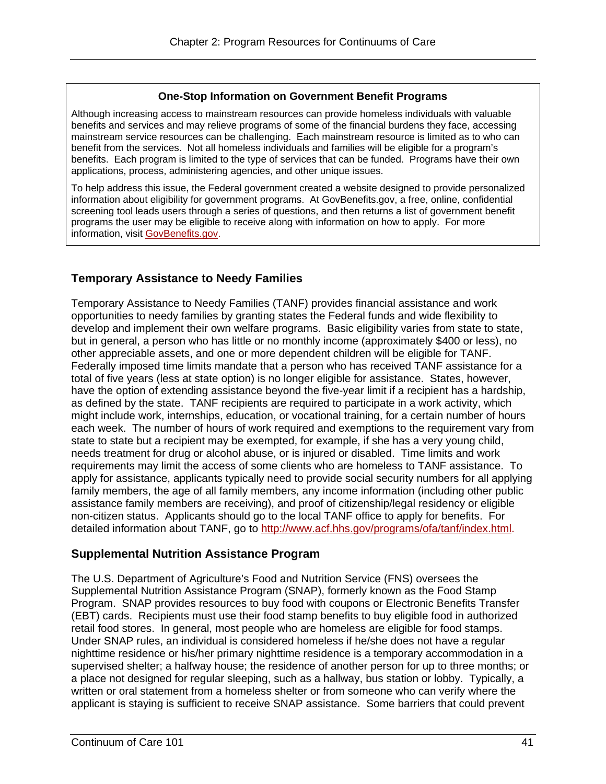#### **One-Stop Information on Government Benefit Programs**

Although increasing access to mainstream resources can provide homeless individuals with valuable benefits and services and may relieve programs of some of the financial burdens they face, accessing mainstream service resources can be challenging. Each mainstream resource is limited as to who can benefit from the services. Not all homeless individuals and families will be eligible for a program's benefits. Each program is limited to the type of services that can be funded. Programs have their own applications, process, administering agencies, and other unique issues.

To help address this issue, the Federal government created a website designed to provide personalized information about eligibility for government programs. At GovBenefits.gov, a free, online, confidential screening tool leads users through a series of questions, and then returns a list of government benefit programs the user may be eligible to receive along with information on how to apply. For more information, visit GovBenefits.gov.

# **Temporary Assistance to Needy Families**

Temporary Assistance to Needy Families (TANF) provides financial assistance and work opportunities to needy families by granting states the Federal funds and wide flexibility to develop and implement their own welfare programs. Basic eligibility varies from state to state, but in general, a person who has little or no monthly income (approximately \$400 or less), no other appreciable assets, and one or more dependent children will be eligible for TANF. Federally imposed time limits mandate that a person who has received TANF assistance for a total of five years (less at state option) is no longer eligible for assistance. States, however, have the option of extending assistance beyond the five-year limit if a recipient has a hardship, as defined by the state. TANF recipients are required to participate in a work activity, which might include work, internships, education, or vocational training, for a certain number of hours each week. The number of hours of work required and exemptions to the requirement vary from state to state but a recipient may be exempted, for example, if she has a very young child, needs treatment for drug or alcohol abuse, or is injured or disabled. Time limits and work requirements may limit the access of some clients who are homeless to TANF assistance. To apply for assistance, applicants typically need to provide social security numbers for all applying family members, the age of all family members, any income information (including other public assistance family members are receiving), and proof of citizenship/legal residency or eligible non-citizen status. Applicants should go to the local TANF office to apply for benefits. For detailed information about TANF, go to http://www.acf.hhs.gov/programs/ofa/tanf/index.html.

#### **Supplemental Nutrition Assistance Program**

The U.S. Department of Agriculture's Food and Nutrition Service (FNS) oversees the Supplemental Nutrition Assistance Program (SNAP), formerly known as the Food Stamp Program. SNAP provides resources to buy food with coupons or Electronic Benefits Transfer (EBT) cards. Recipients must use their food stamp benefits to buy eligible food in authorized retail food stores. In general, most people who are homeless are eligible for food stamps. Under SNAP rules, an individual is considered homeless if he/she does not have a regular nighttime residence or his/her primary nighttime residence is a temporary accommodation in a supervised shelter; a halfway house; the residence of another person for up to three months; or a place not designed for regular sleeping, such as a hallway, bus station or lobby. Typically, a written or oral statement from a homeless shelter or from someone who can verify where the applicant is staying is sufficient to receive SNAP assistance. Some barriers that could prevent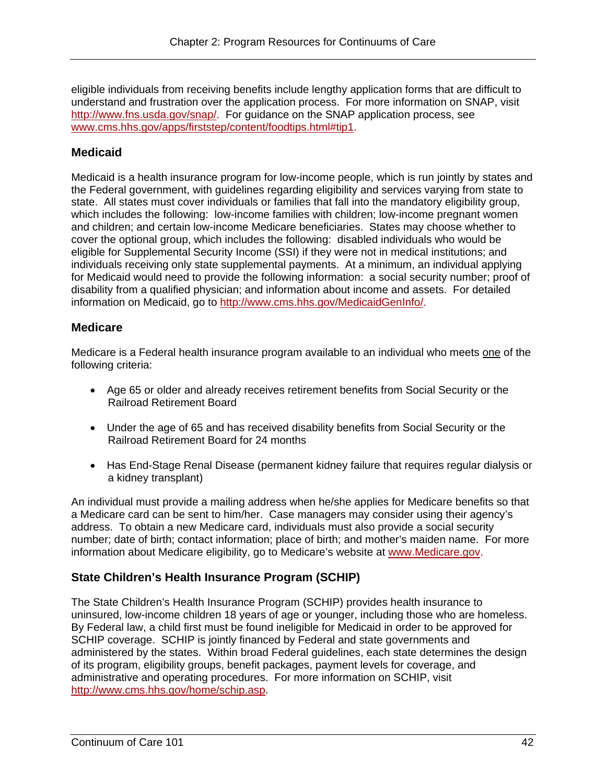http://www.fns.usda.gov/snap/. For guidance on the SNAP application process, see eligible individuals from receiving benefits include lengthy application forms that are difficult to understand and frustration over the application process. For more information on SNAP, visit www.cms.hhs.gov/apps/firststep/content/foodtips.html#tip1.

# **Medicaid**

Medicaid is a health insurance program for low-income people, which is run jointly by states and the Federal government, with guidelines regarding eligibility and services varying from state to state. All states must cover individuals or families that fall into the mandatory eligibility group, which includes the following: low-income families with children; low-income pregnant women and children; and certain low-income Medicare beneficiaries. States may choose whether to cover the optional group, which includes the following: disabled individuals who would be eligible for Supplemental Security Income (SSI) if they were not in medical institutions; and individuals receiving only state supplemental payments. At a minimum, an individual applying for Medicaid would need to provide the following information: a social security number; proof of disability from a qualified physician; and information about income and assets. For detailed information on Medicaid, go to http://www.cms.hhs.gov/MedicaidGenInfo/.

# **Medicare**

Medicare is a Federal health insurance program available to an individual who meets one of the following criteria:

- Age 65 or older and already receives retirement benefits from Social Security or the Railroad Retirement Board
- Under the age of 65 and has received disability benefits from Social Security or the Railroad Retirement Board for 24 months
- Has End-Stage Renal Disease (permanent kidney failure that requires regular dialysis or a kidney transplant)

An individual must provide a mailing address when he/she applies for Medicare benefits so that a Medicare card can be sent to him/her. Case managers may consider using their agency's address. To obtain a new Medicare card, individuals must also provide a social security number; date of birth; contact information; place of birth; and mother's maiden name. For more information about Medicare eligibility, go to Medicare's website at www.Medicare.gov.

# **State Children's Health Insurance Program (SCHIP)**

The State Children's Health Insurance Program (SCHIP) provides health insurance to uninsured, low-income children 18 years of age or younger, including those who are homeless. By Federal law, a child first must be found ineligible for Medicaid in order to be approved for SCHIP coverage. SCHIP is jointly financed by Federal and state governments and administered by the states. Within broad Federal guidelines, each state determines the design of its program, eligibility groups, benefit packages, payment levels for coverage, and administrative and operating procedures. For more information on SCHIP, visit http://www.cms.hhs.gov/home/schip.asp.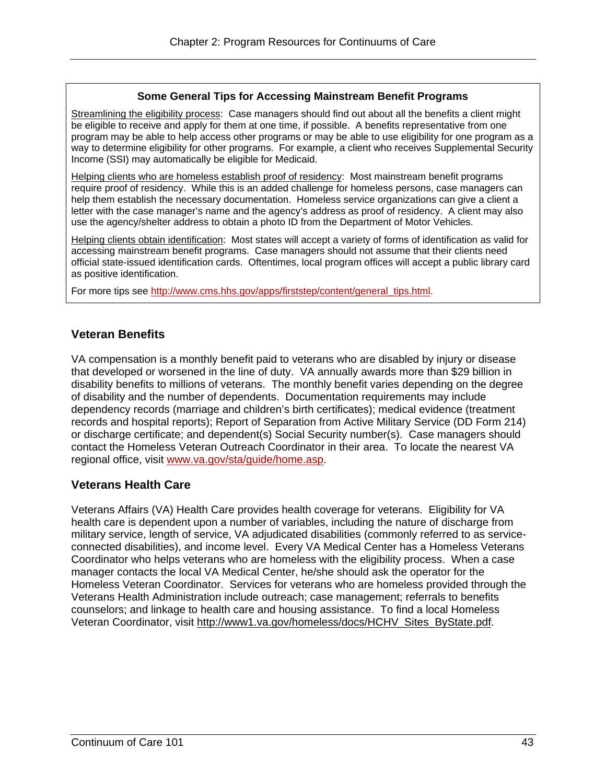#### **Some General Tips for Accessing Mainstream Benefit Programs**

Streamlining the eligibility process: Case managers should find out about all the benefits a client might be eligible to receive and apply for them at one time, if possible. A benefits representative from one program may be able to help access other programs or may be able to use eligibility for one program as a way to determine eligibility for other programs. For example, a client who receives Supplemental Security Income (SSI) may automatically be eligible for Medicaid.

Helping clients who are homeless establish proof of residency: Most mainstream benefit programs require proof of residency. While this is an added challenge for homeless persons, case managers can help them establish the necessary documentation. Homeless service organizations can give a client a letter with the case manager's name and the agency's address as proof of residency. A client may also use the agency/shelter address to obtain a photo ID from the Department of Motor Vehicles.

Helping clients obtain identification: Most states will accept a variety of forms of identification as valid for accessing mainstream benefit programs. Case managers should not assume that their clients need official state-issued identification cards. Oftentimes, local program offices will accept a public library card as positive identification.

For more tips see http://www.cms.hhs.gov/apps/firststep/content/general\_tips.html.

#### **Veteran Benefits**

VA compensation is a monthly benefit paid to veterans who are disabled by injury or disease that developed or worsened in the line of duty. VA annually awards more than \$29 billion in disability benefits to millions of veterans. The monthly benefit varies depending on the degree of disability and the number of dependents. Documentation requirements may include dependency records (marriage and children's birth certificates); medical evidence (treatment records and hospital reports); Report of Separation from Active Military Service (DD Form 214) or discharge certificate; and dependent(s) Social Security number(s). Case managers should contact the Homeless Veteran Outreach Coordinator in their area. To locate the nearest VA regional office, visit www.va.gov/sta/guide/home.asp.

#### **Veterans Health Care**

Veterans Affairs (VA) Health Care provides health coverage for veterans. Eligibility for VA health care is dependent upon a number of variables, including the nature of discharge from military service, length of service, VA adjudicated disabilities (commonly referred to as serviceconnected disabilities), and income level. Every VA Medical Center has a Homeless Veterans Coordinator who helps veterans who are homeless with the eligibility process. When a case manager contacts the local VA Medical Center, he/she should ask the operator for the Homeless Veteran Coordinator. Services for veterans who are homeless provided through the Veterans Health Administration include outreach; case management; referrals to benefits counselors; and linkage to health care and housing assistance. To find a local Homeless Veteran Coordinator, visit http://www1.va.gov/homeless/docs/HCHV\_Sites\_ByState.pdf.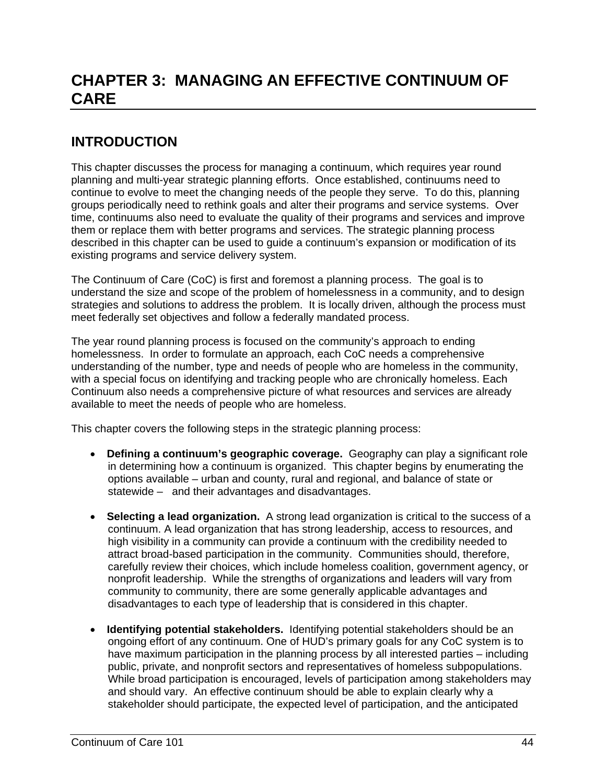# **CHAPTER 3: MANAGING AN EFFECTIVE CONTINUUM OF CARE**

# **INTRODUCTION**

This chapter discusses the process for managing a continuum, which requires year round planning and multi-year strategic planning efforts. Once established, continuums need to continue to evolve to meet the changing needs of the people they serve. To do this, planning groups periodically need to rethink goals and alter their programs and service systems. Over time, continuums also need to evaluate the quality of their programs and services and improve them or replace them with better programs and services. The strategic planning process described in this chapter can be used to guide a continuum's expansion or modification of its existing programs and service delivery system.

The Continuum of Care (CoC) is first and foremost a planning process. The goal is to understand the size and scope of the problem of homelessness in a community, and to design strategies and solutions to address the problem. It is locally driven, although the process must meet federally set objectives and follow a federally mandated process.

The year round planning process is focused on the community's approach to ending homelessness. In order to formulate an approach, each CoC needs a comprehensive understanding of the number, type and needs of people who are homeless in the community, with a special focus on identifying and tracking people who are chronically homeless. Each Continuum also needs a comprehensive picture of what resources and services are already available to meet the needs of people who are homeless.

This chapter covers the following steps in the strategic planning process:

- **Defining a continuum's geographic coverage.** Geography can play a significant role in determining how a continuum is organized. This chapter begins by enumerating the options available – urban and county, rural and regional, and balance of state or statewide – and their advantages and disadvantages.
- **Selecting a lead organization.** A strong lead organization is critical to the success of a continuum. A lead organization that has strong leadership, access to resources, and high visibility in a community can provide a continuum with the credibility needed to attract broad-based participation in the community. Communities should, therefore, carefully review their choices, which include homeless coalition, government agency, or nonprofit leadership. While the strengths of organizations and leaders will vary from community to community, there are some generally applicable advantages and disadvantages to each type of leadership that is considered in this chapter.
- **Identifying potential stakeholders.** Identifying potential stakeholders should be an ongoing effort of any continuum. One of HUD's primary goals for any CoC system is to have maximum participation in the planning process by all interested parties – including public, private, and nonprofit sectors and representatives of homeless subpopulations. While broad participation is encouraged, levels of participation among stakeholders may and should vary. An effective continuum should be able to explain clearly why a stakeholder should participate, the expected level of participation, and the anticipated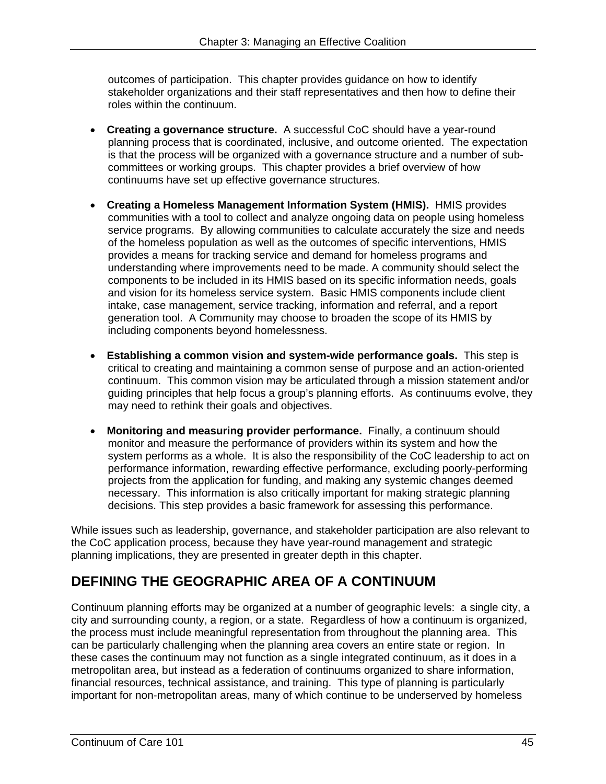outcomes of participation. This chapter provides guidance on how to identify stakeholder organizations and their staff representatives and then how to define their roles within the continuum.

- **Creating a governance structure.** A successful CoC should have a year-round planning process that is coordinated, inclusive, and outcome oriented. The expectation is that the process will be organized with a governance structure and a number of subcommittees or working groups. This chapter provides a brief overview of how continuums have set up effective governance structures.
- **Creating a Homeless Management Information System (HMIS).** HMIS provides communities with a tool to collect and analyze ongoing data on people using homeless service programs. By allowing communities to calculate accurately the size and needs of the homeless population as well as the outcomes of specific interventions, HMIS provides a means for tracking service and demand for homeless programs and understanding where improvements need to be made. A community should select the components to be included in its HMIS based on its specific information needs, goals and vision for its homeless service system. Basic HMIS components include client intake, case management, service tracking, information and referral, and a report generation tool. A Community may choose to broaden the scope of its HMIS by including components beyond homelessness.
- **Establishing a common vision and system-wide performance goals.** This step is critical to creating and maintaining a common sense of purpose and an action-oriented continuum. This common vision may be articulated through a mission statement and/or guiding principles that help focus a group's planning efforts. As continuums evolve, they may need to rethink their goals and objectives.
- **Monitoring and measuring provider performance.** Finally, a continuum should monitor and measure the performance of providers within its system and how the system performs as a whole. It is also the responsibility of the CoC leadership to act on performance information, rewarding effective performance, excluding poorly-performing projects from the application for funding, and making any systemic changes deemed necessary. This information is also critically important for making strategic planning decisions. This step provides a basic framework for assessing this performance.

While issues such as leadership, governance, and stakeholder participation are also relevant to the CoC application process, because they have year-round management and strategic planning implications, they are presented in greater depth in this chapter.

# **DEFINING THE GEOGRAPHIC AREA OF A CONTINUUM**

Continuum planning efforts may be organized at a number of geographic levels: a single city, a city and surrounding county, a region, or a state. Regardless of how a continuum is organized, the process must include meaningful representation from throughout the planning area. This can be particularly challenging when the planning area covers an entire state or region. In these cases the continuum may not function as a single integrated continuum, as it does in a metropolitan area, but instead as a federation of continuums organized to share information, financial resources, technical assistance, and training. This type of planning is particularly important for non-metropolitan areas, many of which continue to be underserved by homeless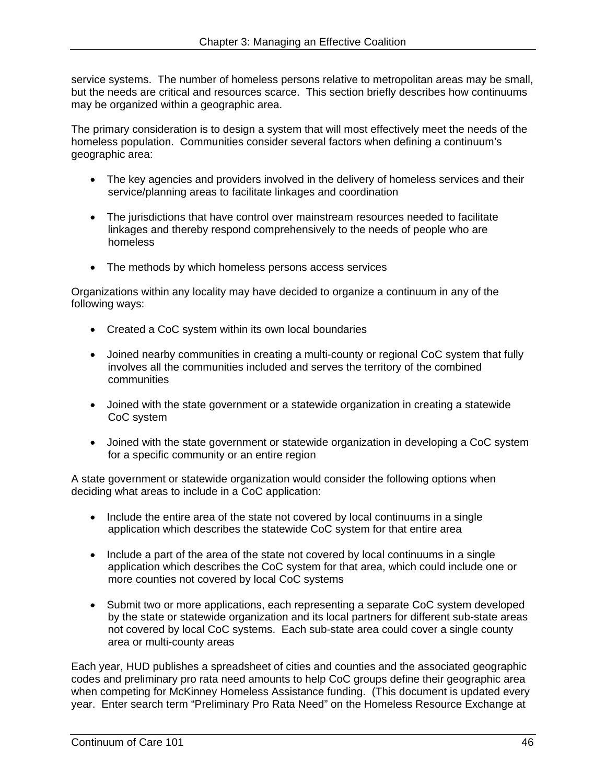but the needs are critical and resources scarce. This section briefly describes how continuums service systems. The number of homeless persons relative to metropolitan areas may be small, may be organized within a geographic area.

The primary consideration is to design a system that will most effectively meet the needs of the homeless population. Communities consider several factors when defining a continuum's geographic area:

- The key agencies and providers involved in the delivery of homeless services and their service/planning areas to facilitate linkages and coordination
- The jurisdictions that have control over mainstream resources needed to facilitate linkages and thereby respond comprehensively to the needs of people who are homeless
- The methods by which homeless persons access services

Organizations within any locality may have decided to organize a continuum in any of the following ways:

- Created a CoC system within its own local boundaries
- Joined nearby communities in creating a multi-county or regional CoC system that fully involves all the communities included and serves the territory of the combined communities
- Joined with the state government or a statewide organization in creating a statewide CoC system
- Joined with the state government or statewide organization in developing a CoC system for a specific community or an entire region

A state government or statewide organization would consider the following options when deciding what areas to include in a CoC application:

- Include the entire area of the state not covered by local continuums in a single application which describes the statewide CoC system for that entire area
- Include a part of the area of the state not covered by local continuums in a single application which describes the CoC system for that area, which could include one or more counties not covered by local CoC systems
- Submit two or more applications, each representing a separate CoC system developed by the state or statewide organization and its local partners for different sub-state areas not covered by local CoC systems. Each sub-state area could cover a single county area or multi-county areas

Each year, HUD publishes a spreadsheet of cities and counties and the associated geographic codes and preliminary pro rata need amounts to help CoC groups define their geographic area when competing for McKinney Homeless Assistance funding. (This document is updated every year. Enter search term "Preliminary Pro Rata Need" on the Homeless Resource Exchange at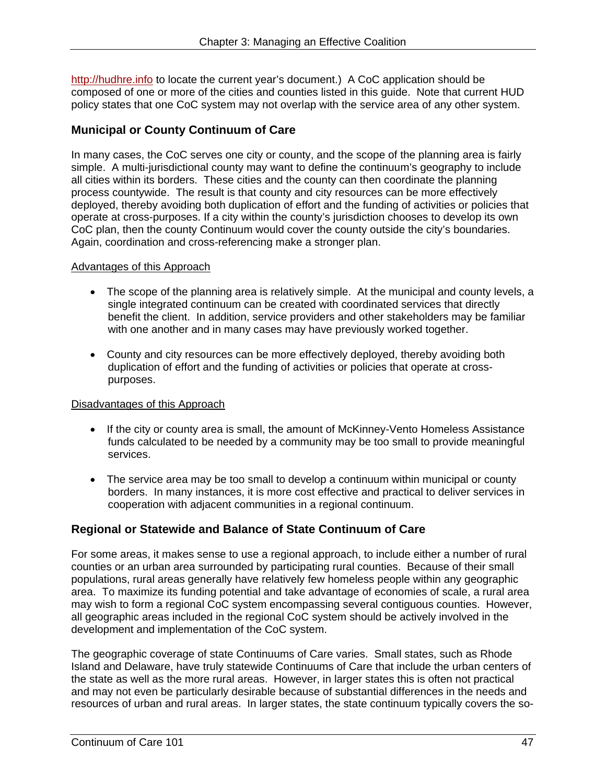http://hudhre.info to locate the current year's document.) A CoC application should be composed of one or more of the cities and counties listed in this guide. Note that current HUD policy states that one CoC system may not overlap with the service area of any other system.

### **Municipal or County Continuum of Care**

In many cases, the CoC serves one city or county, and the scope of the planning area is fairly simple. A multi-jurisdictional county may want to define the continuum's geography to include all cities within its borders. These cities and the county can then coordinate the planning process countywide. The result is that county and city resources can be more effectively deployed, thereby avoiding both duplication of effort and the funding of activities or policies that operate at cross-purposes. If a city within the county's jurisdiction chooses to develop its own CoC plan, then the county Continuum would cover the county outside the city's boundaries. Again, coordination and cross-referencing make a stronger plan.

#### Advantages of this Approach

- The scope of the planning area is relatively simple. At the municipal and county levels, a single integrated continuum can be created with coordinated services that directly benefit the client. In addition, service providers and other stakeholders may be familiar with one another and in many cases may have previously worked together.
- County and city resources can be more effectively deployed, thereby avoiding both duplication of effort and the funding of activities or policies that operate at crosspurposes.

#### Disadvantages of this Approach

- If the city or county area is small, the amount of McKinney-Vento Homeless Assistance funds calculated to be needed by a community may be too small to provide meaningful services.
- The service area may be too small to develop a continuum within municipal or county borders. In many instances, it is more cost effective and practical to deliver services in cooperation with adjacent communities in a regional continuum.

#### **Regional or Statewide and Balance of State Continuum of Care**

For some areas, it makes sense to use a regional approach, to include either a number of rural counties or an urban area surrounded by participating rural counties. Because of their small populations, rural areas generally have relatively few homeless people within any geographic area. To maximize its funding potential and take advantage of economies of scale, a rural area may wish to form a regional CoC system encompassing several contiguous counties. However, all geographic areas included in the regional CoC system should be actively involved in the development and implementation of the CoC system.

The geographic coverage of state Continuums of Care varies. Small states, such as Rhode Island and Delaware, have truly statewide Continuums of Care that include the urban centers of the state as well as the more rural areas. However, in larger states this is often not practical and may not even be particularly desirable because of substantial differences in the needs and resources of urban and rural areas. In larger states, the state continuum typically covers the so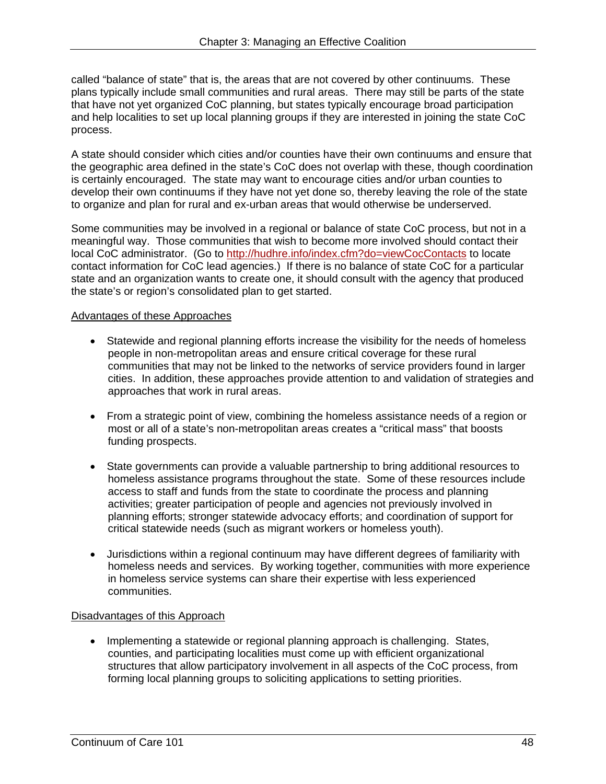called "balance of state" that is, the areas that are not covered by other continuums. These plans typically include small communities and rural areas. There may still be parts of the state that have not yet organized CoC planning, but states typically encourage broad participation and help localities to set up local planning groups if they are interested in joining the state CoC process.

A state should consider which cities and/or counties have their own continuums and ensure that the geographic area defined in the state's CoC does not overlap with these, though coordination is certainly encouraged. The state may want to encourage cities and/or urban counties to develop their own continuums if they have not yet done so, thereby leaving the role of the state to organize and plan for rural and ex-urban areas that would otherwise be underserved.

Some communities may be involved in a regional or balance of state CoC process, but not in a meaningful way. Those communities that wish to become more involved should contact their local CoC administrator. (Go to http://hudhre.info/index.cfm?do=viewCocContacts to locate contact information for CoC lead agencies.) If there is no balance of state CoC for a particular state and an organization wants to create one, it should consult with the agency that produced the state's or region's consolidated plan to get started.

#### Advantages of these Approaches

- Statewide and regional planning efforts increase the visibility for the needs of homeless people in non-metropolitan areas and ensure critical coverage for these rural communities that may not be linked to the networks of service providers found in larger cities. In addition, these approaches provide attention to and validation of strategies and approaches that work in rural areas.
- From a strategic point of view, combining the homeless assistance needs of a region or most or all of a state's non-metropolitan areas creates a "critical mass" that boosts funding prospects.
- State governments can provide a valuable partnership to bring additional resources to homeless assistance programs throughout the state. Some of these resources include access to staff and funds from the state to coordinate the process and planning activities; greater participation of people and agencies not previously involved in planning efforts; stronger statewide advocacy efforts; and coordination of support for critical statewide needs (such as migrant workers or homeless youth).
- Jurisdictions within a regional continuum may have different degrees of familiarity with homeless needs and services. By working together, communities with more experience in homeless service systems can share their expertise with less experienced communities.

#### Disadvantages of this Approach

forming local planning groups to soliciting applications to setting priorities. • Implementing a statewide or regional planning approach is challenging. States, counties, and participating localities must come up with efficient organizational structures that allow participatory involvement in all aspects of the CoC process, from forming local planning groups to soliciting applications to setting priorities.<br>
Continuum of Care 101 48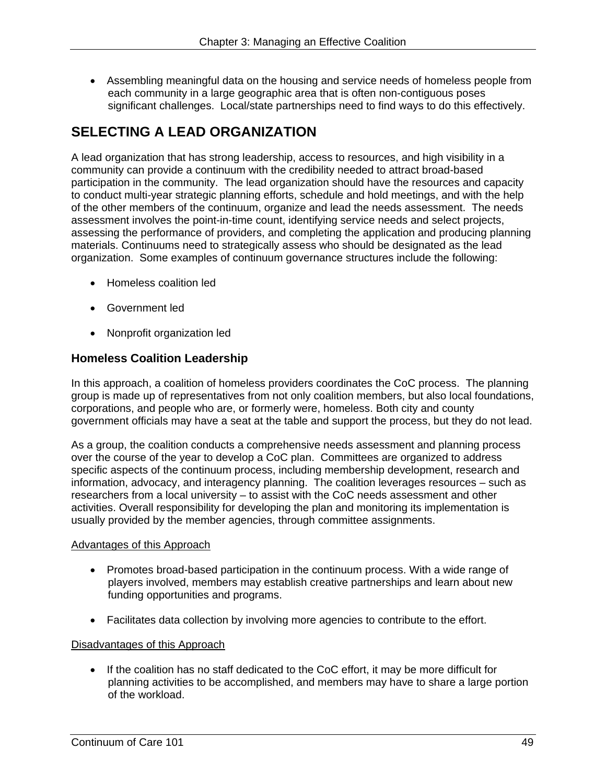Assembling meaningful data on the housing and service needs of homeless people from each community in a large geographic area that is often non-contiguous poses significant challenges. Local/state partnerships need to find ways to do this effectively.

# **SELECTING A LEAD ORGANIZATION**

A lead organization that has strong leadership, access to resources, and high visibility in a community can provide a continuum with the credibility needed to attract broad-based participation in the community. The lead organization should have the resources and capacity to conduct multi-year strategic planning efforts, schedule and hold meetings, and with the help of the other members of the continuum, organize and lead the needs assessment. The needs assessment involves the point-in-time count, identifying service needs and select projects, assessing the performance of providers, and completing the application and producing planning materials. Continuums need to strategically assess who should be designated as the lead organization. Some examples of continuum governance structures include the following:

- Homeless coalition led
- Government led
- Nonprofit organization led

#### **Homeless Coalition Leadership**

In this approach, a coalition of homeless providers coordinates the CoC process. The planning group is made up of representatives from not only coalition members, but also local foundations, corporations, and people who are, or formerly were, homeless. Both city and county government officials may have a seat at the table and support the process, but they do not lead.

As a group, the coalition conducts a comprehensive needs assessment and planning process over the course of the year to develop a CoC plan. Committees are organized to address specific aspects of the continuum process, including membership development, research and information, advocacy, and interagency planning. The coalition leverages resources – such as researchers from a local university – to assist with the CoC needs assessment and other activities. Overall responsibility for developing the plan and monitoring its implementation is usually provided by the member agencies, through committee assignments.

#### Advantages of this Approach

- Promotes broad-based participation in the continuum process. With a wide range of players involved, members may establish creative partnerships and learn about new funding opportunities and programs.
- Facilitates data collection by involving more agencies to contribute to the effort.

#### Disadvantages of this Approach

• If the coalition has no staff dedicated to the CoC effort, it may be more difficult for planning activities to be accomplished, and members may have to share a large portion of the workload.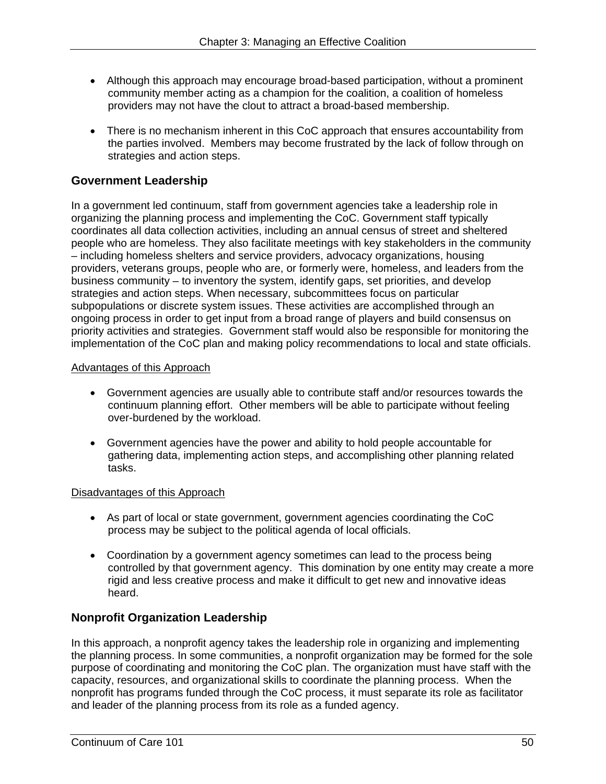- Although this approach may encourage broad-based participation, without a prominent community member acting as a champion for the coalition, a coalition of homeless providers may not have the clout to attract a broad-based membership.
- There is no mechanism inherent in this CoC approach that ensures accountability from the parties involved. Members may become frustrated by the lack of follow through on strategies and action steps.

#### **Government Leadership**

In a government led continuum, staff from government agencies take a leadership role in organizing the planning process and implementing the CoC. Government staff typically coordinates all data collection activities, including an annual census of street and sheltered people who are homeless. They also facilitate meetings with key stakeholders in the community – including homeless shelters and service providers, advocacy organizations, housing providers, veterans groups, people who are, or formerly were, homeless, and leaders from the business community – to inventory the system, identify gaps, set priorities, and develop strategies and action steps. When necessary, subcommittees focus on particular subpopulations or discrete system issues. These activities are accomplished through an ongoing process in order to get input from a broad range of players and build consensus on priority activities and strategies. Government staff would also be responsible for monitoring the implementation of the CoC plan and making policy recommendations to local and state officials.

#### Advantages of this Approach

- Government agencies are usually able to contribute staff and/or resources towards the continuum planning effort. Other members will be able to participate without feeling over-burdened by the workload.
- Government agencies have the power and ability to hold people accountable for gathering data, implementing action steps, and accomplishing other planning related tasks.

#### **Disadvantages of this Approach**

- As part of local or state government, government agencies coordinating the CoC process may be subject to the political agenda of local officials.
- Coordination by a government agency sometimes can lead to the process being controlled by that government agency. This domination by one entity may create a more rigid and less creative process and make it difficult to get new and innovative ideas heard.

#### **Nonprofit Organization Leadership**

In this approach, a nonprofit agency takes the leadership role in organizing and implementing the planning process. In some communities, a nonprofit organization may be formed for the sole purpose of coordinating and monitoring the CoC plan. The organization must have staff with the capacity, resources, and organizational skills to coordinate the planning process. When the nonprofit has programs funded through the CoC process, it must separate its role as facilitator and leader of the planning process from its role as a funded agency.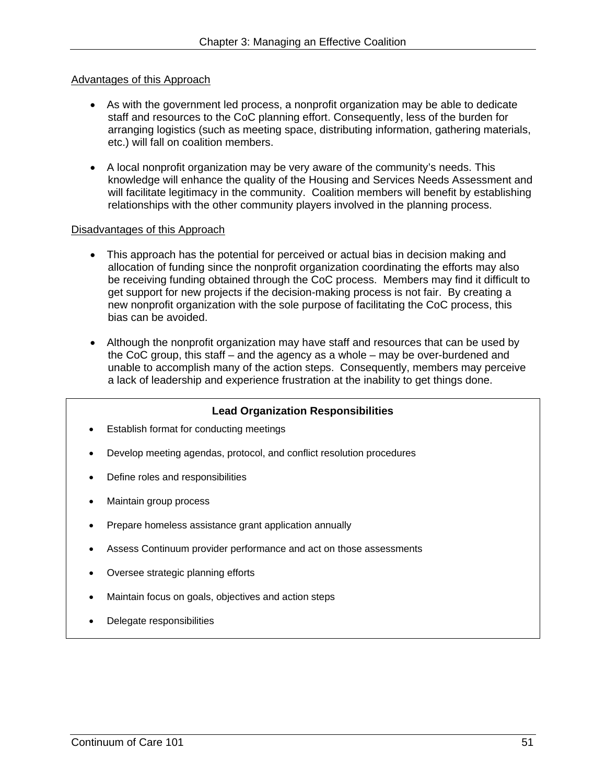#### Advantages of this Approach

- As with the government led process, a nonprofit organization may be able to dedicate staff and resources to the CoC planning effort. Consequently, less of the burden for arranging logistics (such as meeting space, distributing information, gathering materials, etc.) will fall on coalition members.
- A local nonprofit organization may be very aware of the community's needs. This knowledge will enhance the quality of the Housing and Services Needs Assessment and will facilitate legitimacy in the community. Coalition members will benefit by establishing relationships with the other community players involved in the planning process.

#### Disadvantages of this Approach

- This approach has the potential for perceived or actual bias in decision making and allocation of funding since the nonprofit organization coordinating the efforts may also be receiving funding obtained through the CoC process. Members may find it difficult to get support for new projects if the decision-making process is not fair. By creating a new nonprofit organization with the sole purpose of facilitating the CoC process, this bias can be avoided.
- Although the nonprofit organization may have staff and resources that can be used by the CoC group, this staff – and the agency as a whole – may be over-burdened and unable to accomplish many of the action steps. Consequently, members may perceive a lack of leadership and experience frustration at the inability to get things done.

#### **Lead Organization Responsibilities**

- Establish format for conducting meetings
- Develop meeting agendas, protocol, and conflict resolution procedures
- Define roles and responsibilities
- Maintain group process
- Prepare homeless assistance grant application annually
- Assess Continuum provider performance and act on those assessments
- Oversee strategic planning efforts
- Maintain focus on goals, objectives and action steps
- Delegate responsibilities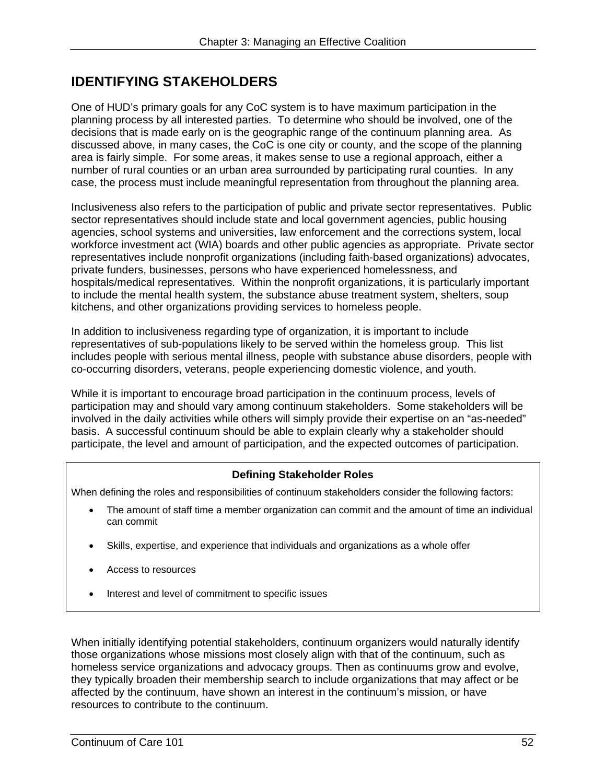# **IDENTIFYING STAKEHOLDERS**

One of HUD's primary goals for any CoC system is to have maximum participation in the planning process by all interested parties. To determine who should be involved, one of the decisions that is made early on is the geographic range of the continuum planning area. As discussed above, in many cases, the CoC is one city or county, and the scope of the planning area is fairly simple. For some areas, it makes sense to use a regional approach, either a number of rural counties or an urban area surrounded by participating rural counties. In any case, the process must include meaningful representation from throughout the planning area.

Inclusiveness also refers to the participation of public and private sector representatives. Public sector representatives should include state and local government agencies, public housing agencies, school systems and universities, law enforcement and the corrections system, local workforce investment act (WIA) boards and other public agencies as appropriate. Private sector representatives include nonprofit organizations (including faith-based organizations) advocates, private funders, businesses, persons who have experienced homelessness, and hospitals/medical representatives. Within the nonprofit organizations, it is particularly important to include the mental health system, the substance abuse treatment system, shelters, soup kitchens, and other organizations providing services to homeless people.

In addition to inclusiveness regarding type of organization, it is important to include representatives of sub-populations likely to be served within the homeless group. This list includes people with serious mental illness, people with substance abuse disorders, people with co-occurring disorders, veterans, people experiencing domestic violence, and youth.

While it is important to encourage broad participation in the continuum process, levels of participation may and should vary among continuum stakeholders. Some stakeholders will be involved in the daily activities while others will simply provide their expertise on an "as-needed" basis. A successful continuum should be able to explain clearly why a stakeholder should participate, the level and amount of participation, and the expected outcomes of participation.

#### **Defining Stakeholder Roles**

When defining the roles and responsibilities of continuum stakeholders consider the following factors:

- The amount of staff time a member organization can commit and the amount of time an individual can commit
- Skills, expertise, and experience that individuals and organizations as a whole offer
- Access to resources
- Interest and level of commitment to specific issues

When initially identifying potential stakeholders, continuum organizers would naturally identify those organizations whose missions most closely align with that of the continuum, such as homeless service organizations and advocacy groups. Then as continuums grow and evolve, they typically broaden their membership search to include organizations that may affect or be affected by the continuum, have shown an interest in the continuum's mission, or have resources to contribute to the continuum.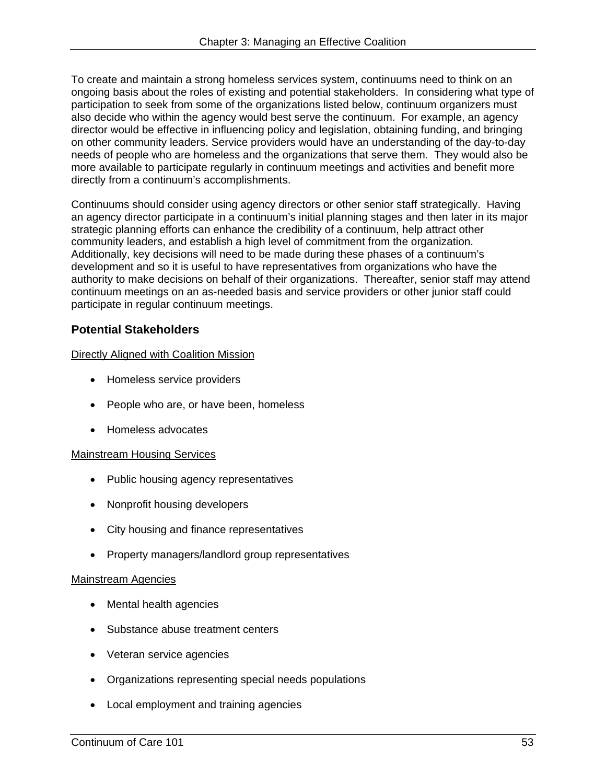To create and maintain a strong homeless services system, continuums need to think on an ongoing basis about the roles of existing and potential stakeholders. In considering what type of participation to seek from some of the organizations listed below, continuum organizers must also decide who within the agency would best serve the continuum. For example, an agency director would be effective in influencing policy and legislation, obtaining funding, and bringing on other community leaders. Service providers would have an understanding of the day-to-day needs of people who are homeless and the organizations that serve them. They would also be more available to participate regularly in continuum meetings and activities and benefit more directly from a continuum's accomplishments.

Continuums should consider using agency directors or other senior staff strategically. Having an agency director participate in a continuum's initial planning stages and then later in its major strategic planning efforts can enhance the credibility of a continuum, help attract other community leaders, and establish a high level of commitment from the organization. Additionally, key decisions will need to be made during these phases of a continuum's development and so it is useful to have representatives from organizations who have the authority to make decisions on behalf of their organizations. Thereafter, senior staff may attend continuum meetings on an as-needed basis and service providers or other junior staff could participate in regular continuum meetings.

# **Potential Stakeholders**

#### Directly Aligned with Coalition Mission

- Homeless service providers
- People who are, or have been, homeless
- Homeless advocates

#### Mainstream Housing Services

- Public housing agency representatives
- Nonprofit housing developers
- City housing and finance representatives
- Property managers/landlord group representatives

#### Mainstream Agencies

- Mental health agencies
- Substance abuse treatment centers
- Veteran service agencies
- Organizations representing special needs populations
- Local employment and training agencies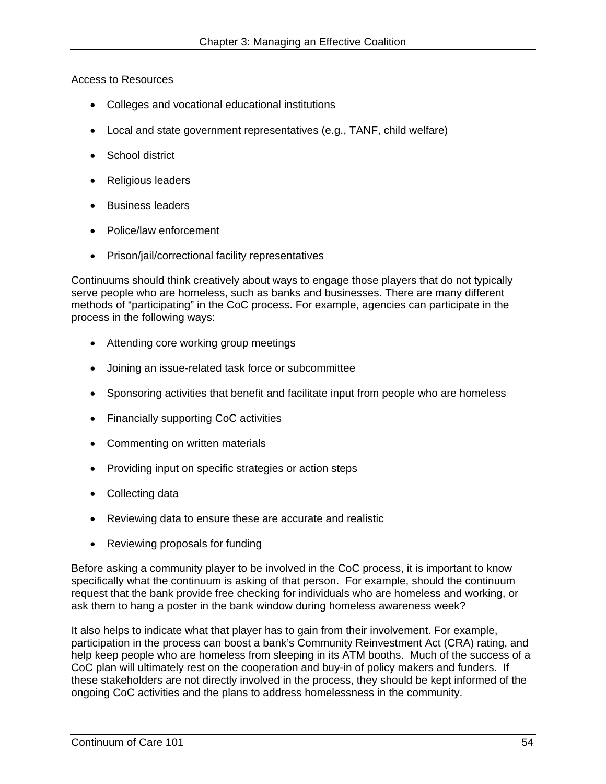#### Access to Resources

- Colleges and vocational educational institutions
- Local and state government representatives (e.g., TANF, child welfare)
- School district
- Religious leaders
- Business leaders
- Police/law enforcement
- Prison/jail/correctional facility representatives

Continuums should think creatively about ways to engage those players that do not typically serve people who are homeless, such as banks and businesses. There are many different methods of "participating" in the CoC process. For example, agencies can participate in the process in the following ways:

- Attending core working group meetings
- Joining an issue-related task force or subcommittee
- Sponsoring activities that benefit and facilitate input from people who are homeless
- Financially supporting CoC activities
- Commenting on written materials
- Providing input on specific strategies or action steps
- Collecting data
- Reviewing data to ensure these are accurate and realistic
- Reviewing proposals for funding

Before asking a community player to be involved in the CoC process, it is important to know specifically what the continuum is asking of that person. For example, should the continuum request that the bank provide free checking for individuals who are homeless and working, or ask them to hang a poster in the bank window during homeless awareness week?

It also helps to indicate what that player has to gain from their involvement. For example, participation in the process can boost a bank's Community Reinvestment Act (CRA) rating, and help keep people who are homeless from sleeping in its ATM booths. Much of the success of a CoC plan will ultimately rest on the cooperation and buy-in of policy makers and funders. If these stakeholders are not directly involved in the process, they should be kept informed of the ongoing CoC activities and the plans to address homelessness in the community.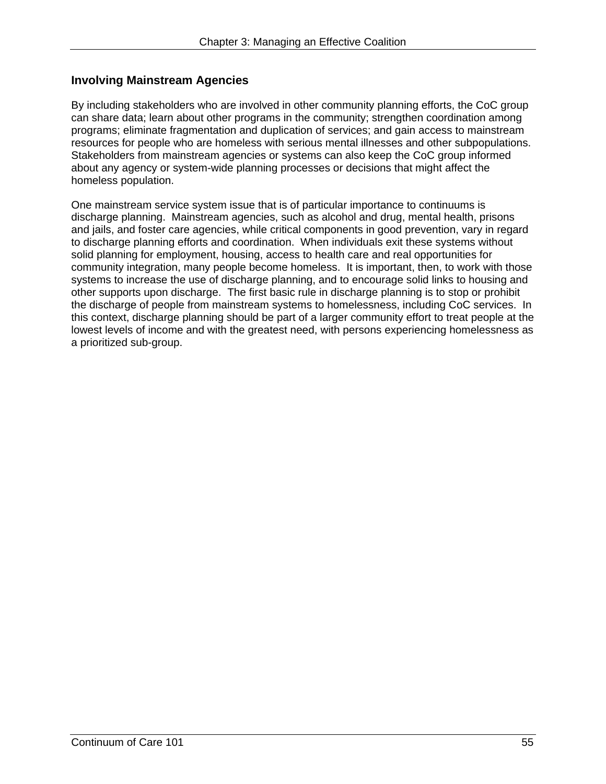### **Involving Mainstream Agencies**

By including stakeholders who are involved in other community planning efforts, the CoC group can share data; learn about other programs in the community; strengthen coordination among programs; eliminate fragmentation and duplication of services; and gain access to mainstream resources for people who are homeless with serious mental illnesses and other subpopulations. Stakeholders from mainstream agencies or systems can also keep the CoC group informed about any agency or system-wide planning processes or decisions that might affect the homeless population.

One mainstream service system issue that is of particular importance to continuums is discharge planning. Mainstream agencies, such as alcohol and drug, mental health, prisons and jails, and foster care agencies, while critical components in good prevention, vary in regard to discharge planning efforts and coordination. When individuals exit these systems without solid planning for employment, housing, access to health care and real opportunities for community integration, many people become homeless. It is important, then, to work with those systems to increase the use of discharge planning, and to encourage solid links to housing and other supports upon discharge. The first basic rule in discharge planning is to stop or prohibit the discharge of people from mainstream systems to homelessness, including CoC services. In this context, discharge planning should be part of a larger community effort to treat people at the lowest levels of income and with the greatest need, with persons experiencing homelessness as a prioritized sub-group.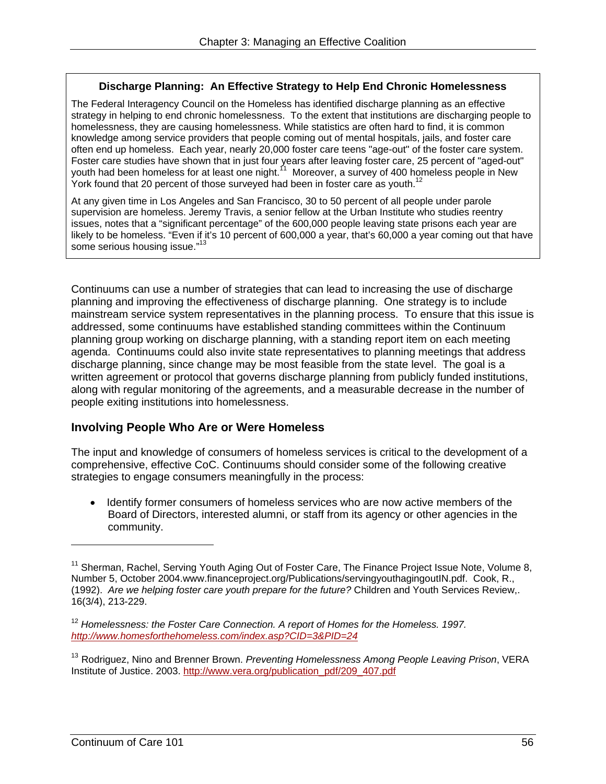#### **Discharge Planning: An Effective Strategy to Help End Chronic Homelessness**

The Federal Interagency Council on the Homeless has identified discharge planning as an effective strategy in helping to end chronic homelessness. To the extent that institutions are discharging people to homelessness, they are causing homelessness. While statistics are often hard to find, it is common knowledge among service providers that people coming out of mental hospitals, jails, and foster care often end up homeless. Each year, nearly 20,000 foster care teens "age-out" of the foster care system. Foster care studies have shown that in just four years after leaving foster care, 25 percent of "aged-out" youth had been homeless for at least one night.<sup>11</sup> Moreover, a survey of 400 homeless people in New York found that 20 percent of those surveyed had been in foster care as youth.<sup>12</sup>

At any given time in Los Angeles and San Francisco, 30 to 50 percent of all people under parole supervision are homeless. Jeremy Travis, a senior fellow at the Urban Institute who studies reentry issues, notes that a "significant percentage" of the 600,000 people leaving state prisons each year are likely to be homeless. "Even if it's 10 percent of 600,000 a year, that's 60,000 a year coming out that have some serious housing issue."<sup>13</sup>

Continuums can use a number of strategies that can lead to increasing the use of discharge planning and improving the effectiveness of discharge planning. One strategy is to include mainstream service system representatives in the planning process. To ensure that this issue is addressed, some continuums have established standing committees within the Continuum planning group working on discharge planning, with a standing report item on each meeting agenda. Continuums could also invite state representatives to planning meetings that address discharge planning, since change may be most feasible from the state level. The goal is a written agreement or protocol that governs discharge planning from publicly funded institutions, along with regular monitoring of the agreements, and a measurable decrease in the number of people exiting institutions into homelessness.

#### **Involving People Who Are or Were Homeless**

The input and knowledge of consumers of homeless services is critical to the development of a comprehensive, effective CoC. Continuums should consider some of the following creative strategies to engage consumers meaningfully in the process:

 Identify former consumers of homeless services who are now active members of the Board of Directors, interested alumni, or staff from its agency or other agencies in the community.

 $\overline{a}$ 

<sup>&</sup>lt;sup>11</sup> Sherman, Rachel, Serving Youth Aging Out of Foster Care, The Finance Project Issue Note, Volume 8, Number 5, October 2004.www.financeproject.org/Publications/servingyouthagingoutIN.pdf. Cook, R., (1992). *Are we helping foster care youth prepare for the future?* Children and Youth Services Review,. 16(3/4), 213-229.

 *http://www.homesforthehomeless.com/index.asp?CID=3&PID=24* <sup>12</sup> Homelessness: the Foster Care Connection. A report of Homes for the Homeless. 1997.

Institute of Justice. 2003. http://www.vera.org/publication\_pdf/209\_407.pdf 13 Rodriguez, Nino and Brenner Brown. *Preventing Homelessness Among People Leaving Prison*, VERA Institute of Justice. 2003. <u>http://www.vera.org/publication\_pdf/209\_407.pdf</u><br>
Continuum of Care 101 56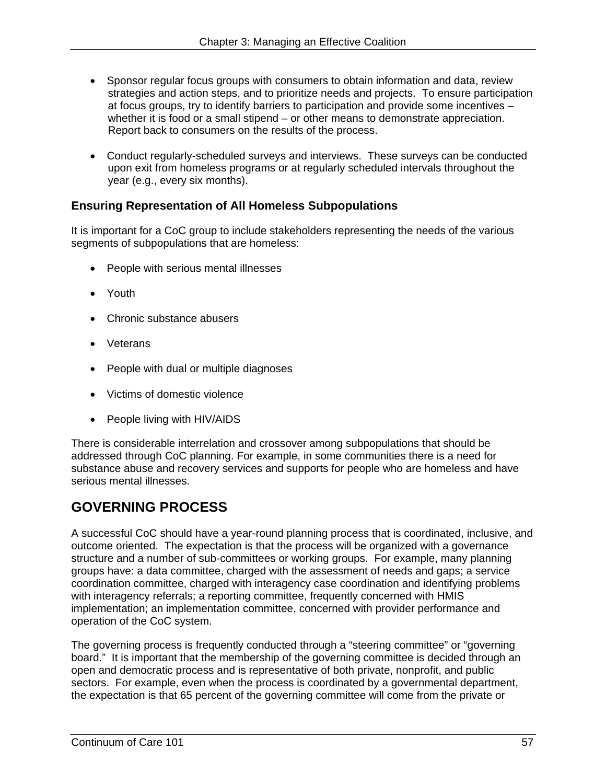- Sponsor regular focus groups with consumers to obtain information and data, review strategies and action steps, and to prioritize needs and projects. To ensure participation at focus groups, try to identify barriers to participation and provide some incentives – whether it is food or a small stipend – or other means to demonstrate appreciation. Report back to consumers on the results of the process.
- Conduct regularly-scheduled surveys and interviews. These surveys can be conducted upon exit from homeless programs or at regularly scheduled intervals throughout the year (e.g., every six months).

### **Ensuring Representation of All Homeless Subpopulations**

It is important for a CoC group to include stakeholders representing the needs of the various segments of subpopulations that are homeless:

- People with serious mental illnesses
- Youth
- Chronic substance abusers
- Veterans
- People with dual or multiple diagnoses
- Victims of domestic violence
- People living with HIV/AIDS

There is considerable interrelation and crossover among subpopulations that should be addressed through CoC planning. For example, in some communities there is a need for substance abuse and recovery services and supports for people who are homeless and have serious mental illnesses.

# **GOVERNING PROCESS**

A successful CoC should have a year-round planning process that is coordinated, inclusive, and outcome oriented. The expectation is that the process will be organized with a governance structure and a number of sub-committees or working groups. For example, many planning groups have: a data committee, charged with the assessment of needs and gaps; a service coordination committee, charged with interagency case coordination and identifying problems with interagency referrals; a reporting committee, frequently concerned with HMIS implementation; an implementation committee, concerned with provider performance and operation of the CoC system.

The governing process is frequently conducted through a "steering committee" or "governing board." It is important that the membership of the governing committee is decided through an open and democratic process and is representative of both private, nonprofit, and public sectors. For example, even when the process is coordinated by a governmental department, the expectation is that 65 percent of the governing committee will come from the private or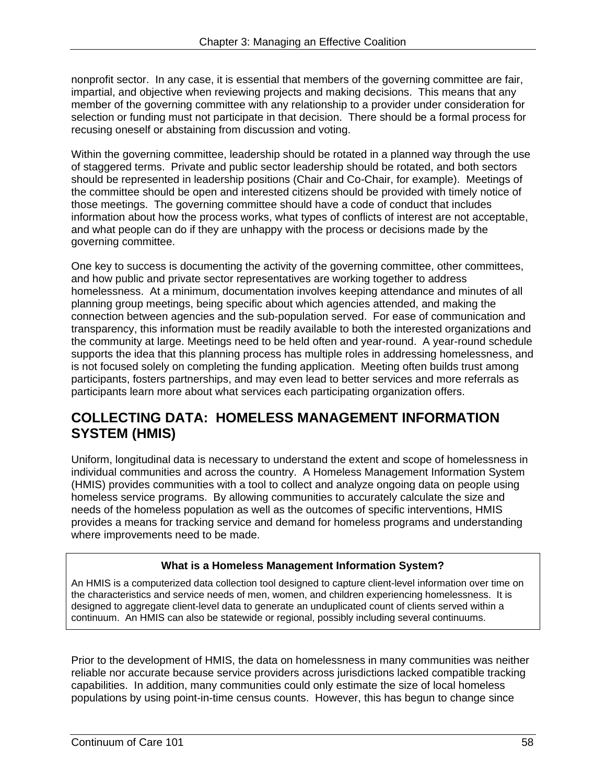nonprofit sector. In any case, it is essential that members of the governing committee are fair, impartial, and objective when reviewing projects and making decisions. This means that any member of the governing committee with any relationship to a provider under consideration for selection or funding must not participate in that decision. There should be a formal process for recusing oneself or abstaining from discussion and voting.

Within the governing committee, leadership should be rotated in a planned way through the use of staggered terms. Private and public sector leadership should be rotated, and both sectors should be represented in leadership positions (Chair and Co-Chair, for example). Meetings of the committee should be open and interested citizens should be provided with timely notice of those meetings. The governing committee should have a code of conduct that includes information about how the process works, what types of conflicts of interest are not acceptable, and what people can do if they are unhappy with the process or decisions made by the governing committee.

One key to success is documenting the activity of the governing committee, other committees, and how public and private sector representatives are working together to address homelessness. At a minimum, documentation involves keeping attendance and minutes of all planning group meetings, being specific about which agencies attended, and making the connection between agencies and the sub-population served. For ease of communication and transparency, this information must be readily available to both the interested organizations and the community at large. Meetings need to be held often and year-round. A year-round schedule supports the idea that this planning process has multiple roles in addressing homelessness, and is not focused solely on completing the funding application. Meeting often builds trust among participants, fosters partnerships, and may even lead to better services and more referrals as participants learn more about what services each participating organization offers.

# **COLLECTING DATA: HOMELESS MANAGEMENT INFORMATION SYSTEM (HMIS)**

Uniform, longitudinal data is necessary to understand the extent and scope of homelessness in individual communities and across the country. A Homeless Management Information System (HMIS) provides communities with a tool to collect and analyze ongoing data on people using homeless service programs. By allowing communities to accurately calculate the size and needs of the homeless population as well as the outcomes of specific interventions, HMIS provides a means for tracking service and demand for homeless programs and understanding where improvements need to be made.

# **What is a Homeless Management Information System?**

An HMIS is a computerized data collection tool designed to capture client-level information over time on the characteristics and service needs of men, women, and children experiencing homelessness. It is designed to aggregate client-level data to generate an unduplicated count of clients served within a continuum. An HMIS can also be statewide or regional, possibly including several continuums.

Prior to the development of HMIS, the data on homelessness in many communities was neither reliable nor accurate because service providers across jurisdictions lacked compatible tracking capabilities. In addition, many communities could only estimate the size of local homeless populations by using point-in-time census counts. However, this has begun to change since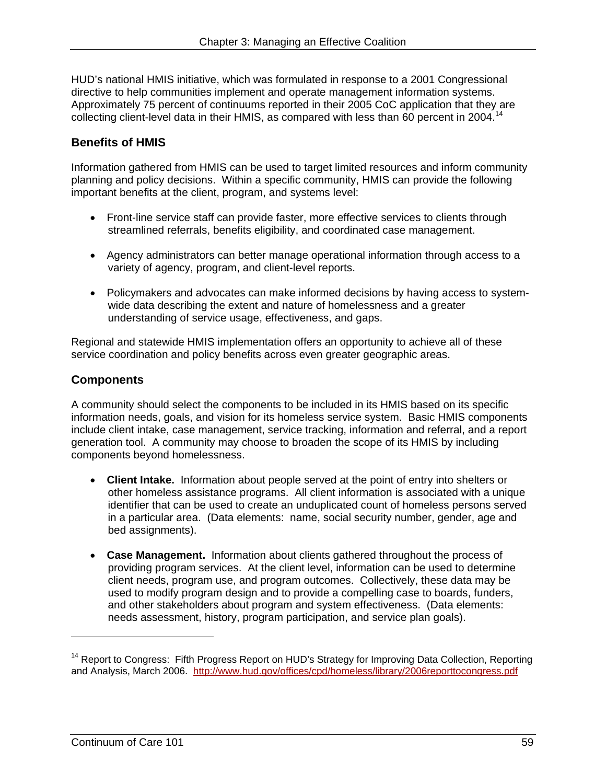HUD's national HMIS initiative, which was formulated in response to a 2001 Congressional directive to help communities implement and operate management information systems. Approximately 75 percent of continuums reported in their 2005 CoC application that they are collecting client-level data in their HMIS, as compared with less than 60 percent in 2004.<sup>14</sup>

### **Benefits of HMIS**

Information gathered from HMIS can be used to target limited resources and inform community planning and policy decisions. Within a specific community, HMIS can provide the following important benefits at the client, program, and systems level:

- Front-line service staff can provide faster, more effective services to clients through streamlined referrals, benefits eligibility, and coordinated case management.
- Agency administrators can better manage operational information through access to a variety of agency, program, and client-level reports.
- Policymakers and advocates can make informed decisions by having access to systemwide data describing the extent and nature of homelessness and a greater understanding of service usage, effectiveness, and gaps.

Regional and statewide HMIS implementation offers an opportunity to achieve all of these service coordination and policy benefits across even greater geographic areas.

### **Components**

A community should select the components to be included in its HMIS based on its specific information needs, goals, and vision for its homeless service system. Basic HMIS components include client intake, case management, service tracking, information and referral, and a report generation tool. A community may choose to broaden the scope of its HMIS by including components beyond homelessness.

- **Client Intake.** Information about people served at the point of entry into shelters or other homeless assistance programs. All client information is associated with a unique identifier that can be used to create an unduplicated count of homeless persons served in a particular area. (Data elements: name, social security number, gender, age and bed assignments).
- **Case Management.** Information about clients gathered throughout the process of providing program services. At the client level, information can be used to determine client needs, program use, and program outcomes. Collectively, these data may be used to modify program design and to provide a compelling case to boards, funders, and other stakeholders about program and system effectiveness. (Data elements: needs assessment, history, program participation, and service plan goals).

and Analysis, March 2006. http://www.hud.gov/offices/cpd/homeless/library/2006reporttocongress.pdf<br>
Continuum of Care 101 59 <sup>14</sup> Report to Congress: Fifth Progress Report on HUD's Strategy for Improving Data Collection, Reporting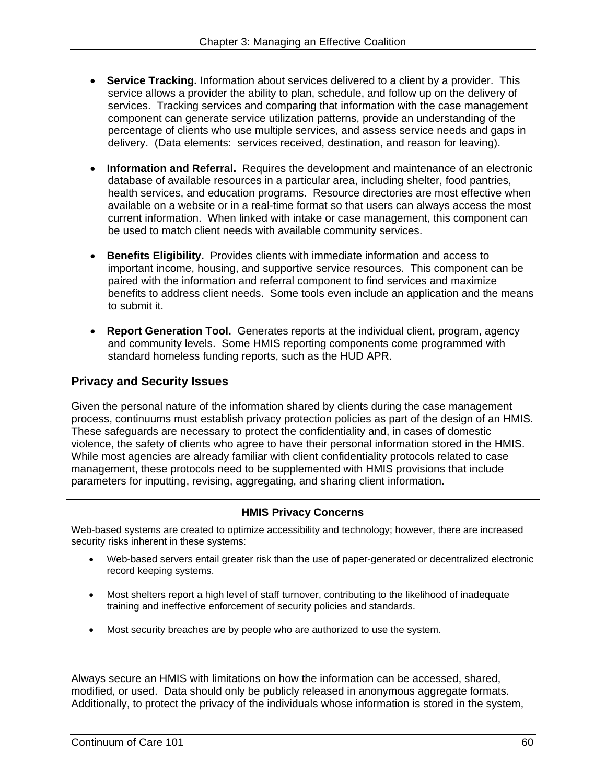- **Service Tracking.** Information about services delivered to a client by a provider. This service allows a provider the ability to plan, schedule, and follow up on the delivery of services. Tracking services and comparing that information with the case management component can generate service utilization patterns, provide an understanding of the percentage of clients who use multiple services, and assess service needs and gaps in delivery. (Data elements: services received, destination, and reason for leaving).
- **Information and Referral.** Requires the development and maintenance of an electronic database of available resources in a particular area, including shelter, food pantries, health services, and education programs. Resource directories are most effective when available on a website or in a real-time format so that users can always access the most current information. When linked with intake or case management, this component can be used to match client needs with available community services.
- **Benefits Eligibility.** Provides clients with immediate information and access to important income, housing, and supportive service resources. This component can be paired with the information and referral component to find services and maximize benefits to address client needs. Some tools even include an application and the means to submit it.
- **Report Generation Tool.** Generates reports at the individual client, program, agency and community levels. Some HMIS reporting components come programmed with standard homeless funding reports, such as the HUD APR.

#### **Privacy and Security Issues**

Given the personal nature of the information shared by clients during the case management process, continuums must establish privacy protection policies as part of the design of an HMIS. These safeguards are necessary to protect the confidentiality and, in cases of domestic violence, the safety of clients who agree to have their personal information stored in the HMIS. While most agencies are already familiar with client confidentiality protocols related to case management, these protocols need to be supplemented with HMIS provisions that include parameters for inputting, revising, aggregating, and sharing client information.

#### **HMIS Privacy Concerns**

Web-based systems are created to optimize accessibility and technology; however, there are increased security risks inherent in these systems:

- Web-based servers entail greater risk than the use of paper-generated or decentralized electronic record keeping systems.
- Most shelters report a high level of staff turnover, contributing to the likelihood of inadequate training and ineffective enforcement of security policies and standards.
- Most security breaches are by people who are authorized to use the system.

Always secure an HMIS with limitations on how the information can be accessed, shared, modified, or used. Data should only be publicly released in anonymous aggregate formats. Additionally, to protect the privacy of the individuals whose information is stored in the system,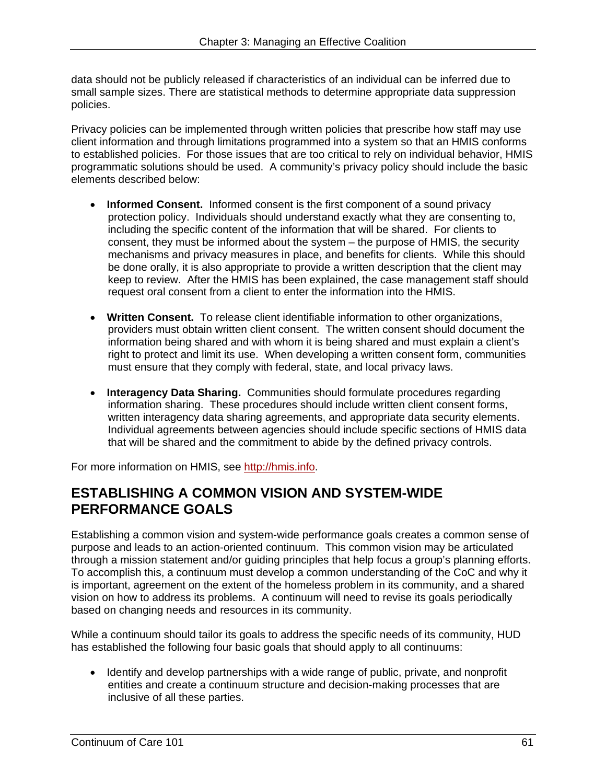data should not be publicly released if characteristics of an individual can be inferred due to small sample sizes. There are statistical methods to determine appropriate data suppression policies.

Privacy policies can be implemented through written policies that prescribe how staff may use client information and through limitations programmed into a system so that an HMIS conforms to established policies. For those issues that are too critical to rely on individual behavior, HMIS programmatic solutions should be used. A community's privacy policy should include the basic elements described below:

- **Informed Consent.** Informed consent is the first component of a sound privacy protection policy. Individuals should understand exactly what they are consenting to, including the specific content of the information that will be shared. For clients to consent, they must be informed about the system – the purpose of HMIS, the security mechanisms and privacy measures in place, and benefits for clients. While this should be done orally, it is also appropriate to provide a written description that the client may keep to review. After the HMIS has been explained, the case management staff should request oral consent from a client to enter the information into the HMIS.
- **Written Consent.** To release client identifiable information to other organizations, providers must obtain written client consent. The written consent should document the information being shared and with whom it is being shared and must explain a client's right to protect and limit its use. When developing a written consent form, communities must ensure that they comply with federal, state, and local privacy laws.
- **Interagency Data Sharing.** Communities should formulate procedures regarding information sharing. These procedures should include written client consent forms, written interagency data sharing agreements, and appropriate data security elements. Individual agreements between agencies should include specific sections of HMIS data that will be shared and the commitment to abide by the defined privacy controls.

For more information on HMIS, see http://hmis.info.

# **ESTABLISHING A COMMON VISION AND SYSTEM-WIDE PERFORMANCE GOALS**

Establishing a common vision and system-wide performance goals creates a common sense of purpose and leads to an action-oriented continuum. This common vision may be articulated through a mission statement and/or guiding principles that help focus a group's planning efforts. To accomplish this, a continuum must develop a common understanding of the CoC and why it is important, agreement on the extent of the homeless problem in its community, and a shared vision on how to address its problems. A continuum will need to revise its goals periodically based on changing needs and resources in its community.

While a continuum should tailor its goals to address the specific needs of its community, HUD has established the following four basic goals that should apply to all continuums:

• Identify and develop partnerships with a wide range of public, private, and nonprofit entities and create a continuum structure and decision-making processes that are inclusive of all these parties.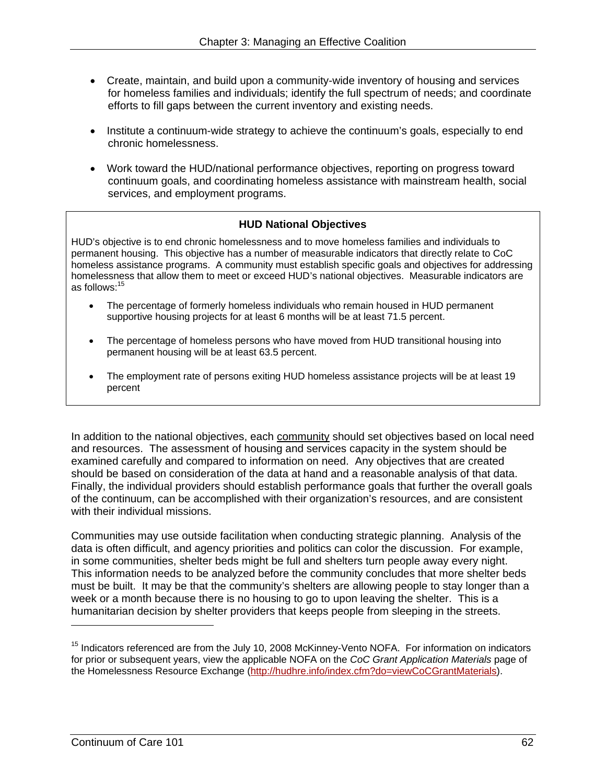- Create, maintain, and build upon a community-wide inventory of housing and services for homeless families and individuals; identify the full spectrum of needs; and coordinate efforts to fill gaps between the current inventory and existing needs.
- Institute a continuum-wide strategy to achieve the continuum's goals, especially to end chronic homelessness.
- Work toward the HUD/national performance objectives, reporting on progress toward continuum goals, and coordinating homeless assistance with mainstream health, social services, and employment programs.

#### **HUD National Objectives**

as follows: $^{15}$ HUD's objective is to end chronic homelessness and to move homeless families and individuals to permanent housing. This objective has a number of measurable indicators that directly relate to CoC homeless assistance programs. A community must establish specific goals and objectives for addressing homelessness that allow them to meet or exceed HUD's national objectives. Measurable indicators are

- The percentage of formerly homeless individuals who remain housed in HUD permanent supportive housing projects for at least 6 months will be at least 71.5 percent.
- The percentage of homeless persons who have moved from HUD transitional housing into permanent housing will be at least 63.5 percent.
- The employment rate of persons exiting HUD homeless assistance projects will be at least 19 percent

In addition to the national objectives, each community should set objectives based on local need and resources. The assessment of housing and services capacity in the system should be examined carefully and compared to information on need. Any objectives that are created should be based on consideration of the data at hand and a reasonable analysis of that data. Finally, the individual providers should establish performance goals that further the overall goals of the continuum, can be accomplished with their organization's resources, and are consistent with their individual missions.

Communities may use outside facilitation when conducting strategic planning. Analysis of the data is often difficult, and agency priorities and politics can color the discussion. For example, in some communities, shelter beds might be full and shelters turn people away every night. This information needs to be analyzed before the community concludes that more shelter beds must be built. It may be that the community's shelters are allowing people to stay longer than a week or a month because there is no housing to go to upon leaving the shelter. This is a humanitarian decision by shelter providers that keeps people from sleeping in the streets.

 $\overline{a}$ 

<sup>&</sup>lt;sup>15</sup> Indicators referenced are from the July 10, 2008 McKinney-Vento NOFA. For information on indicators for prior or subsequent years, view the applicable NOFA on the *CoC Grant Application Materials* page of the Homelessness Resource Exchange (http://hudhre.info/index.cfm?do=viewCoCGrantMaterials).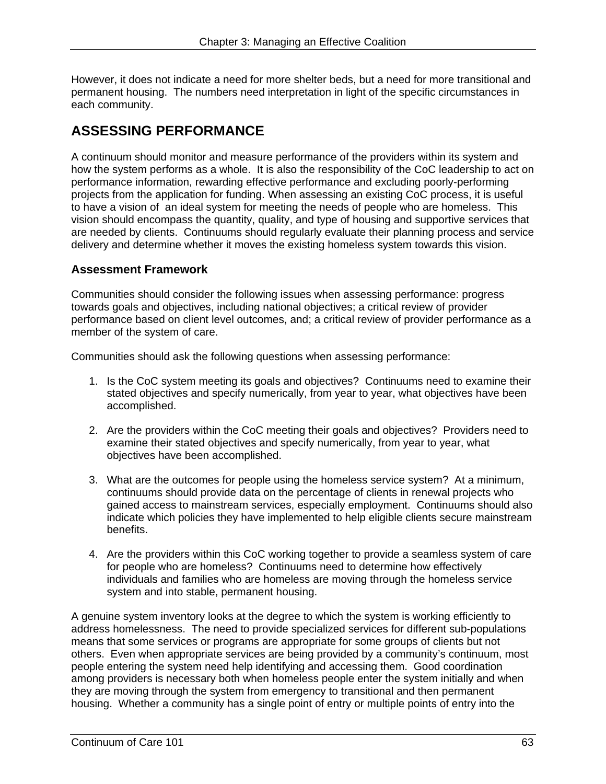However, it does not indicate a need for more shelter beds, but a need for more transitional and permanent housing. The numbers need interpretation in light of the specific circumstances in each community.

# **ASSESSING PERFORMANCE**

A continuum should monitor and measure performance of the providers within its system and how the system performs as a whole. It is also the responsibility of the CoC leadership to act on performance information, rewarding effective performance and excluding poorly-performing projects from the application for funding. When assessing an existing CoC process, it is useful to have a vision of an ideal system for meeting the needs of people who are homeless. This vision should encompass the quantity, quality, and type of housing and supportive services that are needed by clients. Continuums should regularly evaluate their planning process and service delivery and determine whether it moves the existing homeless system towards this vision.

#### **Assessment Framework**

Communities should consider the following issues when assessing performance: progress towards goals and objectives, including national objectives; a critical review of provider performance based on client level outcomes, and; a critical review of provider performance as a member of the system of care.

Communities should ask the following questions when assessing performance:

- 1. Is the CoC system meeting its goals and objectives? Continuums need to examine their stated objectives and specify numerically, from year to year, what objectives have been accomplished.
- 2. Are the providers within the CoC meeting their goals and objectives? Providers need to examine their stated objectives and specify numerically, from year to year, what objectives have been accomplished.
- 3. What are the outcomes for people using the homeless service system? At a minimum, continuums should provide data on the percentage of clients in renewal projects who gained access to mainstream services, especially employment. Continuums should also indicate which policies they have implemented to help eligible clients secure mainstream benefits.
- 4. Are the providers within this CoC working together to provide a seamless system of care for people who are homeless? Continuums need to determine how effectively individuals and families who are homeless are moving through the homeless service system and into stable, permanent housing.

A genuine system inventory looks at the degree to which the system is working efficiently to address homelessness. The need to provide specialized services for different sub-populations means that some services or programs are appropriate for some groups of clients but not others. Even when appropriate services are being provided by a community's continuum, most people entering the system need help identifying and accessing them. Good coordination among providers is necessary both when homeless people enter the system initially and when they are moving through the system from emergency to transitional and then permanent housing. Whether a community has a single point of entry or multiple points of entry into the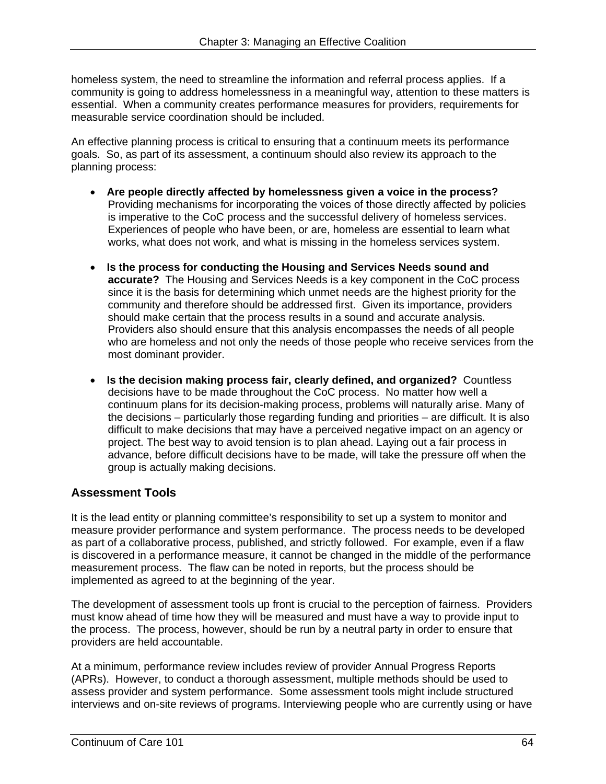homeless system, the need to streamline the information and referral process applies. If a community is going to address homelessness in a meaningful way, attention to these matters is essential. When a community creates performance measures for providers, requirements for measurable service coordination should be included.

An effective planning process is critical to ensuring that a continuum meets its performance goals. So, as part of its assessment, a continuum should also review its approach to the planning process:

- is imperative to the CoC process and the successful delivery of homeless services. **Are people directly affected by homelessness given a voice in the process?**  Providing mechanisms for incorporating the voices of those directly affected by policies Experiences of people who have been, or are, homeless are essential to learn what works, what does not work, and what is missing in the homeless services system.
- **Is the process for conducting the Housing and Services Needs sound and accurate?** The Housing and Services Needs is a key component in the CoC process since it is the basis for determining which unmet needs are the highest priority for the community and therefore should be addressed first. Given its importance, providers should make certain that the process results in a sound and accurate analysis. Providers also should ensure that this analysis encompasses the needs of all people who are homeless and not only the needs of those people who receive services from the most dominant provider.
- **Is the decision making process fair, clearly defined, and organized?** Countless decisions have to be made throughout the CoC process. No matter how well a continuum plans for its decision-making process, problems will naturally arise. Many of the decisions – particularly those regarding funding and priorities – are difficult. It is also difficult to make decisions that may have a perceived negative impact on an agency or project. The best way to avoid tension is to plan ahead. Laying out a fair process in advance, before difficult decisions have to be made, will take the pressure off when the group is actually making decisions.

# **Assessment Tools**

It is the lead entity or planning committee's responsibility to set up a system to monitor and measure provider performance and system performance. The process needs to be developed as part of a collaborative process, published, and strictly followed. For example, even if a flaw is discovered in a performance measure, it cannot be changed in the middle of the performance measurement process. The flaw can be noted in reports, but the process should be implemented as agreed to at the beginning of the year.

The development of assessment tools up front is crucial to the perception of fairness. Providers must know ahead of time how they will be measured and must have a way to provide input to the process. The process, however, should be run by a neutral party in order to ensure that providers are held accountable.

At a minimum, performance review includes review of provider Annual Progress Reports (APRs). However, to conduct a thorough assessment, multiple methods should be used to assess provider and system performance. Some assessment tools might include structured interviews and on-site reviews of programs. Interviewing people who are currently using or have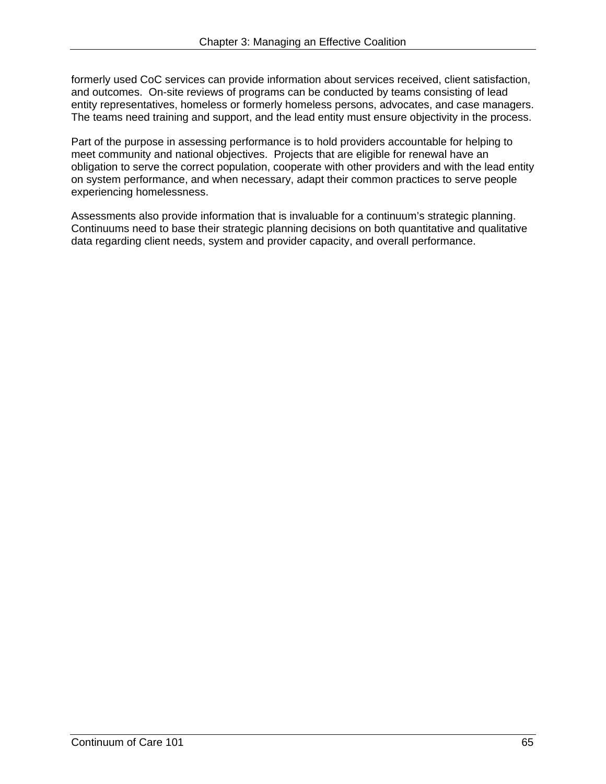formerly used CoC services can provide information about services received, client satisfaction, and outcomes. On-site reviews of programs can be conducted by teams consisting of lead entity representatives, homeless or formerly homeless persons, advocates, and case managers. The teams need training and support, and the lead entity must ensure objectivity in the process.

Part of the purpose in assessing performance is to hold providers accountable for helping to meet community and national objectives. Projects that are eligible for renewal have an obligation to serve the correct population, cooperate with other providers and with the lead entity on system performance, and when necessary, adapt their common practices to serve people experiencing homelessness.

Assessments also provide information that is invaluable for a continuum's strategic planning. Continuums need to base their strategic planning decisions on both quantitative and qualitative data regarding client needs, system and provider capacity, and overall performance.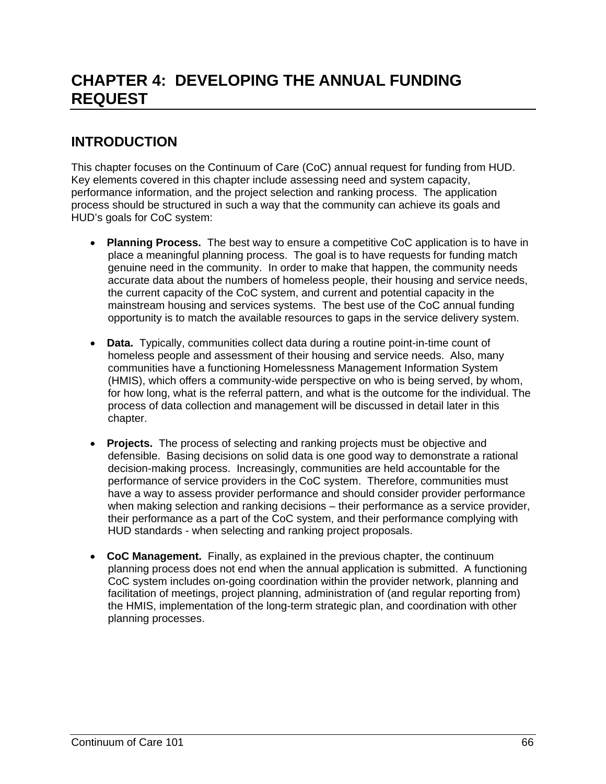# **CHAPTER 4: DEVELOPING THE ANNUAL FUNDING REQUEST**

# **INTRODUCTION**

This chapter focuses on the Continuum of Care (CoC) annual request for funding from HUD. Key elements covered in this chapter include assessing need and system capacity, performance information, and the project selection and ranking process. The application process should be structured in such a way that the community can achieve its goals and HUD's goals for CoC system:

- **Planning Process.** The best way to ensure a competitive CoC application is to have in place a meaningful planning process. The goal is to have requests for funding match genuine need in the community. In order to make that happen, the community needs accurate data about the numbers of homeless people, their housing and service needs, the current capacity of the CoC system, and current and potential capacity in the mainstream housing and services systems. The best use of the CoC annual funding opportunity is to match the available resources to gaps in the service delivery system.
- **Data.** Typically, communities collect data during a routine point-in-time count of homeless people and assessment of their housing and service needs. Also, many communities have a functioning Homelessness Management Information System (HMIS), which offers a community-wide perspective on who is being served, by whom, for how long, what is the referral pattern, and what is the outcome for the individual. The process of data collection and management will be discussed in detail later in this chapter.
- **Projects.** The process of selecting and ranking projects must be objective and defensible. Basing decisions on solid data is one good way to demonstrate a rational decision-making process. Increasingly, communities are held accountable for the performance of service providers in the CoC system. Therefore, communities must have a way to assess provider performance and should consider provider performance when making selection and ranking decisions – their performance as a service provider, their performance as a part of the CoC system, and their performance complying with HUD standards - when selecting and ranking project proposals.
- planning processes. **CoC Management.** Finally, as explained in the previous chapter, the continuum planning process does not end when the annual application is submitted. A functioning CoC system includes on-going coordination within the provider network, planning and facilitation of meetings, project planning, administration of (and regular reporting from) the HMIS, implementation of the long-term strategic plan, and coordination with other planning processes.<br>
Continuum of Care 101 66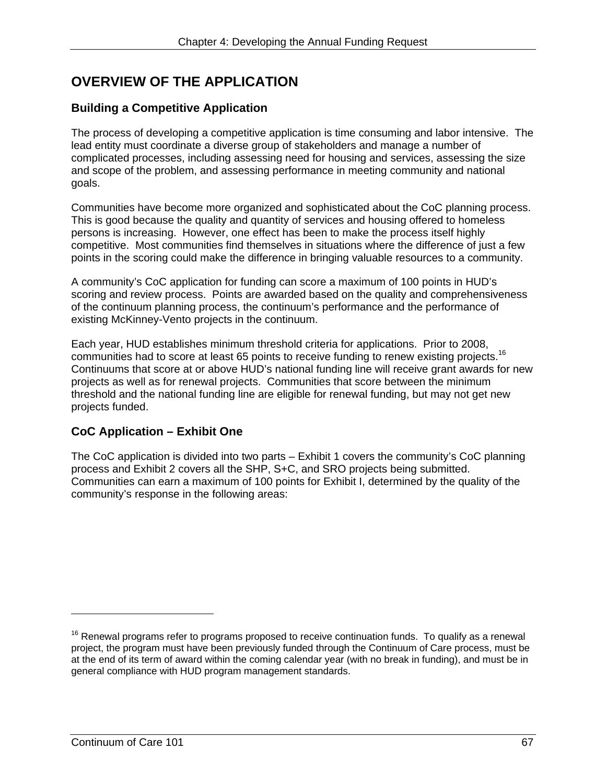# **OVERVIEW OF THE APPLICATION**

### **Building a Competitive Application**

The process of developing a competitive application is time consuming and labor intensive. The lead entity must coordinate a diverse group of stakeholders and manage a number of complicated processes, including assessing need for housing and services, assessing the size and scope of the problem, and assessing performance in meeting community and national goals.

Communities have become more organized and sophisticated about the CoC planning process. This is good because the quality and quantity of services and housing offered to homeless persons is increasing. However, one effect has been to make the process itself highly competitive. Most communities find themselves in situations where the difference of just a few points in the scoring could make the difference in bringing valuable resources to a community.

A community's CoC application for funding can score a maximum of 100 points in HUD's scoring and review process. Points are awarded based on the quality and comprehensiveness of the continuum planning process, the continuum's performance and the performance of existing McKinney-Vento projects in the continuum.

communities had to score at least 65 points to receive funding to renew existing projects.<sup>16</sup> Each year, HUD establishes minimum threshold criteria for applications. Prior to 2008, Continuums that score at or above HUD's national funding line will receive grant awards for new projects as well as for renewal projects. Communities that score between the minimum threshold and the national funding line are eligible for renewal funding, but may not get new projects funded.

## **CoC Application – Exhibit One**

The CoC application is divided into two parts – Exhibit 1 covers the community's CoC planning process and Exhibit 2 covers all the SHP, S+C, and SRO projects being submitted. Communities can earn a maximum of 100 points for Exhibit I, determined by the quality of the community's response in the following areas:

 $16$  Renewal programs refer to programs proposed to receive continuation funds. To qualify as a renewal project, the program must have been previously funded through the Continuum of Care process, must be at the end of its term of award within the coming calendar year (with no break in funding), and must be in general compliance with HUD program management standards.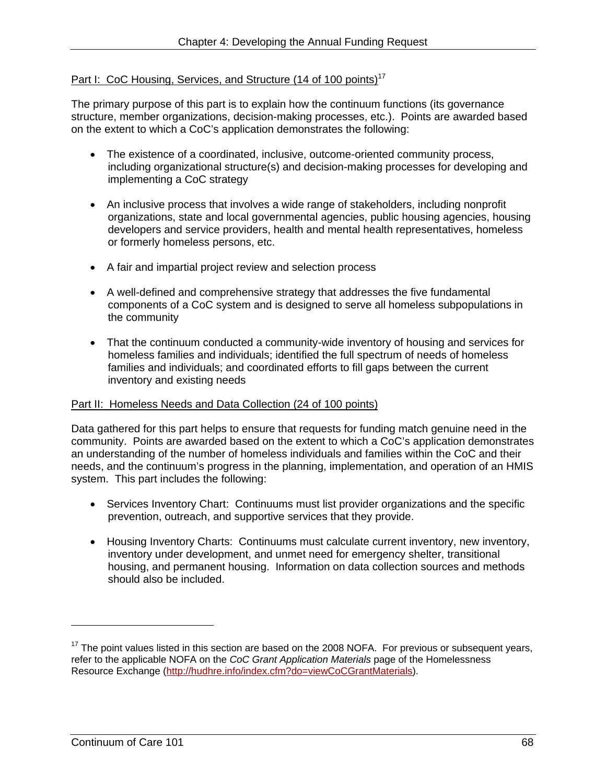# Part I: CoC Housing, Services, and Structure (14 of 100 points)<sup>17</sup>

The primary purpose of this part is to explain how the continuum functions (its governance structure, member organizations, decision-making processes, etc.). Points are awarded based on the extent to which a CoC's application demonstrates the following:

- The existence of a coordinated, inclusive, outcome-oriented community process, including organizational structure(s) and decision-making processes for developing and implementing a CoC strategy
- An inclusive process that involves a wide range of stakeholders, including nonprofit organizations, state and local governmental agencies, public housing agencies, housing developers and service providers, health and mental health representatives, homeless or formerly homeless persons, etc.
- A fair and impartial project review and selection process
- A well-defined and comprehensive strategy that addresses the five fundamental components of a CoC system and is designed to serve all homeless subpopulations in the community
- That the continuum conducted a community-wide inventory of housing and services for homeless families and individuals; identified the full spectrum of needs of homeless families and individuals; and coordinated efforts to fill gaps between the current inventory and existing needs

#### Part II: Homeless Needs and Data Collection (24 of 100 points)

Data gathered for this part helps to ensure that requests for funding match genuine need in the community. Points are awarded based on the extent to which a CoC's application demonstrates an understanding of the number of homeless individuals and families within the CoC and their needs, and the continuum's progress in the planning, implementation, and operation of an HMIS system. This part includes the following:

- Services Inventory Chart: Continuums must list provider organizations and the specific prevention, outreach, and supportive services that they provide.
- Housing Inventory Charts: Continuums must calculate current inventory, new inventory, inventory under development, and unmet need for emergency shelter, transitional housing, and permanent housing. Information on data collection sources and methods should also be included.

-

 $17$  The point values listed in this section are based on the 2008 NOFA. For previous or subsequent years, refer to the applicable NOFA on the *CoC Grant Application Materials* page of the Homelessness Resource Exchange (http://hudhre.info/index.cfm?do=viewCoCGrantMaterials).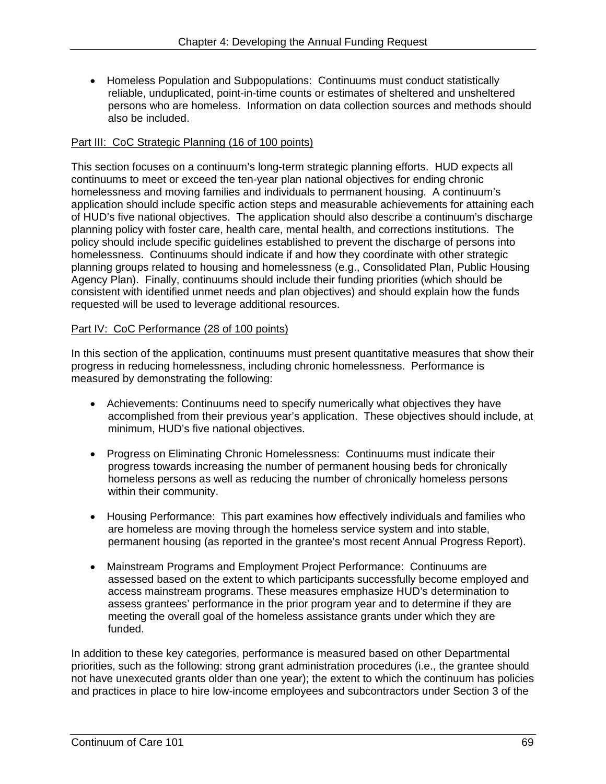• Homeless Population and Subpopulations: Continuums must conduct statistically reliable, unduplicated, point-in-time counts or estimates of sheltered and unsheltered persons who are homeless. Information on data collection sources and methods should also be included.

### Part III: CoC Strategic Planning (16 of 100 points)

This section focuses on a continuum's long-term strategic planning efforts. HUD expects all continuums to meet or exceed the ten-year plan national objectives for ending chronic homelessness and moving families and individuals to permanent housing. A continuum's application should include specific action steps and measurable achievements for attaining each of HUD's five national objectives. The application should also describe a continuum's discharge planning policy with foster care, health care, mental health, and corrections institutions. The policy should include specific guidelines established to prevent the discharge of persons into homelessness. Continuums should indicate if and how they coordinate with other strategic planning groups related to housing and homelessness (e.g., Consolidated Plan, Public Housing Agency Plan). Finally, continuums should include their funding priorities (which should be consistent with identified unmet needs and plan objectives) and should explain how the funds requested will be used to leverage additional resources.

#### Part IV: CoC Performance (28 of 100 points)

In this section of the application, continuums must present quantitative measures that show their progress in reducing homelessness, including chronic homelessness. Performance is measured by demonstrating the following:

- Achievements: Continuums need to specify numerically what objectives they have accomplished from their previous year's application. These objectives should include, at minimum, HUD's five national objectives.
- Progress on Eliminating Chronic Homelessness: Continuums must indicate their progress towards increasing the number of permanent housing beds for chronically homeless persons as well as reducing the number of chronically homeless persons within their community.
- Housing Performance: This part examines how effectively individuals and families who are homeless are moving through the homeless service system and into stable, permanent housing (as reported in the grantee's most recent Annual Progress Report).
- Mainstream Programs and Employment Project Performance: Continuums are assessed based on the extent to which participants successfully become employed and access mainstream programs. These measures emphasize HUD's determination to assess grantees' performance in the prior program year and to determine if they are meeting the overall goal of the homeless assistance grants under which they are funded.

In addition to these key categories, performance is measured based on other Departmental priorities, such as the following: strong grant administration procedures (i.e., the grantee should not have unexecuted grants older than one year); the extent to which the continuum has policies and practices in place to hire low-income employees and subcontractors under Section 3 of the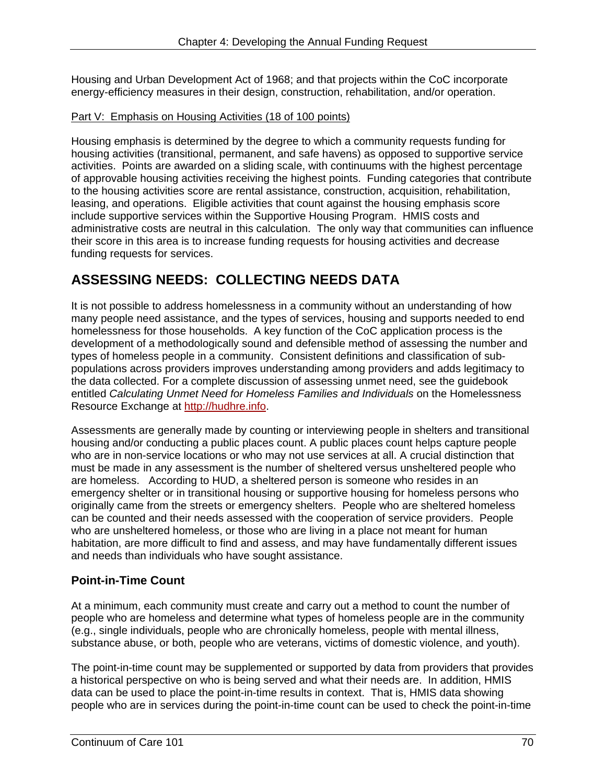Housing and Urban Development Act of 1968; and that projects within the CoC incorporate energy-efficiency measures in their design, construction, rehabilitation, and/or operation.

### Part V: Emphasis on Housing Activities (18 of 100 points)

Housing emphasis is determined by the degree to which a community requests funding for housing activities (transitional, permanent, and safe havens) as opposed to supportive service activities. Points are awarded on a sliding scale, with continuums with the highest percentage of approvable housing activities receiving the highest points. Funding categories that contribute to the housing activities score are rental assistance, construction, acquisition, rehabilitation, leasing, and operations. Eligible activities that count against the housing emphasis score include supportive services within the Supportive Housing Program. HMIS costs and administrative costs are neutral in this calculation. The only way that communities can influence their score in this area is to increase funding requests for housing activities and decrease funding requests for services.

# **ASSESSING NEEDS: COLLECTING NEEDS DATA**

It is not possible to address homelessness in a community without an understanding of how many people need assistance, and the types of services, housing and supports needed to end homelessness for those households. A key function of the CoC application process is the development of a methodologically sound and defensible method of assessing the number and types of homeless people in a community. Consistent definitions and classification of subpopulations across providers improves understanding among providers and adds legitimacy to the data collected. For a complete discussion of assessing unmet need, see the guidebook entitled *Calculating Unmet Need for Homeless Families and Individuals* on the Homelessness Resource Exchange at http://hudhre.info.

 and needs than individuals who have sought assistance. Assessments are generally made by counting or interviewing people in shelters and transitional housing and/or conducting a public places count. A public places count helps capture people who are in non-service locations or who may not use services at all. A crucial distinction that must be made in any assessment is the number of sheltered versus unsheltered people who are homeless. According to HUD, a sheltered person is someone who resides in an emergency shelter or in transitional housing or supportive housing for homeless persons who originally came from the streets or emergency shelters. People who are sheltered homeless can be counted and their needs assessed with the cooperation of service providers. People who are unsheltered homeless, or those who are living in a place not meant for human habitation, are more difficult to find and assess, and may have fundamentally different issues

## **Point-in-Time Count**

At a minimum, each community must create and carry out a method to count the number of people who are homeless and determine what types of homeless people are in the community (e.g., single individuals, people who are chronically homeless, people with mental illness, substance abuse, or both, people who are veterans, victims of domestic violence, and youth).

The point-in-time count may be supplemented or supported by data from providers that provides a historical perspective on who is being served and what their needs are. In addition, HMIS data can be used to place the point-in-time results in context. That is, HMIS data showing people who are in services during the point-in-time count can be used to check the point-in-time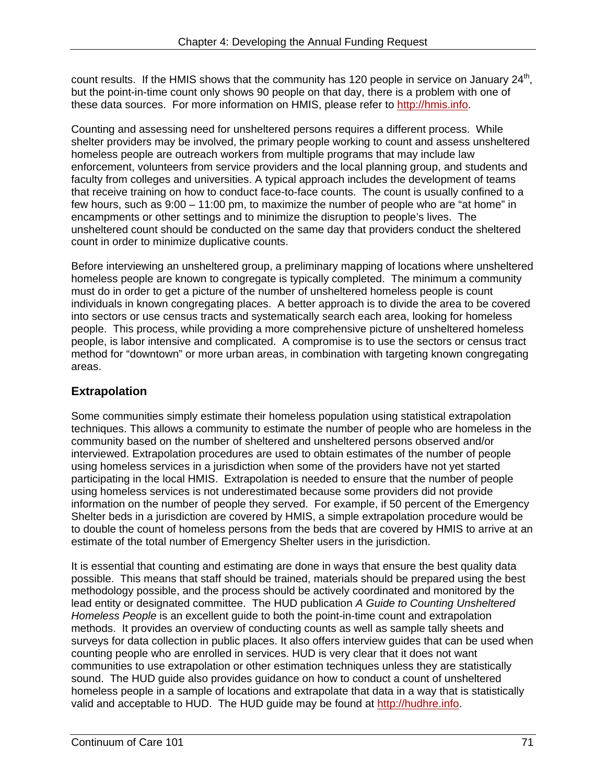count results. If the HMIS shows that the community has 120 people in service on January  $24<sup>th</sup>$ . but the point-in-time count only shows 90 people on that day, there is a problem with one of these data sources. For more information on HMIS, please refer to http://hmis.info.

Counting and assessing need for unsheltered persons requires a different process. While shelter providers may be involved, the primary people working to count and assess unsheltered homeless people are outreach workers from multiple programs that may include law enforcement, volunteers from service providers and the local planning group, and students and faculty from colleges and universities. A typical approach includes the development of teams that receive training on how to conduct face-to-face counts. The count is usually confined to a few hours, such as 9:00 – 11:00 pm, to maximize the number of people who are "at home" in encampments or other settings and to minimize the disruption to people's lives. The unsheltered count should be conducted on the same day that providers conduct the sheltered count in order to minimize duplicative counts.

Before interviewing an unsheltered group, a preliminary mapping of locations where unsheltered homeless people are known to congregate is typically completed. The minimum a community must do in order to get a picture of the number of unsheltered homeless people is count individuals in known congregating places. A better approach is to divide the area to be covered into sectors or use census tracts and systematically search each area, looking for homeless people. This process, while providing a more comprehensive picture of unsheltered homeless people, is labor intensive and complicated. A compromise is to use the sectors or census tract method for "downtown" or more urban areas, in combination with targeting known congregating areas.

# **Extrapolation**

Some communities simply estimate their homeless population using statistical extrapolation techniques. This allows a community to estimate the number of people who are homeless in the community based on the number of sheltered and unsheltered persons observed and/or interviewed. Extrapolation procedures are used to obtain estimates of the number of people using homeless services in a jurisdiction when some of the providers have not yet started participating in the local HMIS. Extrapolation is needed to ensure that the number of people using homeless services is not underestimated because some providers did not provide information on the number of people they served. For example, if 50 percent of the Emergency Shelter beds in a jurisdiction are covered by HMIS, a simple extrapolation procedure would be to double the count of homeless persons from the beds that are covered by HMIS to arrive at an estimate of the total number of Emergency Shelter users in the jurisdiction.

It is essential that counting and estimating are done in ways that ensure the best quality data possible. This means that staff should be trained, materials should be prepared using the best methodology possible, and the process should be actively coordinated and monitored by the lead entity or designated committee. The HUD publication *A Guide to Counting Unsheltered Homeless People* is an excellent guide to both the point-in-time count and extrapolation methods. It provides an overview of conducting counts as well as sample tally sheets and surveys for data collection in public places. It also offers interview guides that can be used when counting people who are enrolled in services. HUD is very clear that it does not want communities to use extrapolation or other estimation techniques unless they are statistically sound. The HUD guide also provides guidance on how to conduct a count of unsheltered homeless people in a sample of locations and extrapolate that data in a way that is statistically valid and acceptable to HUD. The HUD guide may be found at http://hudhre.info.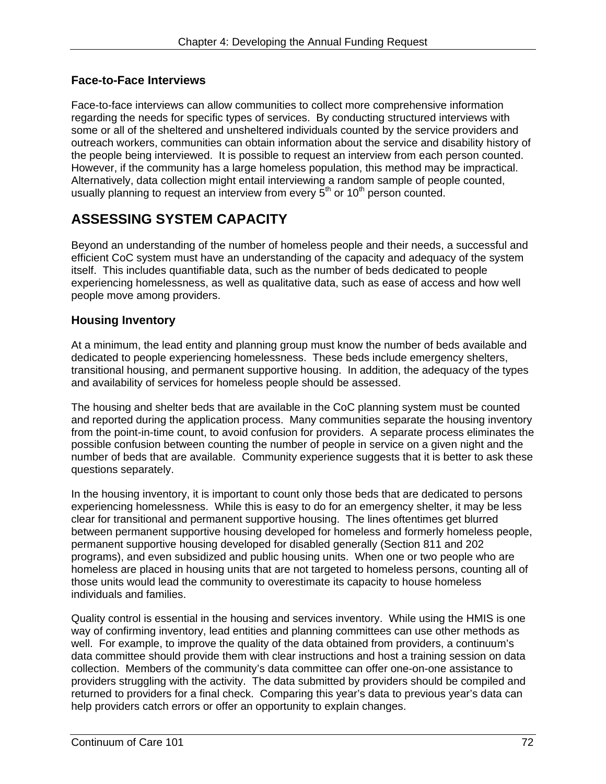### **Face-to-Face Interviews**

Face-to-face interviews can allow communities to collect more comprehensive information regarding the needs for specific types of services. By conducting structured interviews with some or all of the sheltered and unsheltered individuals counted by the service providers and outreach workers, communities can obtain information about the service and disability history of the people being interviewed. It is possible to request an interview from each person counted. However, if the community has a large homeless population, this method may be impractical. Alternatively, data collection might entail interviewing a random sample of people counted, usually planning to request an interview from every  $5<sup>th</sup>$  or 10<sup>th</sup> person counted.

# **ASSESSING SYSTEM CAPACITY**

Beyond an understanding of the number of homeless people and their needs, a successful and efficient CoC system must have an understanding of the capacity and adequacy of the system itself. This includes quantifiable data, such as the number of beds dedicated to people experiencing homelessness, as well as qualitative data, such as ease of access and how well people move among providers.

### **Housing Inventory**

At a minimum, the lead entity and planning group must know the number of beds available and dedicated to people experiencing homelessness. These beds include emergency shelters, transitional housing, and permanent supportive housing. In addition, the adequacy of the types and availability of services for homeless people should be assessed.

The housing and shelter beds that are available in the CoC planning system must be counted and reported during the application process. Many communities separate the housing inventory from the point-in-time count, to avoid confusion for providers. A separate process eliminates the possible confusion between counting the number of people in service on a given night and the number of beds that are available. Community experience suggests that it is better to ask these questions separately.

In the housing inventory, it is important to count only those beds that are dedicated to persons experiencing homelessness. While this is easy to do for an emergency shelter, it may be less clear for transitional and permanent supportive housing. The lines oftentimes get blurred between permanent supportive housing developed for homeless and formerly homeless people, permanent supportive housing developed for disabled generally (Section 811 and 202 programs), and even subsidized and public housing units. When one or two people who are homeless are placed in housing units that are not targeted to homeless persons, counting all of those units would lead the community to overestimate its capacity to house homeless individuals and families.

Quality control is essential in the housing and services inventory. While using the HMIS is one way of confirming inventory, lead entities and planning committees can use other methods as well. For example, to improve the quality of the data obtained from providers, a continuum's data committee should provide them with clear instructions and host a training session on data collection. Members of the community's data committee can offer one-on-one assistance to providers struggling with the activity. The data submitted by providers should be compiled and returned to providers for a final check. Comparing this year's data to previous year's data can help providers catch errors or offer an opportunity to explain changes.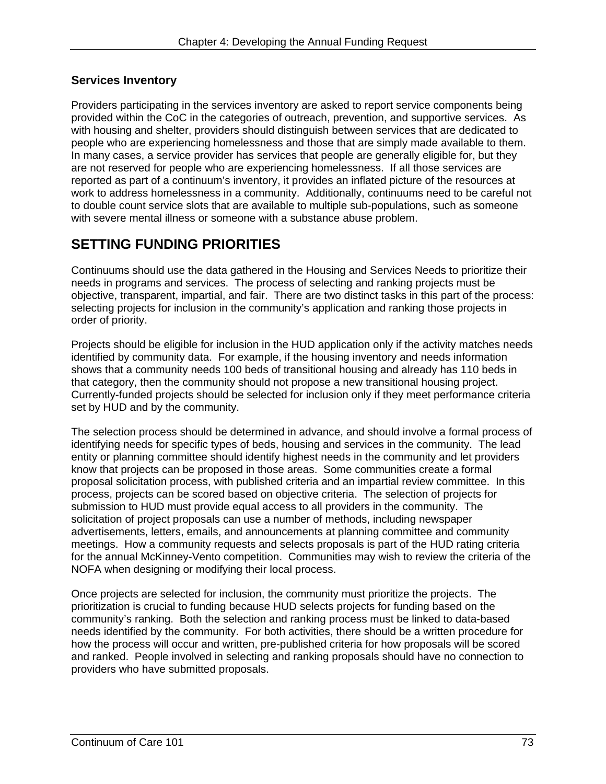## **Services Inventory**

Providers participating in the services inventory are asked to report service components being provided within the CoC in the categories of outreach, prevention, and supportive services. As with housing and shelter, providers should distinguish between services that are dedicated to people who are experiencing homelessness and those that are simply made available to them. In many cases, a service provider has services that people are generally eligible for, but they are not reserved for people who are experiencing homelessness. If all those services are reported as part of a continuum's inventory, it provides an inflated picture of the resources at work to address homelessness in a community. Additionally, continuums need to be careful not to double count service slots that are available to multiple sub-populations, such as someone with severe mental illness or someone with a substance abuse problem.

# **SETTING FUNDING PRIORITIES**

Continuums should use the data gathered in the Housing and Services Needs to prioritize their needs in programs and services. The process of selecting and ranking projects must be objective, transparent, impartial, and fair. There are two distinct tasks in this part of the process: selecting projects for inclusion in the community's application and ranking those projects in order of priority.

Projects should be eligible for inclusion in the HUD application only if the activity matches needs identified by community data. For example, if the housing inventory and needs information shows that a community needs 100 beds of transitional housing and already has 110 beds in that category, then the community should not propose a new transitional housing project. Currently-funded projects should be selected for inclusion only if they meet performance criteria set by HUD and by the community.

The selection process should be determined in advance, and should involve a formal process of identifying needs for specific types of beds, housing and services in the community. The lead entity or planning committee should identify highest needs in the community and let providers know that projects can be proposed in those areas. Some communities create a formal proposal solicitation process, with published criteria and an impartial review committee. In this process, projects can be scored based on objective criteria. The selection of projects for submission to HUD must provide equal access to all providers in the community. The solicitation of project proposals can use a number of methods, including newspaper advertisements, letters, emails, and announcements at planning committee and community meetings. How a community requests and selects proposals is part of the HUD rating criteria for the annual McKinney-Vento competition. Communities may wish to review the criteria of the NOFA when designing or modifying their local process.

Once projects are selected for inclusion, the community must prioritize the projects. The prioritization is crucial to funding because HUD selects projects for funding based on the community's ranking. Both the selection and ranking process must be linked to data-based needs identified by the community. For both activities, there should be a written procedure for how the process will occur and written, pre-published criteria for how proposals will be scored and ranked. People involved in selecting and ranking proposals should have no connection to providers who have submitted proposals.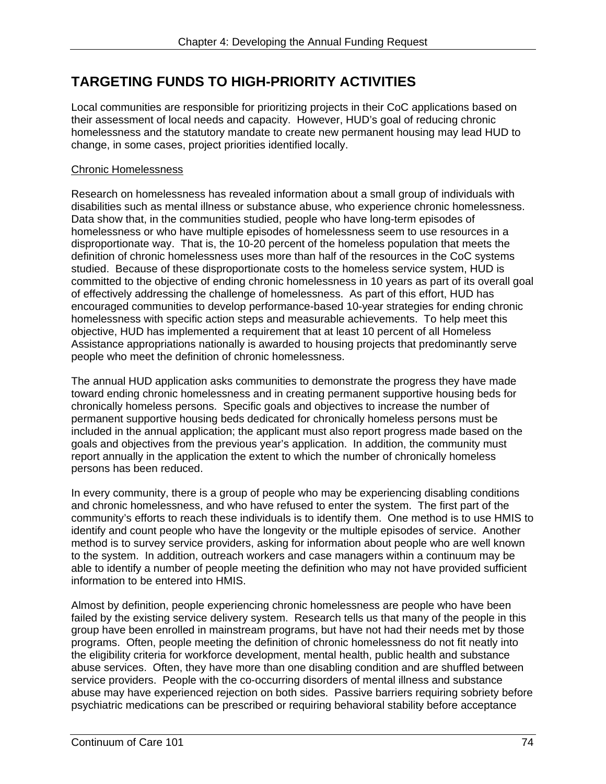# **TARGETING FUNDS TO HIGH-PRIORITY ACTIVITIES**

Local communities are responsible for prioritizing projects in their CoC applications based on their assessment of local needs and capacity. However, HUD's goal of reducing chronic homelessness and the statutory mandate to create new permanent housing may lead HUD to change, in some cases, project priorities identified locally.

### Chronic Homelessness

people who meet the definition of chronic homelessness. Research on homelessness has revealed information about a small group of individuals with disabilities such as mental illness or substance abuse, who experience chronic homelessness. Data show that, in the communities studied, people who have long-term episodes of homelessness or who have multiple episodes of homelessness seem to use resources in a disproportionate way. That is, the 10-20 percent of the homeless population that meets the definition of chronic homelessness uses more than half of the resources in the CoC systems studied. Because of these disproportionate costs to the homeless service system, HUD is committed to the objective of ending chronic homelessness in 10 years as part of its overall goal of effectively addressing the challenge of homelessness. As part of this effort, HUD has encouraged communities to develop performance-based 10-year strategies for ending chronic homelessness with specific action steps and measurable achievements. To help meet this objective, HUD has implemented a requirement that at least 10 percent of all Homeless Assistance appropriations nationally is awarded to housing projects that predominantly serve

The annual HUD application asks communities to demonstrate the progress they have made toward ending chronic homelessness and in creating permanent supportive housing beds for chronically homeless persons. Specific goals and objectives to increase the number of permanent supportive housing beds dedicated for chronically homeless persons must be included in the annual application; the applicant must also report progress made based on the goals and objectives from the previous year's application. In addition, the community must report annually in the application the extent to which the number of chronically homeless persons has been reduced.

 information to be entered into HMIS. In every community, there is a group of people who may be experiencing disabling conditions and chronic homelessness, and who have refused to enter the system. The first part of the community's efforts to reach these individuals is to identify them. One method is to use HMIS to identify and count people who have the longevity or the multiple episodes of service. Another method is to survey service providers, asking for information about people who are well known to the system. In addition, outreach workers and case managers within a continuum may be able to identify a number of people meeting the definition who may not have provided sufficient

Almost by definition, people experiencing chronic homelessness are people who have been failed by the existing service delivery system. Research tells us that many of the people in this group have been enrolled in mainstream programs, but have not had their needs met by those programs. Often, people meeting the definition of chronic homelessness do not fit neatly into the eligibility criteria for workforce development, mental health, public health and substance abuse services. Often, they have more than one disabling condition and are shuffled between service providers. People with the co-occurring disorders of mental illness and substance abuse may have experienced rejection on both sides. Passive barriers requiring sobriety before psychiatric medications can be prescribed or requiring behavioral stability before acceptance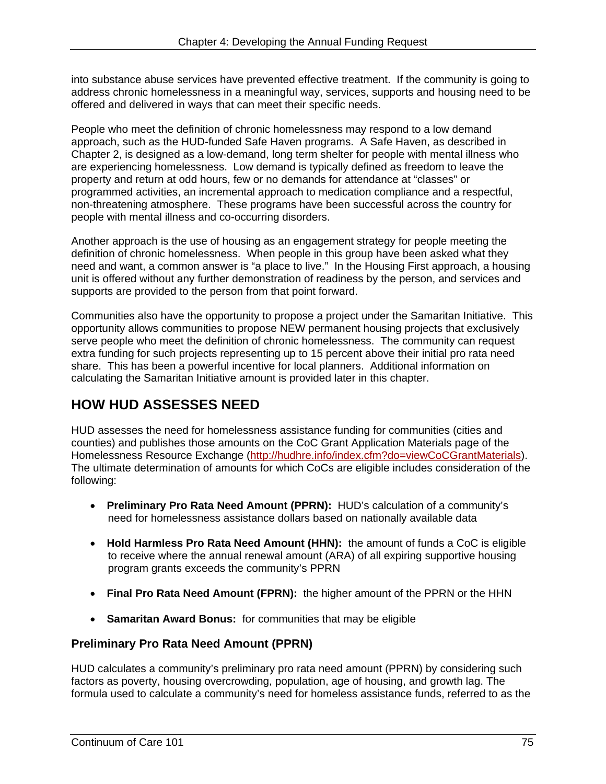into substance abuse services have prevented effective treatment. If the community is going to address chronic homelessness in a meaningful way, services, supports and housing need to be offered and delivered in ways that can meet their specific needs.

People who meet the definition of chronic homelessness may respond to a low demand approach, such as the HUD-funded Safe Haven programs. A Safe Haven, as described in Chapter 2, is designed as a low-demand, long term shelter for people with mental illness who are experiencing homelessness. Low demand is typically defined as freedom to leave the property and return at odd hours, few or no demands for attendance at "classes" or programmed activities, an incremental approach to medication compliance and a respectful, non-threatening atmosphere. These programs have been successful across the country for people with mental illness and co-occurring disorders.

Another approach is the use of housing as an engagement strategy for people meeting the definition of chronic homelessness. When people in this group have been asked what they need and want, a common answer is "a place to live." In the Housing First approach, a housing unit is offered without any further demonstration of readiness by the person, and services and supports are provided to the person from that point forward.

Communities also have the opportunity to propose a project under the Samaritan Initiative. This opportunity allows communities to propose NEW permanent housing projects that exclusively serve people who meet the definition of chronic homelessness. The community can request extra funding for such projects representing up to 15 percent above their initial pro rata need share. This has been a powerful incentive for local planners. Additional information on calculating the Samaritan Initiative amount is provided later in this chapter.

# **HOW HUD ASSESSES NEED**

HUD assesses the need for homelessness assistance funding for communities (cities and counties) and publishes those amounts on the CoC Grant Application Materials page of the Homelessness Resource Exchange (http://hudhre.info/index.cfm?do=viewCoCGrantMaterials). The ultimate determination of amounts for which CoCs are eligible includes consideration of the following:

- **Preliminary Pro Rata Need Amount (PPRN):** HUD's calculation of a community's need for homelessness assistance dollars based on nationally available data
- **Hold Harmless Pro Rata Need Amount (HHN):** the amount of funds a CoC is eligible to receive where the annual renewal amount (ARA) of all expiring supportive housing program grants exceeds the community's PPRN
- **Final Pro Rata Need Amount (FPRN):** the higher amount of the PPRN or the HHN
- **Samaritan Award Bonus:** for communities that may be eligible

## **Preliminary Pro Rata Need Amount (PPRN)**

HUD calculates a community's preliminary pro rata need amount (PPRN) by considering such factors as poverty, housing overcrowding, population, age of housing, and growth lag. The formula used to calculate a community's need for homeless assistance funds, referred to as the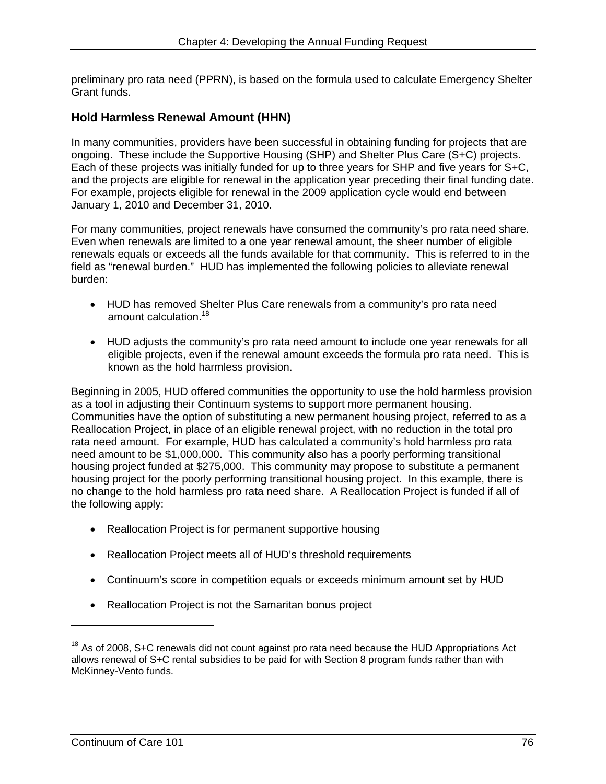preliminary pro rata need (PPRN), is based on the formula used to calculate Emergency Shelter Grant funds.

### **Hold Harmless Renewal Amount (HHN)**

In many communities, providers have been successful in obtaining funding for projects that are ongoing. These include the Supportive Housing (SHP) and Shelter Plus Care (S+C) projects. Each of these projects was initially funded for up to three years for SHP and five years for S+C, and the projects are eligible for renewal in the application year preceding their final funding date. For example, projects eligible for renewal in the 2009 application cycle would end between January 1, 2010 and December 31, 2010.

For many communities, project renewals have consumed the community's pro rata need share. Even when renewals are limited to a one year renewal amount, the sheer number of eligible renewals equals or exceeds all the funds available for that community. This is referred to in the field as "renewal burden." HUD has implemented the following policies to alleviate renewal burden:

- amount calculation.<sup>18</sup> HUD has removed Shelter Plus Care renewals from a community's pro rata need
- HUD adjusts the community's pro rata need amount to include one year renewals for all eligible projects, even if the renewal amount exceeds the formula pro rata need. This is known as the hold harmless provision.

as a tool in adjusting their Continuum systems to support more permanent housing. Beginning in 2005, HUD offered communities the opportunity to use the hold harmless provision Communities have the option of substituting a new permanent housing project, referred to as a Reallocation Project, in place of an eligible renewal project, with no reduction in the total pro rata need amount. For example, HUD has calculated a community's hold harmless pro rata need amount to be \$1,000,000. This community also has a poorly performing transitional housing project funded at \$275,000. This community may propose to substitute a permanent housing project for the poorly performing transitional housing project. In this example, there is no change to the hold harmless pro rata need share. A Reallocation Project is funded if all of the following apply:

- Reallocation Project is for permanent supportive housing
- Reallocation Project meets all of HUD's threshold requirements
- Continuum's score in competition equals or exceeds minimum amount set by HUD
- Reallocation Project is not the Samaritan bonus project

-

 $18$  As of 2008, S+C renewals did not count against pro rata need because the HUD Appropriations Act allows renewal of S+C rental subsidies to be paid for with Section 8 program funds rather than with McKinney-Vento funds.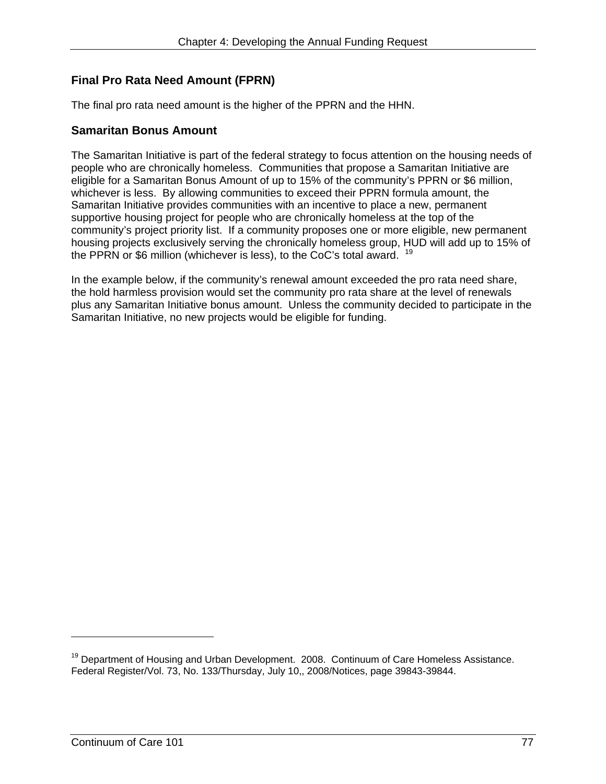# **Final Pro Rata Need Amount (FPRN)**

The final pro rata need amount is the higher of the PPRN and the HHN.

### **Samaritan Bonus Amount**

The Samaritan Initiative is part of the federal strategy to focus attention on the housing needs of people who are chronically homeless. Communities that propose a Samaritan Initiative are eligible for a Samaritan Bonus Amount of up to 15% of the community's PPRN or \$6 million, whichever is less. By allowing communities to exceed their PPRN formula amount, the Samaritan Initiative provides communities with an incentive to place a new, permanent supportive housing project for people who are chronically homeless at the top of the community's project priority list. If a community proposes one or more eligible, new permanent housing projects exclusively serving the chronically homeless group, HUD will add up to 15% of the PPRN or \$6 million (whichever is less), to the CoC's total award. <sup>19</sup>

In the example below, if the community's renewal amount exceeded the pro rata need share, the hold harmless provision would set the community pro rata share at the level of renewals plus any Samaritan Initiative bonus amount. Unless the community decided to participate in the Samaritan Initiative, no new projects would be eligible for funding.

 $\overline{a}$ 

 $19$  Department of Housing and Urban Development. 2008. Continuum of Care Homeless Assistance. Federal Register/Vol. 73, No. 133/Thursday, July 10,, 2008/Notices, page 39843-39844.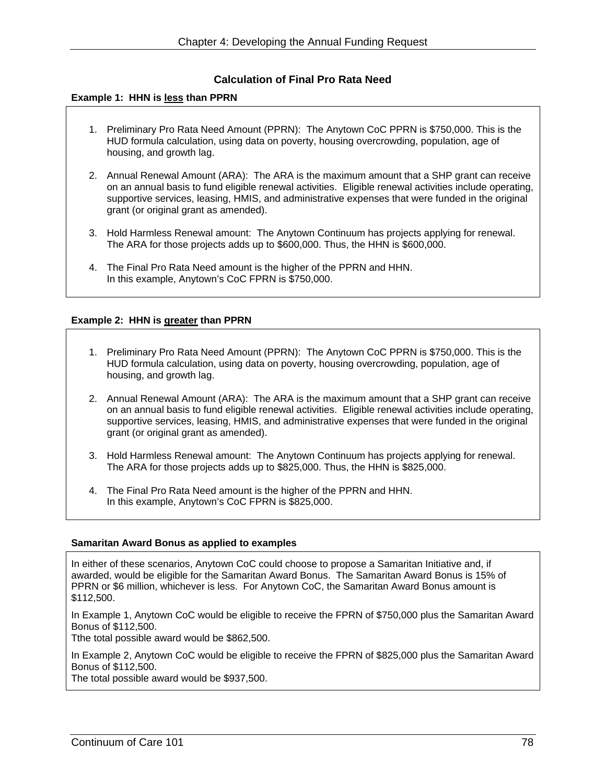#### **Calculation of Final Pro Rata Need**

#### **Example 1: HHN is less than PPRN**

- 1. Preliminary Pro Rata Need Amount (PPRN): The Anytown CoC PPRN is \$750,000. This is the HUD formula calculation, using data on poverty, housing overcrowding, population, age of housing, and growth lag.
- 2. Annual Renewal Amount (ARA): The ARA is the maximum amount that a SHP grant can receive on an annual basis to fund eligible renewal activities. Eligible renewal activities include operating, supportive services, leasing, HMIS, and administrative expenses that were funded in the original grant (or original grant as amended).
- 3. Hold Harmless Renewal amount: The Anytown Continuum has projects applying for renewal. The ARA for those projects adds up to \$600,000. Thus, the HHN is \$600,000.
- 4. The Final Pro Rata Need amount is the higher of the PPRN and HHN. In this example, Anytown's CoC FPRN is \$750,000.

#### **Example 2: HHN is greater than PPRN**

- 1. Preliminary Pro Rata Need Amount (PPRN): The Anytown CoC PPRN is \$750,000. This is the HUD formula calculation, using data on poverty, housing overcrowding, population, age of housing, and growth lag.
- 2. Annual Renewal Amount (ARA): The ARA is the maximum amount that a SHP grant can receive on an annual basis to fund eligible renewal activities. Eligible renewal activities include operating, supportive services, leasing, HMIS, and administrative expenses that were funded in the original grant (or original grant as amended).
- 3. Hold Harmless Renewal amount: The Anytown Continuum has projects applying for renewal. The ARA for those projects adds up to \$825,000. Thus, the HHN is \$825,000.
- 4. The Final Pro Rata Need amount is the higher of the PPRN and HHN. In this example, Anytown's CoC FPRN is \$825,000.

#### **Samaritan Award Bonus as applied to examples**

In either of these scenarios, Anytown CoC could choose to propose a Samaritan Initiative and, if awarded, would be eligible for the Samaritan Award Bonus. The Samaritan Award Bonus is 15% of PPRN or \$6 million, whichever is less. For Anytown CoC, the Samaritan Award Bonus amount is \$112,500.

In Example 1, Anytown CoC would be eligible to receive the FPRN of \$750,000 plus the Samaritan Award Bonus of \$112,500.

Tthe total possible award would be \$862,500.

In Example 2, Anytown CoC would be eligible to receive the FPRN of \$825,000 plus the Samaritan Award Bonus of \$112,500.

The total possible award would be \$937,500.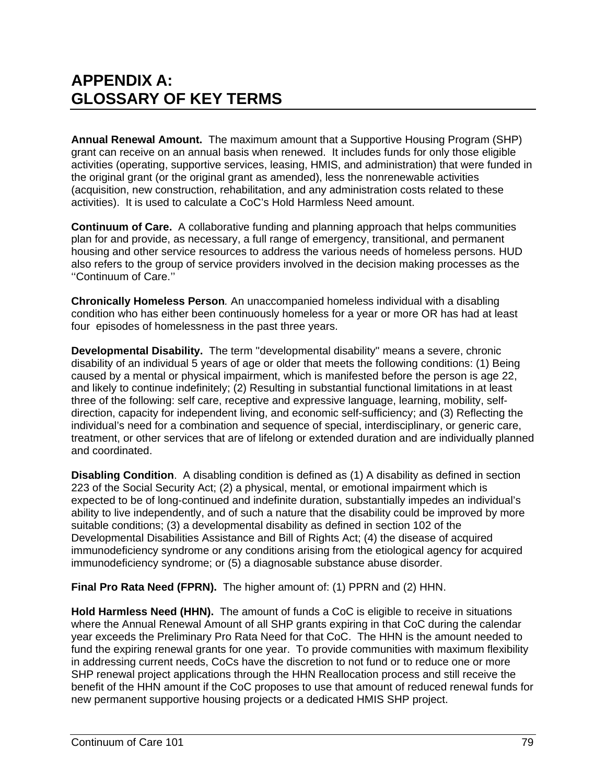# **APPENDIX A: GLOSSARY OF KEY TERMS**

**Annual Renewal Amount.** The maximum amount that a Supportive Housing Program (SHP) grant can receive on an annual basis when renewed. It includes funds for only those eligible activities (operating, supportive services, leasing, HMIS, and administration) that were funded in the original grant (or the original grant as amended), less the nonrenewable activities (acquisition, new construction, rehabilitation, and any administration costs related to these activities). It is used to calculate a CoC's Hold Harmless Need amount.

**Continuum of Care.** A collaborative funding and planning approach that helps communities plan for and provide, as necessary, a full range of emergency, transitional, and permanent housing and other service resources to address the various needs of homeless persons. HUD also refers to the group of service providers involved in the decision making processes as the ''Continuum of Care.''

**Chronically Homeless Person***.* An unaccompanied homeless individual with a disabling condition who has either been continuously homeless for a year or more OR has had at least four episodes of homelessness in the past three years.

**Developmental Disability.** The term ''developmental disability'' means a severe, chronic disability of an individual 5 years of age or older that meets the following conditions: (1) Being caused by a mental or physical impairment, which is manifested before the person is age 22, and likely to continue indefinitely; (2) Resulting in substantial functional limitations in at least three of the following: self care, receptive and expressive language, learning, mobility, selfdirection, capacity for independent living, and economic self-sufficiency; and (3) Reflecting the individual's need for a combination and sequence of special, interdisciplinary, or generic care, treatment, or other services that are of lifelong or extended duration and are individually planned and coordinated.

**Disabling Condition**. A disabling condition is defined as (1) A disability as defined in section 223 of the Social Security Act; (2) a physical, mental, or emotional impairment which is expected to be of long-continued and indefinite duration, substantially impedes an individual's ability to live independently, and of such a nature that the disability could be improved by more suitable conditions; (3) a developmental disability as defined in section 102 of the Developmental Disabilities Assistance and Bill of Rights Act; (4) the disease of acquired immunodeficiency syndrome or any conditions arising from the etiological agency for acquired immunodeficiency syndrome; or (5) a diagnosable substance abuse disorder.

**Final Pro Rata Need (FPRN).** The higher amount of: (1) PPRN and (2) HHN.

Hold Harmless Need (HHN). The amount of funds a CoC is eligible to receive in situations where the Annual Renewal Amount of all SHP grants expiring in that CoC during the calendar year exceeds the Preliminary Pro Rata Need for that CoC. The HHN is the amount needed to fund the expiring renewal grants for one year. To provide communities with maximum flexibility in addressing current needs, CoCs have the discretion to not fund or to reduce one or more SHP renewal project applications through the HHN Reallocation process and still receive the benefit of the HHN amount if the CoC proposes to use that amount of reduced renewal funds for new permanent supportive housing projects or a dedicated HMIS SHP project.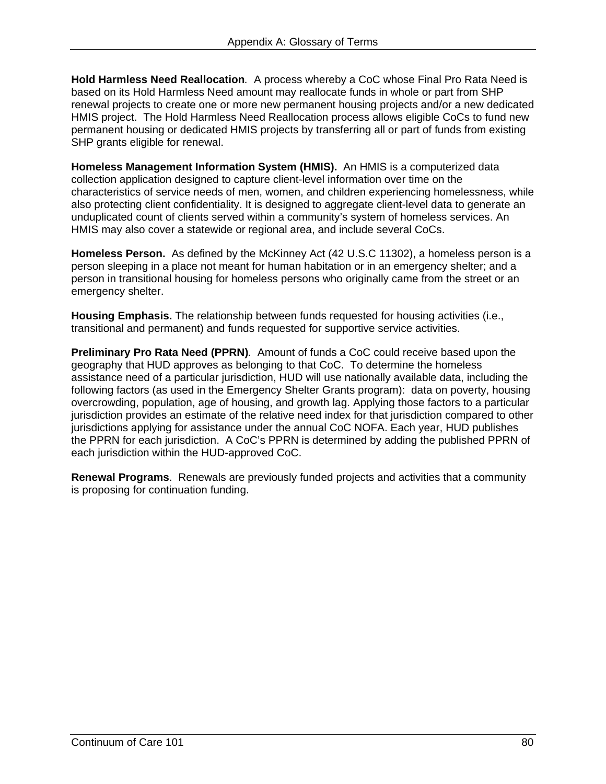**Hold Harmless Need Reallocation***.* A process whereby a CoC whose Final Pro Rata Need is based on its Hold Harmless Need amount may reallocate funds in whole or part from SHP renewal projects to create one or more new permanent housing projects and/or a new dedicated HMIS project. The Hold Harmless Need Reallocation process allows eligible CoCs to fund new permanent housing or dedicated HMIS projects by transferring all or part of funds from existing SHP grants eligible for renewal.

 **Homeless Management Information System (HMIS).** An HMIS is a computerized data collection application designed to capture client-level information over time on the characteristics of service needs of men, women, and children experiencing homelessness, while also protecting client confidentiality. It is designed to aggregate client-level data to generate an unduplicated count of clients served within a community's system of homeless services. An HMIS may also cover a statewide or regional area, and include several CoCs.

Homeless Person. As defined by the McKinney Act (42 U.S.C 11302), a homeless person is a person sleeping in a place not meant for human habitation or in an emergency shelter; and a person in transitional housing for homeless persons who originally came from the street or an emergency shelter.

**Housing Emphasis.** The relationship between funds requested for housing activities (i.e., transitional and permanent) and funds requested for supportive service activities.

**Preliminary Pro Rata Need (PPRN)***.* Amount of funds a CoC could receive based upon the geography that HUD approves as belonging to that CoC. To determine the homeless assistance need of a particular jurisdiction, HUD will use nationally available data, including the following factors (as used in the Emergency Shelter Grants program): data on poverty, housing overcrowding, population, age of housing, and growth lag. Applying those factors to a particular jurisdiction provides an estimate of the relative need index for that jurisdiction compared to other jurisdictions applying for assistance under the annual CoC NOFA. Each year, HUD publishes the PPRN for each jurisdiction. A CoC's PPRN is determined by adding the published PPRN of each jurisdiction within the HUD-approved CoC.

**Renewal Programs**. Renewals are previously funded projects and activities that a community is proposing for continuation funding.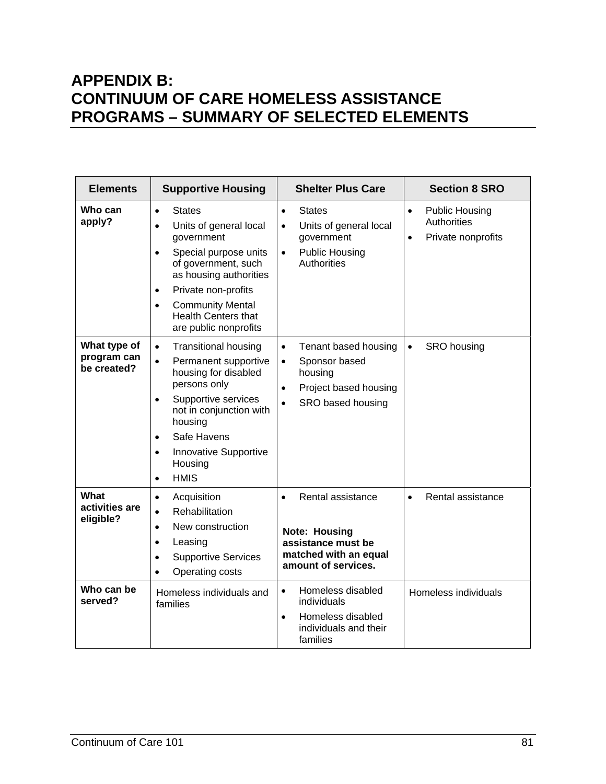# **APPENDIX B: CONTINUUM OF CARE HOMELESS ASSISTANCE PROGRAMS – SUMMARY OF SELECTED ELEMENTS**

| <b>Elements</b>                            | <b>Supportive Housing</b>                                                                                                                                                                                                                                                                                 | <b>Shelter Plus Care</b>                                                                                                                           | <b>Section 8 SRO</b>                                                                        |
|--------------------------------------------|-----------------------------------------------------------------------------------------------------------------------------------------------------------------------------------------------------------------------------------------------------------------------------------------------------------|----------------------------------------------------------------------------------------------------------------------------------------------------|---------------------------------------------------------------------------------------------|
| Who can<br>apply?                          | <b>States</b><br>$\bullet$<br>Units of general local<br>$\bullet$<br>government<br>Special purpose units<br>$\bullet$<br>of government, such<br>as housing authorities<br>Private non-profits<br>$\bullet$<br><b>Community Mental</b><br>$\bullet$<br><b>Health Centers that</b><br>are public nonprofits | <b>States</b><br>$\bullet$<br>Units of general local<br>$\bullet$<br>government<br><b>Public Housing</b><br>$\bullet$<br><b>Authorities</b>        | <b>Public Housing</b><br>$\bullet$<br><b>Authorities</b><br>Private nonprofits<br>$\bullet$ |
| What type of<br>program can<br>be created? | <b>Transitional housing</b><br>$\bullet$<br>Permanent supportive<br>$\bullet$<br>housing for disabled<br>persons only<br>Supportive services<br>$\bullet$<br>not in conjunction with<br>housing<br>Safe Havens<br>$\bullet$<br>Innovative Supportive<br>$\bullet$<br>Housing<br><b>HMIS</b><br>$\bullet$  | Tenant based housing<br>$\bullet$<br>Sponsor based<br>$\bullet$<br>housing<br>Project based housing<br>$\bullet$<br>SRO based housing<br>$\bullet$ | SRO housing<br>$\bullet$                                                                    |
| What<br>activities are<br>eligible?        | Acquisition<br>$\bullet$<br>Rehabilitation<br>$\bullet$<br>New construction<br>$\bullet$<br>Leasing<br>$\bullet$<br><b>Supportive Services</b><br>$\bullet$<br>Operating costs<br>$\bullet$                                                                                                               | Rental assistance<br>$\bullet$<br><b>Note: Housing</b><br>assistance must be<br>matched with an equal<br>amount of services.                       | Rental assistance<br>$\bullet$                                                              |
| Who can be<br>served?                      | Homeless individuals and<br>families                                                                                                                                                                                                                                                                      | Homeless disabled<br>$\bullet$<br>individuals<br>Homeless disabled<br>$\bullet$<br>individuals and their<br>families                               | Homeless individuals                                                                        |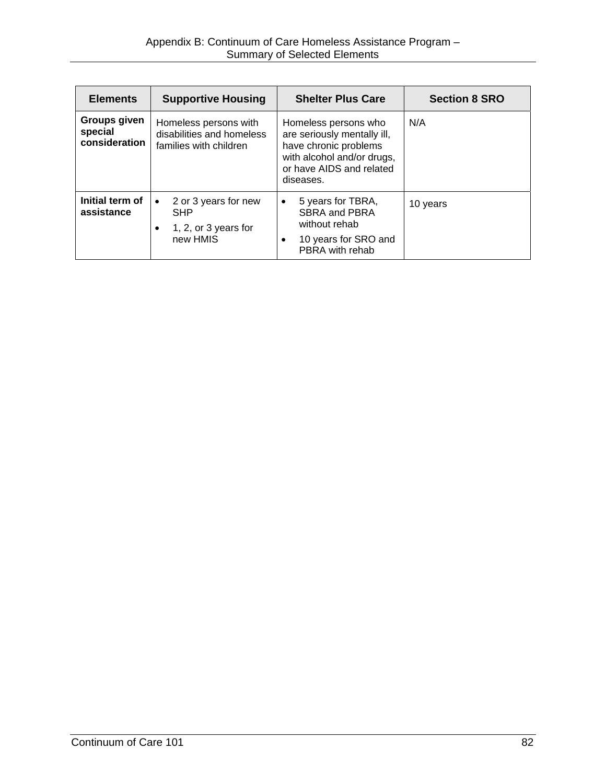| <b>Elements</b>                          | <b>Supportive Housing</b>                                                           | <b>Shelter Plus Care</b>                                                                                                                            | <b>Section 8 SRO</b> |
|------------------------------------------|-------------------------------------------------------------------------------------|-----------------------------------------------------------------------------------------------------------------------------------------------------|----------------------|
| Groups given<br>special<br>consideration | Homeless persons with<br>disabilities and homeless<br>families with children        | Homeless persons who<br>are seriously mentally ill,<br>have chronic problems<br>with alcohol and/or drugs,<br>or have AIDS and related<br>diseases. | N/A                  |
| Initial term of<br>assistance            | 2 or 3 years for new<br>$\bullet$<br><b>SHP</b><br>1, 2, or 3 years for<br>new HMIS | 5 years for TBRA,<br>$\bullet$<br>SBRA and PBRA<br>without rehab<br>10 years for SRO and<br>٠<br>PBRA with rehab                                    | 10 years             |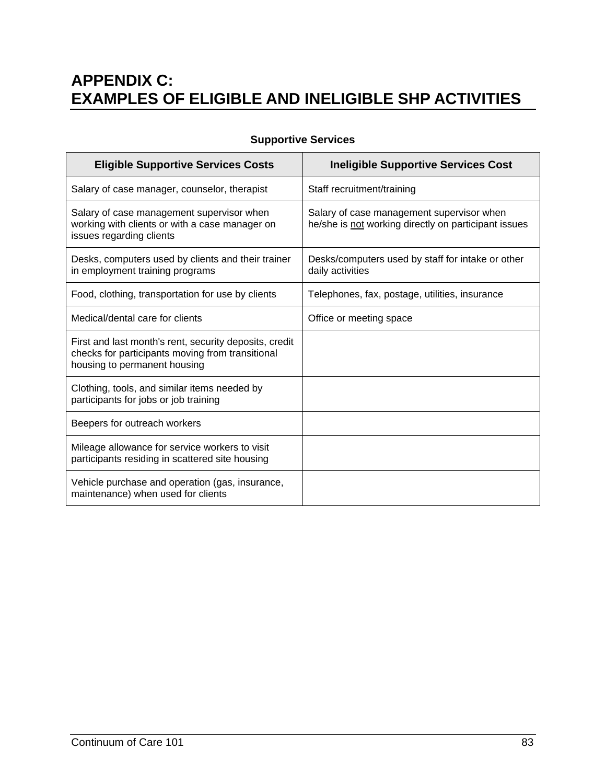# **APPENDIX C: EXAMPLES OF ELIGIBLE AND INELIGIBLE SHP ACTIVITIES**

| <b>Eligible Supportive Services Costs</b>                                                                                                  | <b>Ineligible Supportive Services Cost</b>                                                        |
|--------------------------------------------------------------------------------------------------------------------------------------------|---------------------------------------------------------------------------------------------------|
| Salary of case manager, counselor, therapist                                                                                               | Staff recruitment/training                                                                        |
| Salary of case management supervisor when<br>working with clients or with a case manager on<br>issues regarding clients                    | Salary of case management supervisor when<br>he/she is not working directly on participant issues |
| Desks, computers used by clients and their trainer<br>in employment training programs                                                      | Desks/computers used by staff for intake or other<br>daily activities                             |
| Food, clothing, transportation for use by clients                                                                                          | Telephones, fax, postage, utilities, insurance                                                    |
| Medical/dental care for clients                                                                                                            | Office or meeting space                                                                           |
| First and last month's rent, security deposits, credit<br>checks for participants moving from transitional<br>housing to permanent housing |                                                                                                   |
| Clothing, tools, and similar items needed by<br>participants for jobs or job training                                                      |                                                                                                   |
| Beepers for outreach workers                                                                                                               |                                                                                                   |
| Mileage allowance for service workers to visit<br>participants residing in scattered site housing                                          |                                                                                                   |
| Vehicle purchase and operation (gas, insurance,<br>maintenance) when used for clients                                                      |                                                                                                   |

### **Supportive Services**